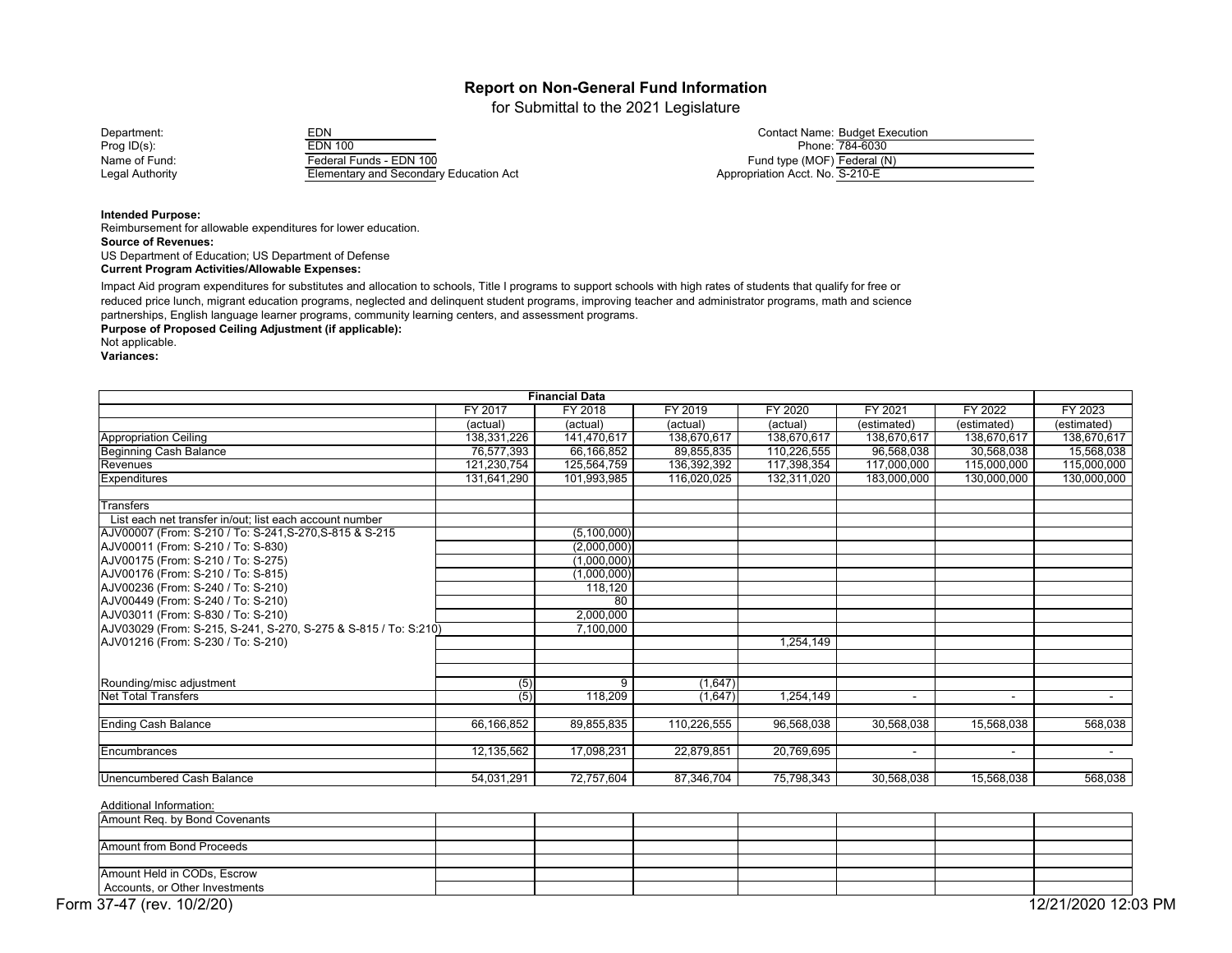for Submittal to the 2021 Legislature

Prog ID(s): EDN 100 Phone: 784-6030 Name of Fund: Federal Funds - EDN 100 Fund type (MOF) Federal (N) **Elementary and Secondary Education Act** 

| Department:     | EDN                                    | Contact Name: Budget Execution  |
|-----------------|----------------------------------------|---------------------------------|
| Prog ID(s):     | EDN 100                                | Phone: 784-6030                 |
| Name of Fund:   | Federal Funds - EDN 100                | Fund type (MOF) Federal (N)     |
| Legal Authority | Elementarv and Secondarv Education Act | Appropriation Acct. No. S-210-E |

**Intended Purpose:**

Reimbursement for allowable expenditures for lower education. **Source of Revenues:** US Department of Education; US Department of Defense

**Current Program Activities/Allowable Expenses:**

Impact Aid program expenditures for substitutes and allocation to schools, Title I programs to support schools with high rates of students that qualify for free or reduced price lunch, migrant education programs, neglected and delinquent student programs, improving teacher and administrator programs, math and science partnerships, English language learner programs, community learning centers, and assessment programs.

**Purpose of Proposed Ceiling Adjustment (if applicable):** 

Not applicable.

**Variances:**

| <b>Financial Data</b>                                           |                  |             |             |                |                |                |             |
|-----------------------------------------------------------------|------------------|-------------|-------------|----------------|----------------|----------------|-------------|
|                                                                 | FY 2017          | FY 2018     | FY 2019     | <b>FY 2020</b> | FY 2021        | FY 2022        | FY 2023     |
|                                                                 | (actual)         | (actual)    | (actual)    | (actual)       | (estimated)    | (estimated)    | (estimated) |
| <b>Appropriation Ceiling</b>                                    | 138,331,226      | 141,470,617 | 138,670,617 | 138,670,617    | 138,670,617    | 138,670,617    | 138,670,617 |
| <b>Beginning Cash Balance</b>                                   | 76,577,393       | 66,166,852  | 89,855,835  | 110,226,555    | 96,568,038     | 30,568,038     | 15,568,038  |
| Revenues                                                        | 121,230,754      | 125,564,759 | 136,392,392 | 117,398,354    | 117,000,000    | 115,000,000    | 115,000,000 |
| <b>Expenditures</b>                                             | 131,641,290      | 101,993,985 | 116,020,025 | 132,311,020    | 183,000,000    | 130,000,000    | 130,000,000 |
| <b>Transfers</b>                                                |                  |             |             |                |                |                |             |
| List each net transfer in/out; list each account number         |                  |             |             |                |                |                |             |
| AJV00007 (From: S-210 / To: S-241, S-270, S-815 & S-215         |                  | (5,100,000) |             |                |                |                |             |
| AJV00011 (From: S-210 / To: S-830)                              |                  | (2,000,000) |             |                |                |                |             |
| AJV00175 (From: S-210 / To: S-275)                              |                  | (1,000,000) |             |                |                |                |             |
| AJV00176 (From: S-210 / To: S-815)                              |                  | (1,000,000) |             |                |                |                |             |
| AJV00236 (From: S-240 / To: S-210)                              |                  | 118,120     |             |                |                |                |             |
| AJV00449 (From: S-240 / To: S-210)                              |                  | 80          |             |                |                |                |             |
| AJV03011 (From: S-830 / To: S-210)                              |                  | 2,000,000   |             |                |                |                |             |
| AJV03029 (From: S-215, S-241, S-270, S-275 & S-815 / To: S:210) |                  | 7,100,000   |             |                |                |                |             |
| AJV01216 (From: S-230 / To: S-210)                              |                  |             |             | 1,254,149      |                |                |             |
|                                                                 |                  |             |             |                |                |                |             |
| Rounding/misc adjustment                                        | $\overline{(5)}$ | 9           | (1,647)     |                |                |                |             |
| <b>Net Total Transfers</b>                                      | (5)              | 118,209     | (1,647)     | 1,254,149      |                | $\blacksquare$ | $\sim$      |
| <b>Ending Cash Balance</b>                                      | 66,166,852       | 89,855,835  | 110,226,555 | 96,568,038     | 30,568,038     | 15,568,038     | 568,038     |
| Encumbrances                                                    | 12,135,562       | 17,098,231  | 22,879,851  | 20,769,695     | $\blacksquare$ | $\blacksquare$ | $\sim$      |
| <b>Unencumbered Cash Balance</b>                                | 54,031,291       | 72,757,604  | 87,346,704  | 75,798,343     | 30,568,038     | 15,568,038     | 568,038     |

| Amount Req. by Bond Covenants  |  |  |  |                     |  |
|--------------------------------|--|--|--|---------------------|--|
|                                |  |  |  |                     |  |
| Amount from Bond Proceeds      |  |  |  |                     |  |
|                                |  |  |  |                     |  |
| Amount Held in CODs, Escrow    |  |  |  |                     |  |
| Accounts, or Other Investments |  |  |  |                     |  |
| Form 37-47 (rev. 10/2/20)      |  |  |  | 12/21/2020 12:03 PM |  |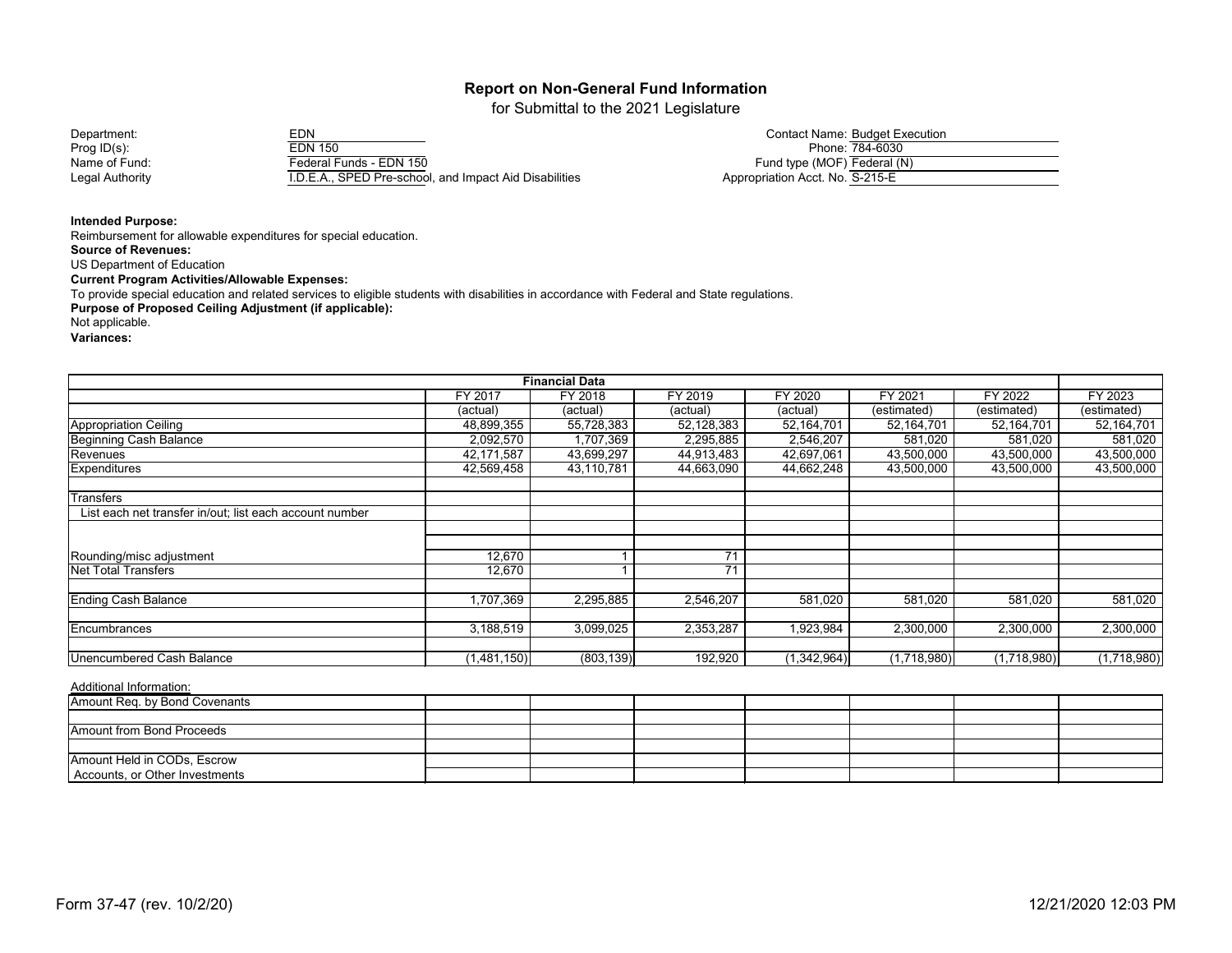for Submittal to the 2021 Legislature

Department: EDN Contact Name: Budget Execution Prog ID(s): EDN 150 Phone: 784-6030 Name of Fund: Federal Funds - EDN 150<br>
Legal Authority Federal Funds - EDN 150 I.D.E.A., SPED Pre-school, and Impact Aid Disabilities

|                                 | <b>Contact Name: Budget Execution</b> |
|---------------------------------|---------------------------------------|
|                                 | Phone: 784-6030                       |
| Fund type (MOF) Federal (N)     |                                       |
| Appropriation Acct. No. S-215-E |                                       |

 $\overline{\phantom{0}}$ 

**Intended Purpose:**

Reimbursement for allowable expenditures for special education. **Source of Revenues:** US Department of Education **Current Program Activities/Allowable Expenses:** To provide special education and related services to eligible students with disabilities in accordance with Federal and State regulations. **Purpose of Proposed Ceiling Adjustment (if applicable):** Not applicable. **Variances:**

|                                                         |             | <b>Financial Data</b> |            |             |             |             |             |
|---------------------------------------------------------|-------------|-----------------------|------------|-------------|-------------|-------------|-------------|
|                                                         | FY 2017     | FY 2018               | FY 2019    | FY 2020     | FY 2021     | FY 2022     | FY 2023     |
|                                                         | (actual)    | (actual)              | (actual)   | (actual)    | (estimated) | (estimated) | (estimated) |
| <b>Appropriation Ceiling</b>                            | 48,899,355  | 55,728,383            | 52,128,383 | 52,164,701  | 52,164,701  | 52,164,701  | 52,164,701  |
| <b>Beginning Cash Balance</b>                           | 2,092,570   | 1,707,369             | 2,295,885  | 2,546,207   | 581,020     | 581,020     | 581,020     |
| Revenues                                                | 42,171,587  | 43,699,297            | 44,913,483 | 42,697,061  | 43,500,000  | 43,500,000  | 43,500,000  |
| Expenditures                                            | 42,569,458  | 43,110,781            | 44,663,090 | 44,662,248  | 43,500,000  | 43,500,000  | 43,500,000  |
| <b>Transfers</b>                                        |             |                       |            |             |             |             |             |
| List each net transfer in/out; list each account number |             |                       |            |             |             |             |             |
|                                                         |             |                       |            |             |             |             |             |
| Rounding/misc adjustment                                | 12,670      |                       | 71         |             |             |             |             |
| <b>Net Total Transfers</b>                              | 12,670      |                       | 71         |             |             |             |             |
| <b>Ending Cash Balance</b>                              | 1,707,369   | 2,295,885             | 2,546,207  | 581,020     | 581,020     | 581,020     | 581,020     |
| Encumbrances                                            | 3,188,519   | 3,099,025             | 2,353,287  | 1,923,984   | 2,300,000   | 2,300,000   | 2,300,000   |
| <b>Unencumbered Cash Balance</b>                        | (1,481,150) | (803, 139)            | 192,920    | (1,342,964) | (1,718,980) | (1,718,980) | (1,718,980) |

| Amount Req. by Bond Covenants  |  |  |  |  |
|--------------------------------|--|--|--|--|
|                                |  |  |  |  |
| Amount from Bond Proceeds      |  |  |  |  |
|                                |  |  |  |  |
| Amount Held in CODs, Escrow    |  |  |  |  |
| Accounts, or Other Investments |  |  |  |  |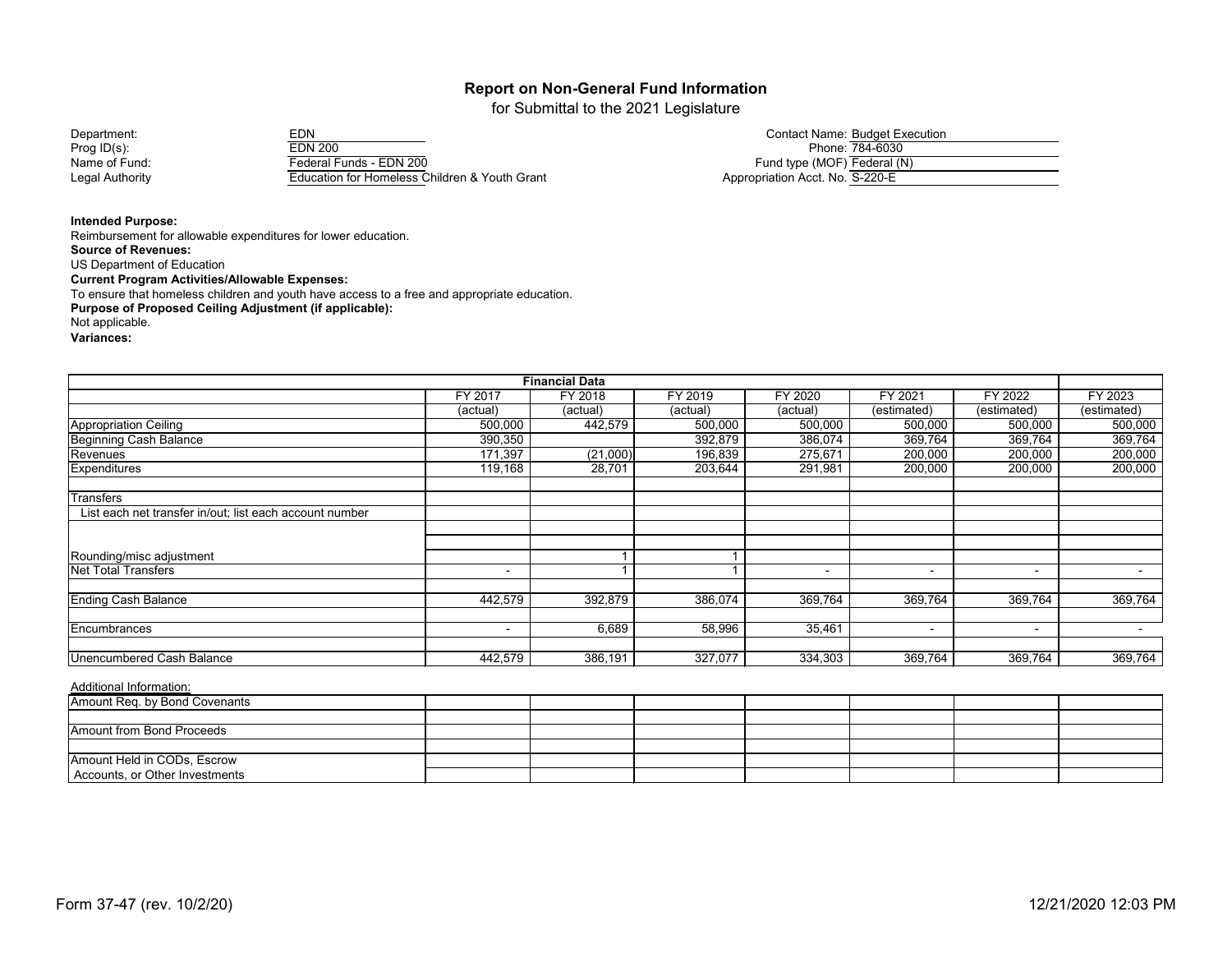for Submittal to the 2021 Legislature

| Department:     | EDN                                           | <b>Contact Name: Budget Execution</b> |
|-----------------|-----------------------------------------------|---------------------------------------|
| Prog $ID(s)$ :  | <b>EDN 200</b>                                | Phone: 784-6030                       |
| Name of Fund:   | Federal Funds - EDN 200                       | Fund type (MOF) Federal (N)           |
| Legal Authority | Education for Homeless Children & Youth Grant | Appropriation Acct. No. S-220-E       |

|                             | <b>Contact Name: Budget Execution</b> |
|-----------------------------|---------------------------------------|
|                             | Phone: 784-6030                       |
| Fund type (MOF) Federal (N) |                                       |

**Intended Purpose:**

Reimbursement for allowable expenditures for lower education. **Source of Revenues:** US Department of Education **Current Program Activities/Allowable Expenses:** To ensure that homeless children and youth have access to a free and appropriate education. **Purpose of Proposed Ceiling Adjustment (if applicable):** Not applicable. **Variances:**

| <b>Financial Data</b>                                   |                |          |          |          |                          |                          |                |
|---------------------------------------------------------|----------------|----------|----------|----------|--------------------------|--------------------------|----------------|
|                                                         | <b>FY 2017</b> | FY 2018  | FY 2019  | FY 2020  | FY 2021                  | FY 2022                  | FY 2023        |
|                                                         | (actual)       | (actual) | (actual) | (actual) | (estimated)              | (estimated)              | (estimated)    |
| <b>Appropriation Ceiling</b>                            | 500,000        | 442,579  | 500,000  | 500,000  | 500,000                  | 500,000                  | 500,000        |
| Beginning Cash Balance                                  | 390,350        |          | 392,879  | 386,074  | 369,764                  | 369,764                  | 369,764        |
| Revenues                                                | 171,397        | (21,000) | 196,839  | 275,671  | 200,000                  | 200,000                  | 200,000        |
| <b>Expenditures</b>                                     | 119,168        | 28,701   | 203,644  | 291,981  | 200,000                  | 200,000                  | 200,000        |
| Transfers                                               |                |          |          |          |                          |                          |                |
| List each net transfer in/out; list each account number |                |          |          |          |                          |                          |                |
|                                                         |                |          |          |          |                          |                          |                |
| Rounding/misc adjustment                                |                |          |          |          |                          |                          |                |
| Net Total Transfers                                     | $\sim$         |          |          |          | $\overline{\phantom{0}}$ | $\overline{\phantom{a}}$ | $\blacksquare$ |
| <b>Ending Cash Balance</b>                              | 442,579        | 392,879  | 386,074  | 369,764  | 369,764                  | 369,764                  | 369,764        |
| Encumbrances                                            | $\sim$         | 6,689    | 58,996   | 35,461   | $\overline{\phantom{0}}$ | $\overline{\phantom{a}}$ |                |
| Unencumbered Cash Balance                               | 442,579        | 386,191  | 327,077  | 334,303  | 369,764                  | 369,764                  | 369,764        |

| Amount Req. by Bond Covenants  |  |  |  |  |
|--------------------------------|--|--|--|--|
|                                |  |  |  |  |
| Amount from Bond Proceeds      |  |  |  |  |
|                                |  |  |  |  |
| Amount Held in CODs, Escrow    |  |  |  |  |
| Accounts, or Other Investments |  |  |  |  |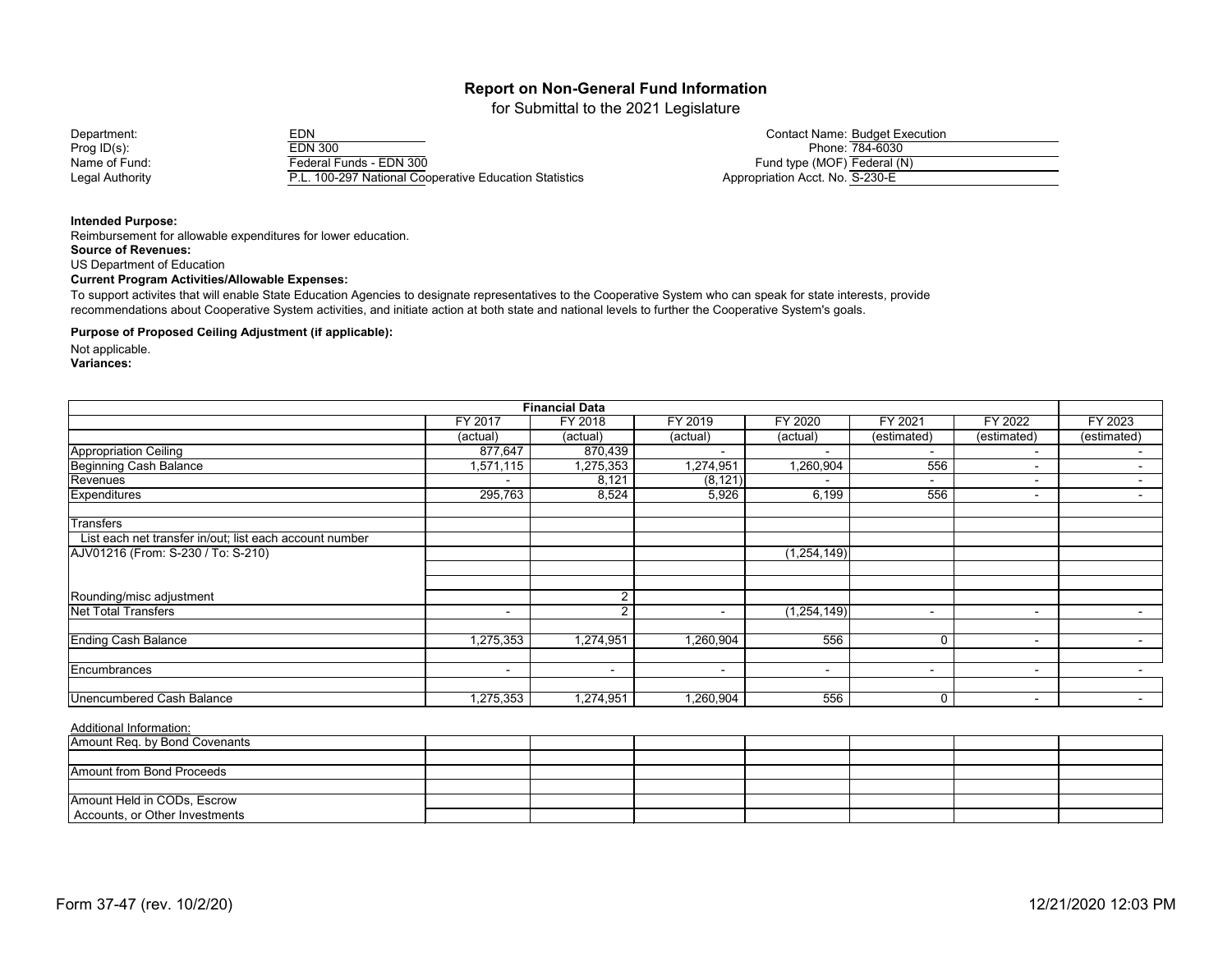for Submittal to the 2021 Legislature

Department: EDN Contact Name: Budget Execution Prog ID(s): EDN 300 Phone: 784-6030 Name of Fund: Federal Funds - EDN 300<br>
Legal Authority F.L. 100-297 National Coc P.L. 100-297 National Cooperative Education Statistics

|                                 | <b>Contact Name: Budget Execution</b> |
|---------------------------------|---------------------------------------|
|                                 | Phone: 784-6030                       |
| Fund type (MOF) Federal (N)     |                                       |
| Appropriation Acct. No. S-230-E |                                       |

#### **Intended Purpose:**

Reimbursement for allowable expenditures for lower education. **Source of Revenues:** US Department of Education **Current Program Activities/Allowable Expenses:**

To support activites that will enable State Education Agencies to designate representatives to the Cooperative System who can speak for state interests, provide recommendations about Cooperative System activities, and initiate action at both state and national levels to further the Cooperative System's goals.

#### **Purpose of Proposed Ceiling Adjustment (if applicable):**

Not applicable.

**Variances:**

| <b>Financial Data</b>                                   |                                                                |                |                          |                          |                          |                          |                          |  |
|---------------------------------------------------------|----------------------------------------------------------------|----------------|--------------------------|--------------------------|--------------------------|--------------------------|--------------------------|--|
|                                                         | FY 2019<br>FY 2021<br>FY 2022<br>FY 2017<br>FY 2018<br>FY 2020 |                |                          |                          |                          |                          |                          |  |
|                                                         | (actual)                                                       | (actual)       | (actual)                 | (actual)                 | (estimated)              | (estimated)              | (estimated)              |  |
| <b>Appropriation Ceiling</b>                            | 877,647                                                        | 870,439        |                          |                          | $\blacksquare$           | $\blacksquare$           |                          |  |
| <b>Beginning Cash Balance</b>                           | 1,571,115                                                      | 1,275,353      | 1,274,951                | 1,260,904                | 556                      | $\overline{\phantom{0}}$ |                          |  |
| Revenues                                                | $\sim$                                                         | 8,121          | (8, 121)                 |                          | $\sim$                   | $\overline{\phantom{0}}$ | $\overline{\phantom{0}}$ |  |
| Expenditures                                            | 295,763                                                        | 8,524          | 5,926                    | 6,199                    | 556                      | $\sim$                   | $\blacksquare$           |  |
| <b>Transfers</b>                                        |                                                                |                |                          |                          |                          |                          |                          |  |
| List each net transfer in/out; list each account number |                                                                |                |                          |                          |                          |                          |                          |  |
| AJV01216 (From: S-230 / To: S-210)                      |                                                                |                |                          | (1,254,149)              |                          |                          |                          |  |
|                                                         |                                                                |                |                          |                          |                          |                          |                          |  |
| Rounding/misc adjustment                                |                                                                | C              |                          |                          |                          |                          |                          |  |
| <b>Net Total Transfers</b>                              | $\sim$                                                         | 2              | ۰                        | (1,254,149)              | $\overline{\phantom{0}}$ | $\sim$                   | $\blacksquare$           |  |
| <b>Ending Cash Balance</b>                              | 1,275,353                                                      | 1,274,951      | 1,260,904                | 556                      | $\mathbf{0}$             | $\overline{\phantom{a}}$ |                          |  |
| Encumbrances                                            | $\sim$                                                         | $\blacksquare$ | $\overline{\phantom{a}}$ | $\overline{\phantom{a}}$ | $\blacksquare$           | $\overline{\phantom{0}}$ |                          |  |
|                                                         |                                                                |                |                          |                          |                          |                          |                          |  |
| <b>Unencumbered Cash Balance</b>                        | 1,275,353                                                      | 1,274,951      | 1,260,904                | 556                      | $\mathbf 0$              | $\overline{\phantom{0}}$ | $\blacksquare$           |  |

| Amount Req. by Bond Covenants  |  |  |  |  |
|--------------------------------|--|--|--|--|
|                                |  |  |  |  |
| Amount from Bond Proceeds      |  |  |  |  |
|                                |  |  |  |  |
| Amount Held in CODs, Escrow    |  |  |  |  |
| Accounts, or Other Investments |  |  |  |  |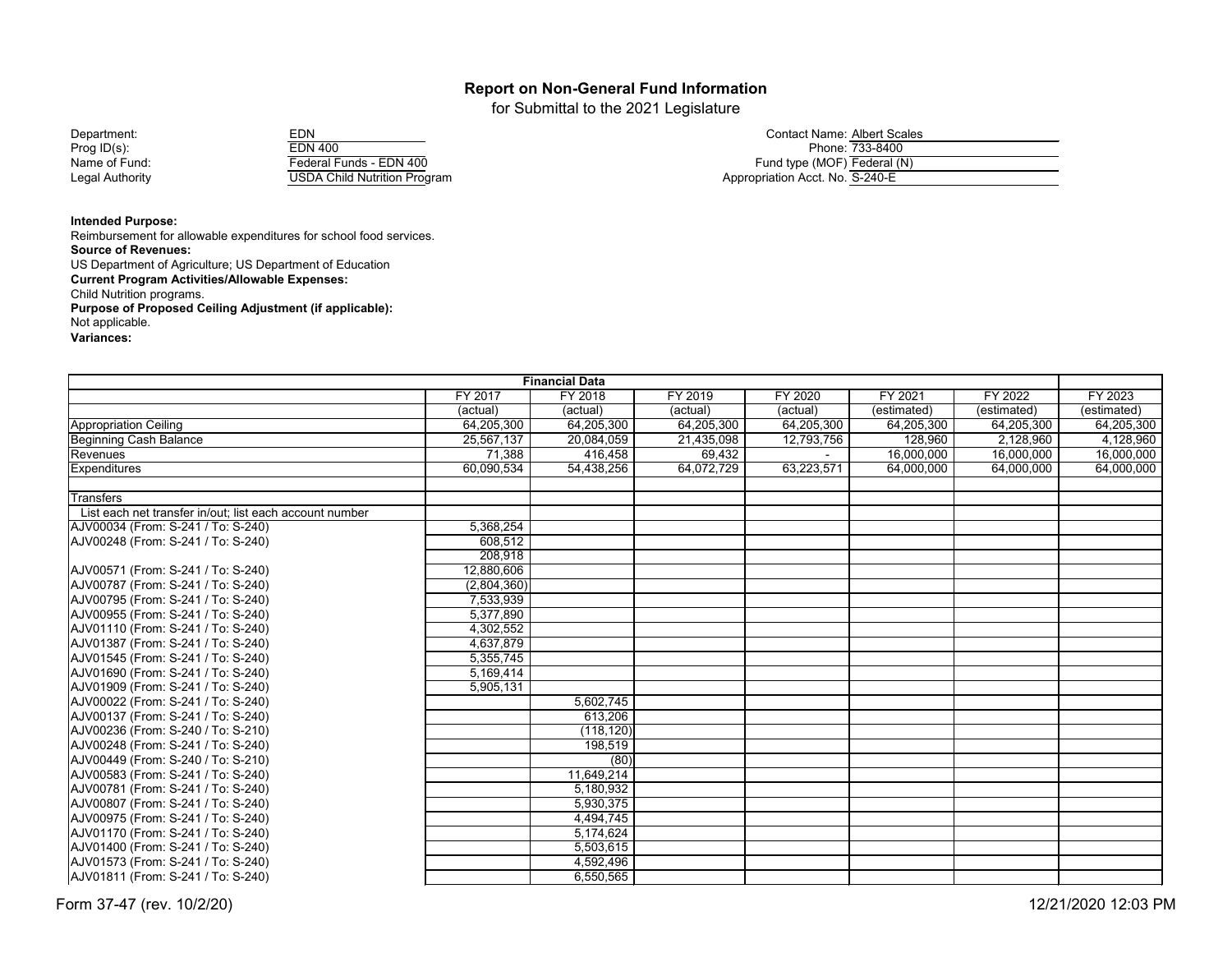for Submittal to the 2021 Legislature

| Department:     | EDN                          | Contact Name: Albert So         |
|-----------------|------------------------------|---------------------------------|
| Prog $ID(s)$ :  | <b>EDN 400</b>               | Phone: 733-840                  |
| Name of Fund:   | Federal Funds - EDN 400      | Fund type (MOF) Federal         |
| Legal Authority | USDA Child Nutrition Program | Appropriation Acct. No. S-240-E |
|                 |                              |                                 |

| Department:     | EDN                                  | Contact Name: Albert Scales_  |
|-----------------|--------------------------------------|-------------------------------|
| Prog ID(s):     | <b>EDN 400</b>                       | Phone: 733-8400               |
| Name of Fund:   | Federal Funds - EDN 400              | Fund type (MOF) Federal (N)   |
| Legal Authority | <b>IISDA Child Nutrition Program</b> | Annropriation Acct No S-240-F |

**Intended Purpose:**

Reimbursement for allowable expenditures for school food services. **Source of Revenues:** US Department of Agriculture; US Department of Education **Current Program Activities/Allowable Expenses:** Child Nutrition programs. **Purpose of Proposed Ceiling Adjustment (if applicable):** Not applicable. **Variances:**

| <b>Financial Data</b>                                   |             |            |            |            |             |             |             |
|---------------------------------------------------------|-------------|------------|------------|------------|-------------|-------------|-------------|
|                                                         | FY 2017     | FY 2018    | FY 2019    | FY 2020    | FY 2021     | FY 2022     | FY 2023     |
|                                                         | (actual)    | (actual)   | (actual)   | (actual)   | (estimated) | (estimated) | (estimated) |
| <b>Appropriation Ceiling</b>                            | 64,205,300  | 64,205,300 | 64,205,300 | 64,205,300 | 64,205,300  | 64,205,300  | 64,205,300  |
| <b>Beginning Cash Balance</b>                           | 25,567,137  | 20,084,059 | 21,435,098 | 12,793,756 | 128,960     | 2,128,960   | 4,128,960   |
| Revenues                                                | 71,388      | 416,458    | 69,432     |            | 16,000,000  | 16,000,000  | 16,000,000  |
| <b>Expenditures</b>                                     | 60,090,534  | 54,438,256 | 64,072,729 | 63,223,571 | 64,000,000  | 64,000,000  | 64,000,000  |
|                                                         |             |            |            |            |             |             |             |
| <b>Transfers</b>                                        |             |            |            |            |             |             |             |
| List each net transfer in/out; list each account number |             |            |            |            |             |             |             |
| AJV00034 (From: S-241 / To: S-240)                      | 5,368,254   |            |            |            |             |             |             |
| AJV00248 (From: S-241 / To: S-240)                      | 608,512     |            |            |            |             |             |             |
|                                                         | 208,918     |            |            |            |             |             |             |
| AJV00571 (From: S-241 / To: S-240)                      | 12,880,606  |            |            |            |             |             |             |
| AJV00787 (From: S-241 / To: S-240)                      | (2,804,360) |            |            |            |             |             |             |
| AJV00795 (From: S-241 / To: S-240)                      | 7,533,939   |            |            |            |             |             |             |
| AJV00955 (From: S-241 / To: S-240)                      | 5,377,890   |            |            |            |             |             |             |
| AJV01110 (From: S-241 / To: S-240)                      | 4,302,552   |            |            |            |             |             |             |
| AJV01387 (From: S-241 / To: S-240)                      | 4,637,879   |            |            |            |             |             |             |
| AJV01545 (From: S-241 / To: S-240)                      | 5,355,745   |            |            |            |             |             |             |
| AJV01690 (From: S-241 / To: S-240)                      | 5,169,414   |            |            |            |             |             |             |
| AJV01909 (From: S-241 / To: S-240)                      | 5,905,131   |            |            |            |             |             |             |
| AJV00022 (From: S-241 / To: S-240)                      |             | 5,602,745  |            |            |             |             |             |
| AJV00137 (From: S-241 / To: S-240)                      |             | 613,206    |            |            |             |             |             |
| AJV00236 (From: S-240 / To: S-210)                      |             | (118, 120) |            |            |             |             |             |
| AJV00248 (From: S-241 / To: S-240)                      |             | 198,519    |            |            |             |             |             |
| AJV00449 (From: S-240 / To: S-210)                      |             | (80)       |            |            |             |             |             |
| AJV00583 (From: S-241 / To: S-240)                      |             | 11,649,214 |            |            |             |             |             |
| AJV00781 (From: S-241 / To: S-240)                      |             | 5,180,932  |            |            |             |             |             |
| AJV00807 (From: S-241 / To: S-240)                      |             | 5,930,375  |            |            |             |             |             |
| AJV00975 (From: S-241 / To: S-240)                      |             | 4,494,745  |            |            |             |             |             |
| AJV01170 (From: S-241 / To: S-240)                      |             | 5,174,624  |            |            |             |             |             |
| AJV01400 (From: S-241 / To: S-240)                      |             | 5,503,615  |            |            |             |             |             |
| AJV01573 (From: S-241 / To: S-240)                      |             | 4,592,496  |            |            |             |             |             |
| AJV01811 (From: S-241 / To: S-240)                      |             | 6,550,565  |            |            |             |             |             |
|                                                         |             |            |            |            |             |             |             |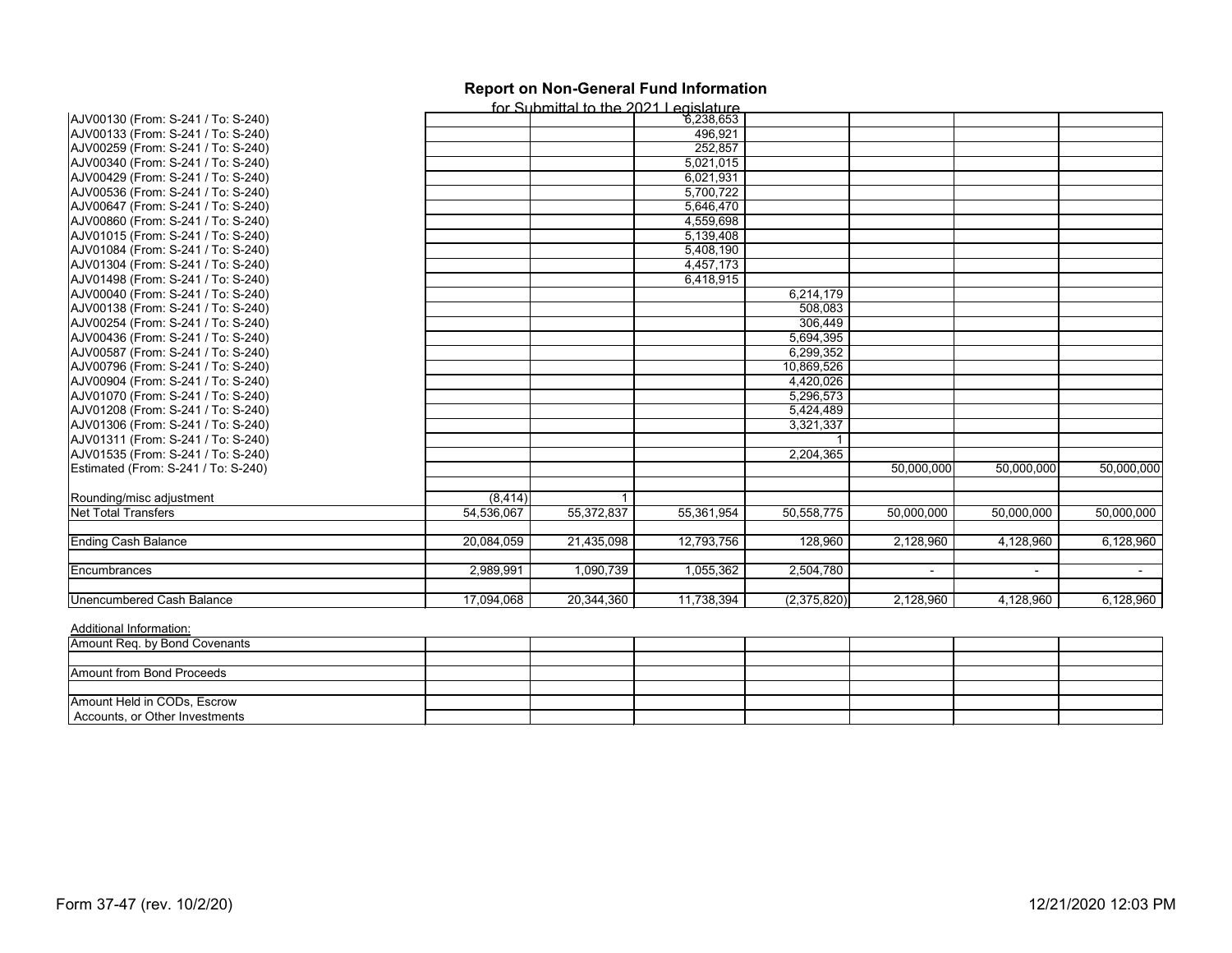|                                                        |            | for Submittal to the 2021 Legislature |            |              |                |            |            |
|--------------------------------------------------------|------------|---------------------------------------|------------|--------------|----------------|------------|------------|
| AJV00130 (From: S-241 / To: S-240)                     |            |                                       | 6,238,653  |              |                |            |            |
| AJV00133 (From: S-241 / To: S-240)                     |            |                                       | 496,921    |              |                |            |            |
| AJV00259 (From: S-241 / To: S-240)                     |            |                                       | 252,857    |              |                |            |            |
| AJV00340 (From: S-241 / To: S-240)                     |            |                                       | 5,021,015  |              |                |            |            |
| AJV00429 (From: S-241 / To: S-240)                     |            |                                       | 6,021,931  |              |                |            |            |
| AJV00536 (From: S-241 / To: S-240)                     |            |                                       | 5,700,722  |              |                |            |            |
| AJV00647 (From: S-241 / To: S-240)                     |            |                                       | 5,646,470  |              |                |            |            |
| AJV00860 (From: S-241 / To: S-240)                     |            |                                       | 4,559,698  |              |                |            |            |
| AJV01015 (From: S-241 / To: S-240)                     |            |                                       | 5,139,408  |              |                |            |            |
| AJV01084 (From: S-241 / To: S-240)                     |            |                                       | 5,408,190  |              |                |            |            |
| AJV01304 (From: S-241 / To: S-240)                     |            |                                       | 4,457,173  |              |                |            |            |
| AJV01498 (From: S-241 / To: S-240)                     |            |                                       | 6,418,915  |              |                |            |            |
| AJV00040 (From: S-241 / To: S-240)                     |            |                                       |            | 6,214,179    |                |            |            |
| AJV00138 (From: S-241 / To: S-240)                     |            |                                       |            | 508,083      |                |            |            |
| AJV00254 (From: S-241 / To: S-240)                     |            |                                       |            | 306,449      |                |            |            |
| AJV00436 (From: S-241 / To: S-240)                     |            |                                       |            | 5,694,395    |                |            |            |
| AJV00587 (From: S-241 / To: S-240)                     |            |                                       |            | 6,299,352    |                |            |            |
| AJV00796 (From: S-241 / To: S-240)                     |            |                                       |            | 10,869,526   |                |            |            |
| AJV00904 (From: S-241 / To: S-240)                     |            |                                       |            | 4,420,026    |                |            |            |
| AJV01070 (From: S-241 / To: S-240)                     |            |                                       |            | 5,296,573    |                |            |            |
| AJV01208 (From: S-241 / To: S-240)                     |            |                                       |            | 5,424,489    |                |            |            |
| AJV01306 (From: S-241 / To: S-240)                     |            |                                       |            | 3,321,337    |                |            |            |
| AJV01311 (From: S-241 / To: S-240)                     |            |                                       |            |              |                |            |            |
| AJV01535 (From: S-241 / To: S-240)                     |            |                                       |            | 2,204,365    |                |            |            |
| Estimated (From: S-241 / To: S-240)                    |            |                                       |            |              | 50,000,000     | 50,000,000 | 50,000,000 |
|                                                        | (8, 414)   |                                       |            |              |                |            |            |
| Rounding/misc adjustment<br><b>Net Total Transfers</b> | 54,536,067 | 55,372,837                            | 55,361,954 | 50, 558, 775 | 50,000,000     | 50,000,000 | 50,000,000 |
|                                                        |            |                                       |            |              |                |            |            |
| <b>Ending Cash Balance</b>                             | 20,084,059 | 21,435,098                            | 12,793,756 | 128,960      | 2,128,960      | 4,128,960  | 6,128,960  |
| Encumbrances                                           | 2,989,991  | 1,090,739                             | 1,055,362  | 2,504,780    | $\blacksquare$ | $\sim$     | $\sim$     |
| <b>Unencumbered Cash Balance</b>                       | 17,094,068 | 20,344,360                            | 11,738,394 | (2,375,820)  | 2,128,960      | 4,128,960  | 6,128,960  |

| Amount Req. by Bond Covenants  |  |  |  |  |
|--------------------------------|--|--|--|--|
|                                |  |  |  |  |
| Amount from Bond Proceeds      |  |  |  |  |
|                                |  |  |  |  |
| Amount Held in CODs, Escrow    |  |  |  |  |
| Accounts, or Other Investments |  |  |  |  |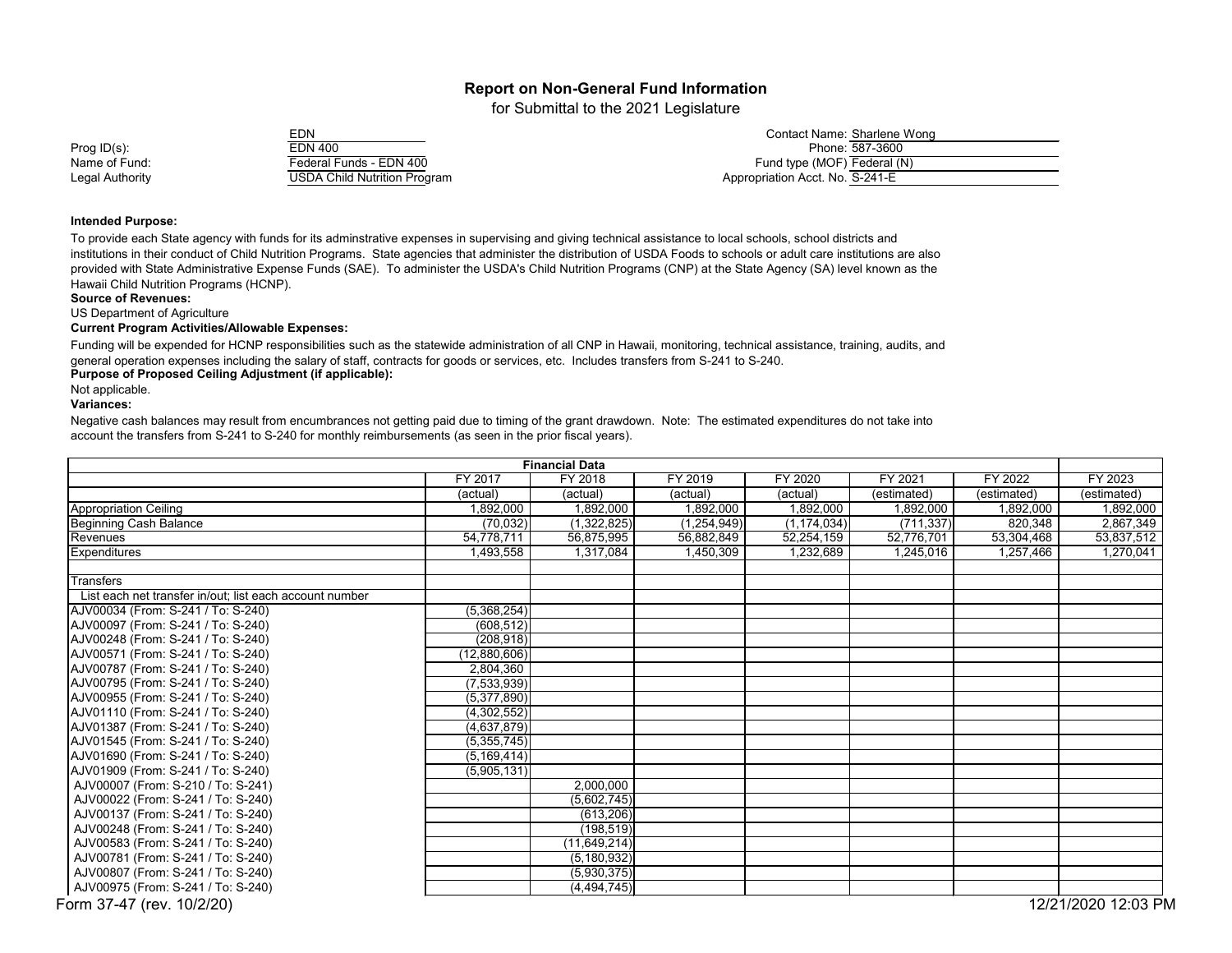for Submittal to the 2021 Legislature

| <b>EDN 400</b>                      |
|-------------------------------------|
| Federal Funds - EDN 400             |
| <b>USDA Child Nutrition Program</b> |
|                                     |

|                 | EDN                                 | Contact Name: Sharlene Wong     |
|-----------------|-------------------------------------|---------------------------------|
| Prog $ID(s)$ :  | EDN 400                             | Phone: 587-3600                 |
| Name of Fund:   | Federal Funds - EDN 400             | Fund type (MOF) Federal (N)     |
| Legal Authority | <b>USDA Child Nutrition Program</b> | Appropriation Acct. No. S-241-E |

#### **Intended Purpose:**

To provide each State agency with funds for its adminstrative expenses in supervising and giving technical assistance to local schools, school districts and institutions in their conduct of Child Nutrition Programs. State agencies that administer the distribution of USDA Foods to schools or adult care institutions are also provided with State Administrative Expense Funds (SAE). To administer the USDA's Child Nutrition Programs (CNP) at the State Agency (SA) level known as the Hawaii Child Nutrition Programs (HCNP).

**Source of Revenues:**

US Department of Agriculture

**Current Program Activities/Allowable Expenses:**

**Purpose of Proposed Ceiling Adjustment (if applicable):** Funding will be expended for HCNP responsibilities such as the statewide administration of all CNP in Hawaii, monitoring, technical assistance, training, audits, and general operation expenses including the salary of staff, contracts for goods or services, etc. Includes transfers from S-241 to S-240.

Not applicable.

**Variances:** 

Negative cash balances may result from encumbrances not getting paid due to timing of the grant drawdown. Note: The estimated expenditures do not take into account the transfers from S-241 to S-240 for monthly reimbursements (as seen in the prior fiscal years).

| <b>Financial Data</b>                                   |                |                |               |               |             |             |                     |
|---------------------------------------------------------|----------------|----------------|---------------|---------------|-------------|-------------|---------------------|
|                                                         | <b>FY 2017</b> | FY 2018        | FY 2019       | FY 2020       | FY 2021     | FY 2022     | FY 2023             |
|                                                         | (actual)       | (actual)       | (actual)      | (actual)      | (estimated) | (estimated) | (estimated)         |
| <b>Appropriation Ceiling</b>                            | 1,892,000      | 1,892,000      | 1,892,000     | 1,892,000     | 1,892,000   | 1,892,000   | 1,892,000           |
| <b>Beginning Cash Balance</b>                           | (70, 032)      | (1,322,825)    | (1, 254, 949) | (1, 174, 034) | (711, 337)  | 820,348     | 2,867,349           |
| Revenues                                                | 54,778,711     | 56,875,995     | 56,882,849    | 52,254,159    | 52,776,701  | 53,304,468  | 53,837,512          |
| <b>Expenditures</b>                                     | 1,493,558      | 1,317,084      | 1,450,309     | 1,232,689     | 1,245,016   | 1,257,466   | 1,270,041           |
| Transfers                                               |                |                |               |               |             |             |                     |
| List each net transfer in/out; list each account number |                |                |               |               |             |             |                     |
| AJV00034 (From: S-241 / To: S-240)                      | (5,368,254)    |                |               |               |             |             |                     |
| AJV00097 (From: S-241 / To: S-240)                      | (608, 512)     |                |               |               |             |             |                     |
| AJV00248 (From: S-241 / To: S-240)                      | (208, 918)     |                |               |               |             |             |                     |
| AJV00571 (From: S-241 / To: S-240)                      | (12,880,606)   |                |               |               |             |             |                     |
| AJV00787 (From: S-241 / To: S-240)                      | 2,804,360      |                |               |               |             |             |                     |
| AJV00795 (From: S-241 / To: S-240)                      | (7,533,939)    |                |               |               |             |             |                     |
| AJV00955 (From: S-241 / To: S-240)                      | (5,377,890)    |                |               |               |             |             |                     |
| AJV01110 (From: S-241 / To: S-240)                      | (4,302,552)    |                |               |               |             |             |                     |
| AJV01387 (From: S-241 / To: S-240)                      | (4,637,879)    |                |               |               |             |             |                     |
| AJV01545 (From: S-241 / To: S-240)                      | (5,355,745)    |                |               |               |             |             |                     |
| AJV01690 (From: S-241 / To: S-240)                      | (5, 169, 414)  |                |               |               |             |             |                     |
| AJV01909 (From: S-241 / To: S-240)                      | (5,905,131)    |                |               |               |             |             |                     |
| AJV00007 (From: S-210 / To: S-241)                      |                | 2,000,000      |               |               |             |             |                     |
| AJV00022 (From: S-241 / To: S-240)                      |                | (5,602,745)    |               |               |             |             |                     |
| AJV00137 (From: S-241 / To: S-240)                      |                | (613, 206)     |               |               |             |             |                     |
| AJV00248 (From: S-241 / To: S-240)                      |                | (198, 519)     |               |               |             |             |                     |
| AJV00583 (From: S-241 / To: S-240)                      |                | (11, 649, 214) |               |               |             |             |                     |
| AJV00781 (From: S-241 / To: S-240)                      |                | (5, 180, 932)  |               |               |             |             |                     |
| AJV00807 (From: S-241 / To: S-240)                      |                | (5,930,375)    |               |               |             |             |                     |
| AJV00975 (From: S-241 / To: S-240)                      |                | (4, 494, 745)  |               |               |             |             |                     |
| Form 37-47 (rev. 10/2/20)                               |                |                |               |               |             |             | 12/21/2020 12:03 PM |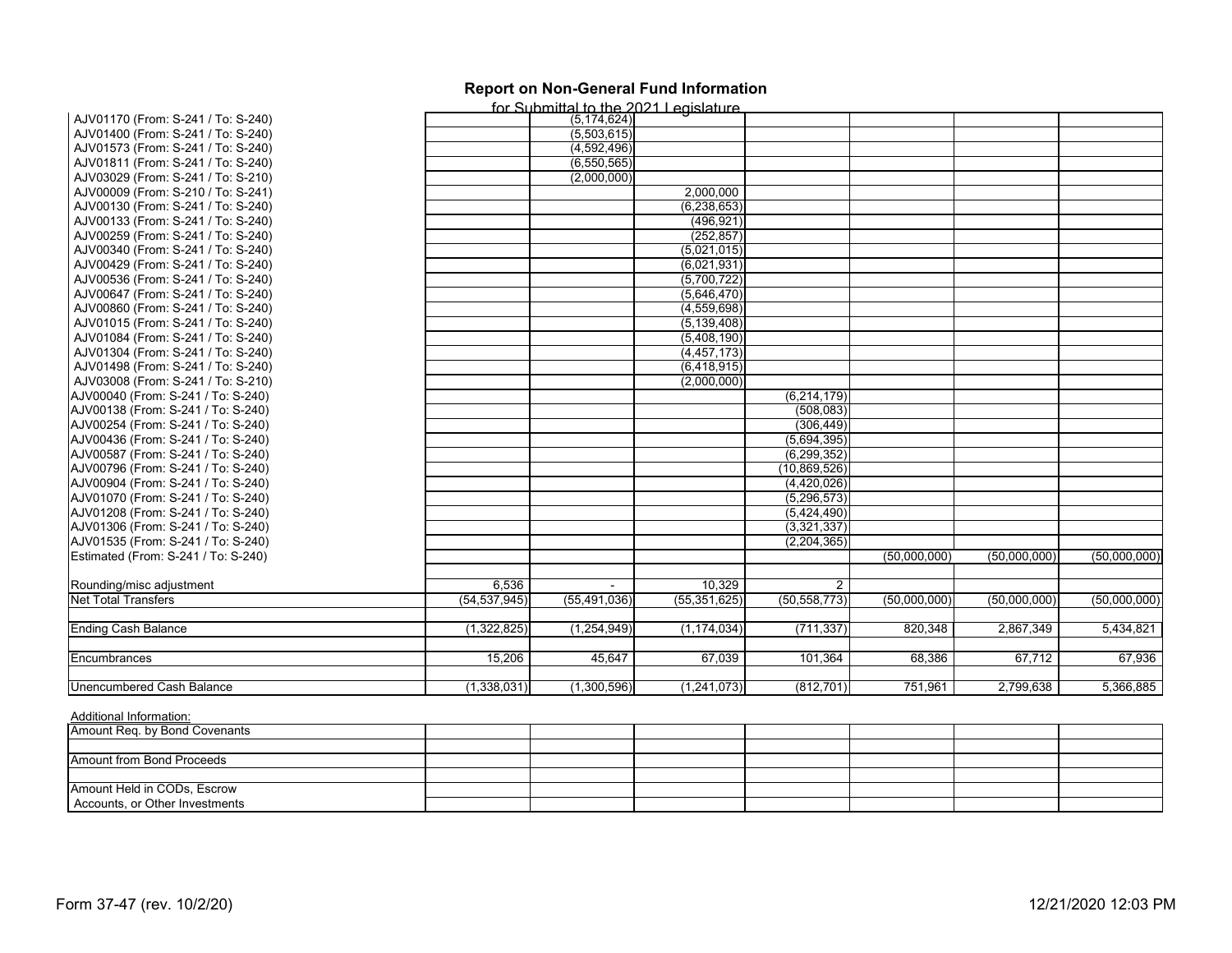|                                     |                | for Submittal to the 2021 Legislature |                |                |              |              |              |
|-------------------------------------|----------------|---------------------------------------|----------------|----------------|--------------|--------------|--------------|
| AJV01170 (From: S-241 / To: S-240)  |                | (5, 174, 624)                         |                |                |              |              |              |
| AJV01400 (From: S-241 / To: S-240)  |                | (5,503,615)                           |                |                |              |              |              |
| AJV01573 (From: S-241 / To: S-240)  |                | (4,592,496)                           |                |                |              |              |              |
| AJV01811 (From: S-241 / To: S-240)  |                | (6,550,565)                           |                |                |              |              |              |
| AJV03029 (From: S-241 / To: S-210)  |                | (2,000,000)                           |                |                |              |              |              |
| AJV00009 (From: S-210 / To: S-241)  |                |                                       | 2,000,000      |                |              |              |              |
| AJV00130 (From: S-241 / To: S-240)  |                |                                       | (6, 238, 653)  |                |              |              |              |
| AJV00133 (From: S-241 / To: S-240)  |                |                                       | (496, 921)     |                |              |              |              |
| AJV00259 (From: S-241 / To: S-240)  |                |                                       | (252, 857)     |                |              |              |              |
| AJV00340 (From: S-241 / To: S-240)  |                |                                       | (5,021,015)    |                |              |              |              |
| AJV00429 (From: S-241 / To: S-240)  |                |                                       | (6,021,931)    |                |              |              |              |
| AJV00536 (From: S-241 / To: S-240)  |                |                                       | (5,700,722)    |                |              |              |              |
| AJV00647 (From: S-241 / To: S-240)  |                |                                       | (5,646,470)    |                |              |              |              |
| AJV00860 (From: S-241 / To: S-240)  |                |                                       | (4,559,698)    |                |              |              |              |
| AJV01015 (From: S-241 / To: S-240)  |                |                                       | (5, 139, 408)  |                |              |              |              |
| AJV01084 (From: S-241 / To: S-240)  |                |                                       | (5,408,190)    |                |              |              |              |
| AJV01304 (From: S-241 / To: S-240)  |                |                                       | (4, 457, 173)  |                |              |              |              |
| AJV01498 (From: S-241 / To: S-240)  |                |                                       | (6,418,915)    |                |              |              |              |
| AJV03008 (From: S-241 / To: S-210)  |                |                                       | (2,000,000)    |                |              |              |              |
| AJV00040 (From: S-241 / To: S-240)  |                |                                       |                | (6, 214, 179)  |              |              |              |
| AJV00138 (From: S-241 / To: S-240)  |                |                                       |                | (508, 083)     |              |              |              |
| AJV00254 (From: S-241 / To: S-240)  |                |                                       |                | (306, 449)     |              |              |              |
| AJV00436 (From: S-241 / To: S-240)  |                |                                       |                | (5,694,395)    |              |              |              |
| AJV00587 (From: S-241 / To: S-240)  |                |                                       |                | (6, 299, 352)  |              |              |              |
| AJV00796 (From: S-241 / To: S-240)  |                |                                       |                | (10, 869, 526) |              |              |              |
| AJV00904 (From: S-241 / To: S-240)  |                |                                       |                | (4,420,026)    |              |              |              |
| AJV01070 (From: S-241 / To: S-240)  |                |                                       |                | (5, 296, 573)  |              |              |              |
| AJV01208 (From: S-241 / To: S-240)  |                |                                       |                | (5,424,490)    |              |              |              |
| AJV01306 (From: S-241 / To: S-240)  |                |                                       |                | (3,321,337)    |              |              |              |
| AJV01535 (From: S-241 / To: S-240)  |                |                                       |                | (2, 204, 365)  |              |              |              |
| Estimated (From: S-241 / To: S-240) |                |                                       |                |                | (50,000,000) | (50,000,000) | (50,000,000) |
|                                     |                |                                       |                |                |              |              |              |
| Rounding/misc adjustment            | 6,536          | $\blacksquare$                        | 10,329         | $\overline{2}$ |              |              |              |
| <b>Net Total Transfers</b>          | (54, 537, 945) | (55, 491, 036)                        | (55, 351, 625) | (50, 558, 773) | (50,000,000) | (50,000,000) | (50,000,000) |
|                                     |                |                                       |                |                |              |              |              |
| <b>Ending Cash Balance</b>          | (1,322,825)    | (1,254,949)                           | (1, 174, 034)  | (711, 337)     | 820,348      | 2,867,349    | 5,434,821    |
| Encumbrances                        | 15,206         | 45,647                                | 67,039         | 101,364        | 68,386       | 67,712       | 67,936       |
|                                     |                |                                       |                |                |              |              |              |
| Unencumbered Cash Balance           | (1,338,031)    | (1,300,596)                           | (1,241,073)    | (812, 701)     | 751,961      | 2,799,638    | 5,366,885    |

| Amount Req. by Bond Covenants  |  |  |  |  |
|--------------------------------|--|--|--|--|
|                                |  |  |  |  |
| Amount from Bond Proceeds      |  |  |  |  |
|                                |  |  |  |  |
| Amount Held in CODs, Escrow    |  |  |  |  |
| Accounts, or Other Investments |  |  |  |  |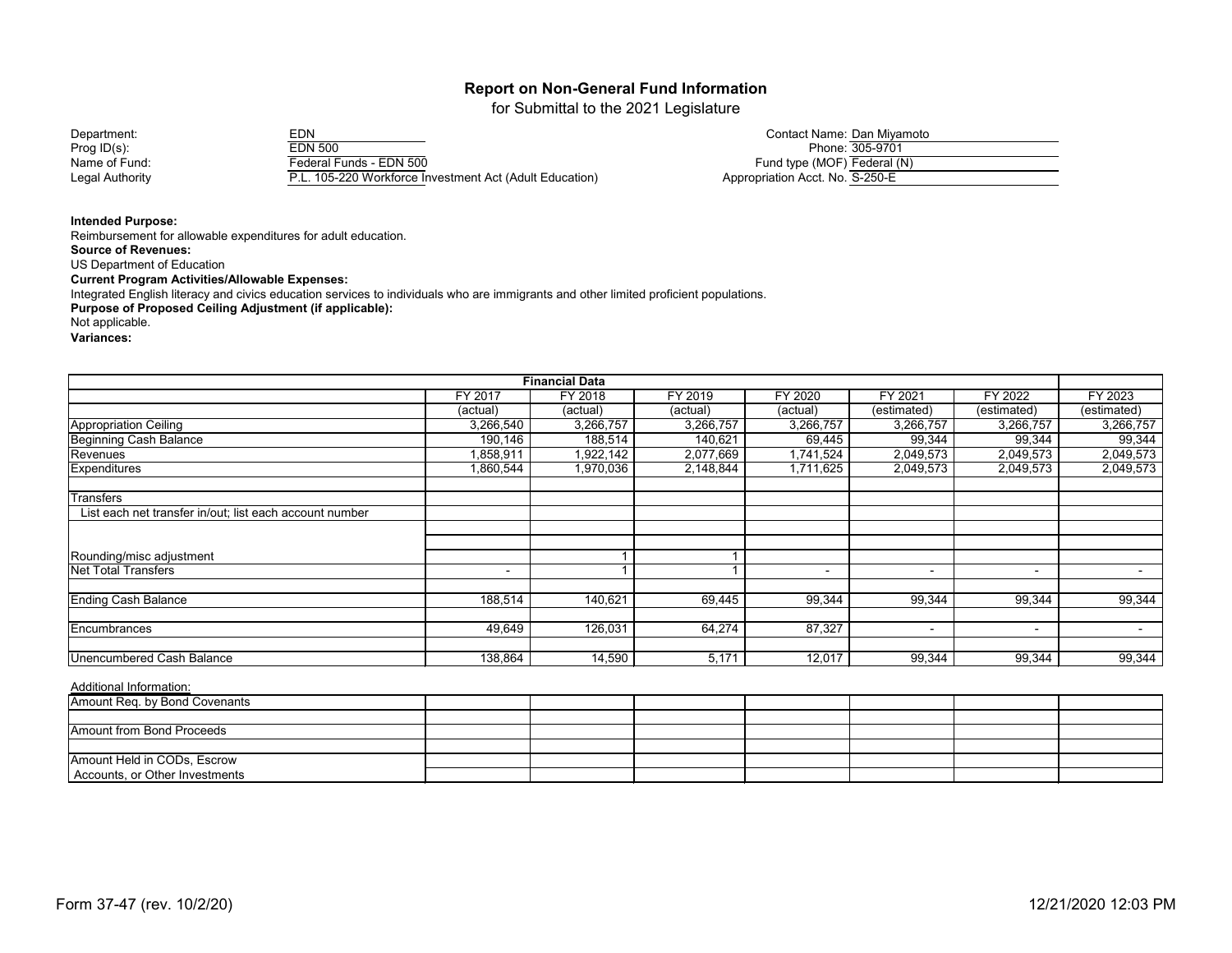for Submittal to the 2021 Legislature

Department: EDN Contact Name: Dan Miyamoto Prog ID(s): EDN 500 Phone: 305-9701 Name of Fund: Federal Funds - EDN 500<br>
Legal Authority F.L. 105-220 Workforce In P.L. 105-220 Workforce Investment Act (Adult Education)

| Contact Name: Dan Miyamoto      |                 |
|---------------------------------|-----------------|
|                                 | Phone: 305-9701 |
| Fund type (MOF) Federal (N)     |                 |
| Appropriation Acct. No. S-250-E |                 |

**Intended Purpose:**

Reimbursement for allowable expenditures for adult education. **Source of Revenues:** US Department of Education **Current Program Activities/Allowable Expenses:** Integrated English literacy and civics education services to individuals who are immigrants and other limited proficient populations. **Purpose of Proposed Ceiling Adjustment (if applicable):** Not applicable. **Variances:**

| <b>Financial Data</b>                                   |           |           |           |                |                |             |                          |  |  |
|---------------------------------------------------------|-----------|-----------|-----------|----------------|----------------|-------------|--------------------------|--|--|
|                                                         | FY 2017   | FY 2018   | FY 2019   | FY 2020        | FY 2021        | FY 2022     | FY 2023                  |  |  |
|                                                         | (actual)  | (actual)  | (actual)  | (actual)       | (estimated)    | (estimated) | (estimated)              |  |  |
| <b>Appropriation Ceiling</b>                            | 3,266,540 | 3,266,757 | 3,266,757 | 3,266,757      | 3,266,757      | 3,266,757   | 3,266,757                |  |  |
| <b>Beginning Cash Balance</b>                           | 190,146   | 188,514   | 140,621   | 69,445         | 99,344         | 99,344      | 99,344                   |  |  |
| Revenues                                                | 1,858,911 | 1,922,142 | 2,077,669 | 1,741,524      | 2,049,573      | 2,049,573   | 2,049,573                |  |  |
| <b>Expenditures</b>                                     | 1,860,544 | 1,970,036 | 2,148,844 | 1,711,625      | 2,049,573      | 2,049,573   | 2,049,573                |  |  |
| <b>Transfers</b>                                        |           |           |           |                |                |             |                          |  |  |
| List each net transfer in/out; list each account number |           |           |           |                |                |             |                          |  |  |
|                                                         |           |           |           |                |                |             |                          |  |  |
| Rounding/misc adjustment                                |           |           |           |                |                |             |                          |  |  |
| <b>Net Total Transfers</b>                              | $\sim$    |           |           | $\blacksquare$ | $\blacksquare$ | $\sim$      | $\overline{\phantom{0}}$ |  |  |
| <b>Ending Cash Balance</b>                              | 188,514   | 140,621   | 69,445    | 99,344         | 99,344         | 99,344      | 99,344                   |  |  |
| Encumbrances                                            | 49,649    | 126,031   | 64,274    | 87,327         | $\blacksquare$ | $\sim$      | $\blacksquare$           |  |  |
| Unencumbered Cash Balance                               | 138,864   | 14,590    | 5,171     | 12,017         | 99,344         | 99,344      | 99,344                   |  |  |

| Amount Req. by Bond Covenants  |  |  |  |  |
|--------------------------------|--|--|--|--|
|                                |  |  |  |  |
| Amount from Bond Proceeds      |  |  |  |  |
|                                |  |  |  |  |
| Amount Held in CODs, Escrow    |  |  |  |  |
| Accounts, or Other Investments |  |  |  |  |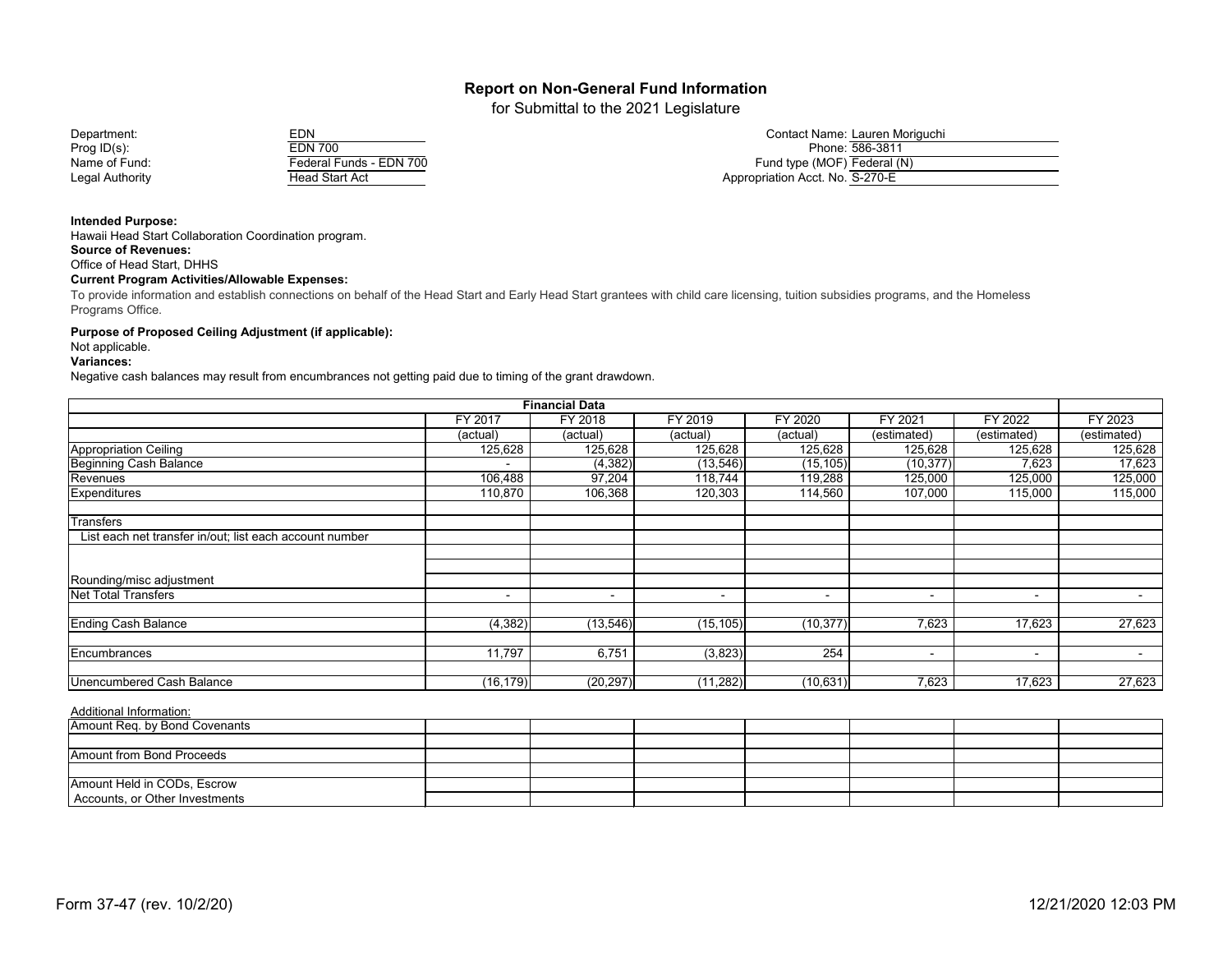for Submittal to the 2021 Legislature



| Department:     |                         | Contact Name: Lauren Moriguchi  |
|-----------------|-------------------------|---------------------------------|
| Prog ID(s):     | <b>EDN 700</b>          | Phone: 586-3811                 |
| Name of Fund:   | Federal Funds - EDN 700 | Fund type (MOF) Federal (N)     |
| Legal Authority | Head Start Act          | Appropriation Acct. No. S-270-E |

**Intended Purpose:**

Hawaii Head Start Collaboration Coordination program. **Source of Revenues:**

Office of Head Start, DHHS

#### **Current Program Activities/Allowable Expenses:**

To provide information and establish connections on behalf of the Head Start and Early Head Start grantees with child care licensing, tuition subsidies programs, and the Homeless Programs Office.

#### **Purpose of Proposed Ceiling Adjustment (if applicable):**

Not applicable.

#### **Variances:**

Negative cash balances may result from encumbrances not getting paid due to timing of the grant drawdown.

| <b>Financial Data</b>                                   |                          |                |                          |           |                          |                          |                |  |  |
|---------------------------------------------------------|--------------------------|----------------|--------------------------|-----------|--------------------------|--------------------------|----------------|--|--|
|                                                         | FY 2017                  | FY 2018        | FY 2019                  | FY 2020   | FY 2021                  | FY 2022                  | FY 2023        |  |  |
|                                                         | (actual)                 | (actual)       | (actual)                 | (actual)  | (estimated)              | (estimated)              | (estimated)    |  |  |
| <b>Appropriation Ceiling</b>                            | 125,628                  | 125,628        | 125,628                  | 125,628   | 125,628                  | 125,628                  | 125,628        |  |  |
| <b>Beginning Cash Balance</b>                           |                          | (4, 382)       | (13, 546)                | (15, 105) | (10, 377)                | 7,623                    | 17,623         |  |  |
| Revenues                                                | 106,488                  | 97,204         | 118,744                  | 119,288   | 125,000                  | 125,000                  | 125,000        |  |  |
| Expenditures                                            | 110,870                  | 106,368        | 120,303                  | 114,560   | 107,000                  | 115,000                  | 115,000        |  |  |
| <b>Transfers</b>                                        |                          |                |                          |           |                          |                          |                |  |  |
| List each net transfer in/out; list each account number |                          |                |                          |           |                          |                          |                |  |  |
|                                                         |                          |                |                          |           |                          |                          |                |  |  |
| Rounding/misc adjustment                                |                          |                |                          |           |                          |                          |                |  |  |
| <b>Net Total Transfers</b>                              | $\overline{\phantom{a}}$ | $\blacksquare$ | $\overline{\phantom{0}}$ | ۰         | $\overline{\phantom{a}}$ | $\overline{\phantom{a}}$ | $\blacksquare$ |  |  |
| <b>Ending Cash Balance</b>                              | (4, 382)                 | (13, 546)      | (15, 105)                | (10, 377) | 7,623                    | 17,623                   | 27,623         |  |  |
| Encumbrances                                            | 11,797                   | 6,751          | (3,823)                  | 254       | -                        | $\sim$                   | $\sim$         |  |  |
|                                                         |                          |                |                          |           |                          |                          |                |  |  |
| Unencumbered Cash Balance                               | (16, 179)                | (20, 297)      | (11, 282)                | (10, 631) | 7,623                    | 17,623                   | 27,623         |  |  |

| Amount Req. by Bond Covenants  |  |  |  |  |
|--------------------------------|--|--|--|--|
|                                |  |  |  |  |
| Amount from Bond Proceeds      |  |  |  |  |
|                                |  |  |  |  |
| Amount Held in CODs, Escrow    |  |  |  |  |
| Accounts, or Other Investments |  |  |  |  |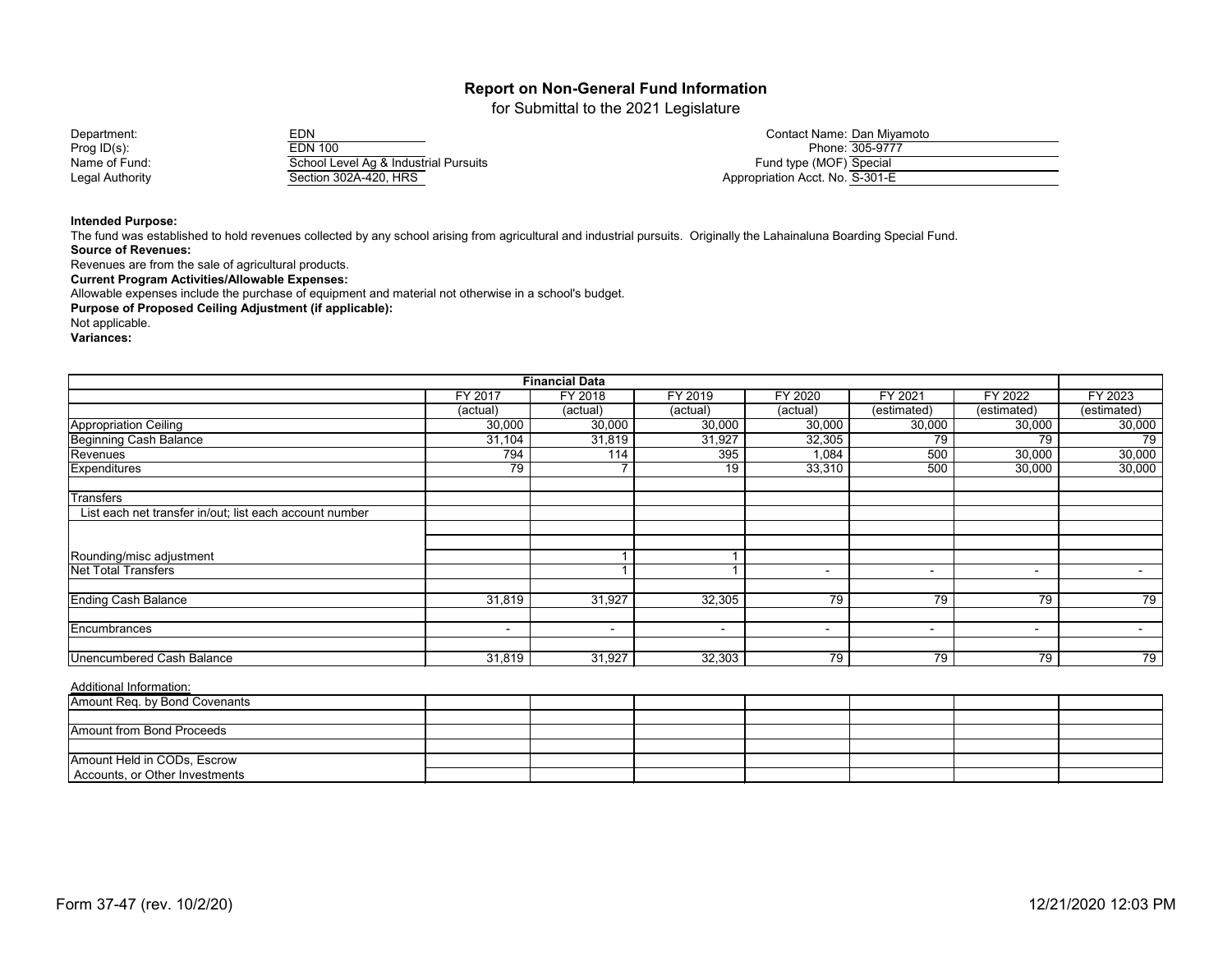for Submittal to the 2021 Legislature

Prog ID(s): EDN 100 Phone: 305-9777 Name of Fund: School Level Ag & Industrial Pursuits<br>Legal Authority Section 302A-420, HRS Legal Authority Section 302A-420, HRS Appropriation Acct. No. 302A-420, HRS

| Department:     | EDN                                   | Contact Name: Dan Miyamoto      |
|-----------------|---------------------------------------|---------------------------------|
| Prog ID(s):     | EDN 100                               | Phone: 305-9777                 |
| Name of Fund:   | School Level Ag & Industrial Pursuits | Fund type (MOF) Special         |
| Legal Authoritv | Section 302A-420, HRS                 | Appropriation Acct. No. S-301-E |

**Intended Purpose:**

The fund was established to hold revenues collected by any school arising from agricultural and industrial pursuits. Originally the Lahainaluna Boarding Special Fund. **Source of Revenues:**

Revenues are from the sale of agricultural products.

**Current Program Activities/Allowable Expenses:**

Allowable expenses include the purchase of equipment and material not otherwise in a school's budget.

**Purpose of Proposed Ceiling Adjustment (if applicable):**

Not applicable.

**Variances:**

|                                                         |                | <b>Financial Data</b>    |                          |          |                          |                          |                |
|---------------------------------------------------------|----------------|--------------------------|--------------------------|----------|--------------------------|--------------------------|----------------|
|                                                         | FY 2017        | FY 2018                  | FY 2019                  | FY 2020  | FY 2021                  | FY 2022                  | FY 2023        |
|                                                         | (actual)       | (actual)                 | (actual)                 | (actual) | (estimated)              | (estimated)              | (estimated)    |
| Appropriation Ceiling                                   | 30,000         | 30,000                   | 30,000                   | 30,000   | 30,000                   | 30,000                   | 30,000         |
| <b>Beginning Cash Balance</b>                           | 31,104         | 31,819                   | 31,927                   | 32,305   | 79                       | 79                       | 79             |
| Revenues                                                | 794            | 114                      | 395                      | 1,084    | 500                      | 30,000                   | 30,000         |
| Expenditures                                            | 79             |                          | 19                       | 33,310   | 500                      | 30,000                   | 30,000         |
| Transfers                                               |                |                          |                          |          |                          |                          |                |
| List each net transfer in/out; list each account number |                |                          |                          |          |                          |                          |                |
|                                                         |                |                          |                          |          |                          |                          |                |
| Rounding/misc adjustment                                |                |                          |                          |          |                          |                          |                |
| <b>Net Total Transfers</b>                              |                |                          |                          | $\sim$   | $\blacksquare$           | $\sim$                   | $\blacksquare$ |
| <b>Ending Cash Balance</b>                              | 31,819         | 31,927                   | 32,305                   | 79       | 79                       | 79                       | 79             |
| Encumbrances                                            | $\blacksquare$ | $\overline{\phantom{0}}$ | $\overline{\phantom{a}}$ | ۰.       | $\overline{\phantom{0}}$ | $\overline{\phantom{a}}$ | $\sim$         |
| <b>Unencumbered Cash Balance</b>                        | 31,819         | 31,927                   | 32,303                   | 79       | 79                       | 79                       | 79             |

Additional Information:

| Amount Req. by Bond Covenants  |  |  |  |  |
|--------------------------------|--|--|--|--|
|                                |  |  |  |  |
| Amount from Bond Proceeds      |  |  |  |  |
|                                |  |  |  |  |
| Amount Held in CODs, Escrow    |  |  |  |  |
| Accounts, or Other Investments |  |  |  |  |

Form 37-47 (rev. 10/2/20) 12/21/2020 12:03 PM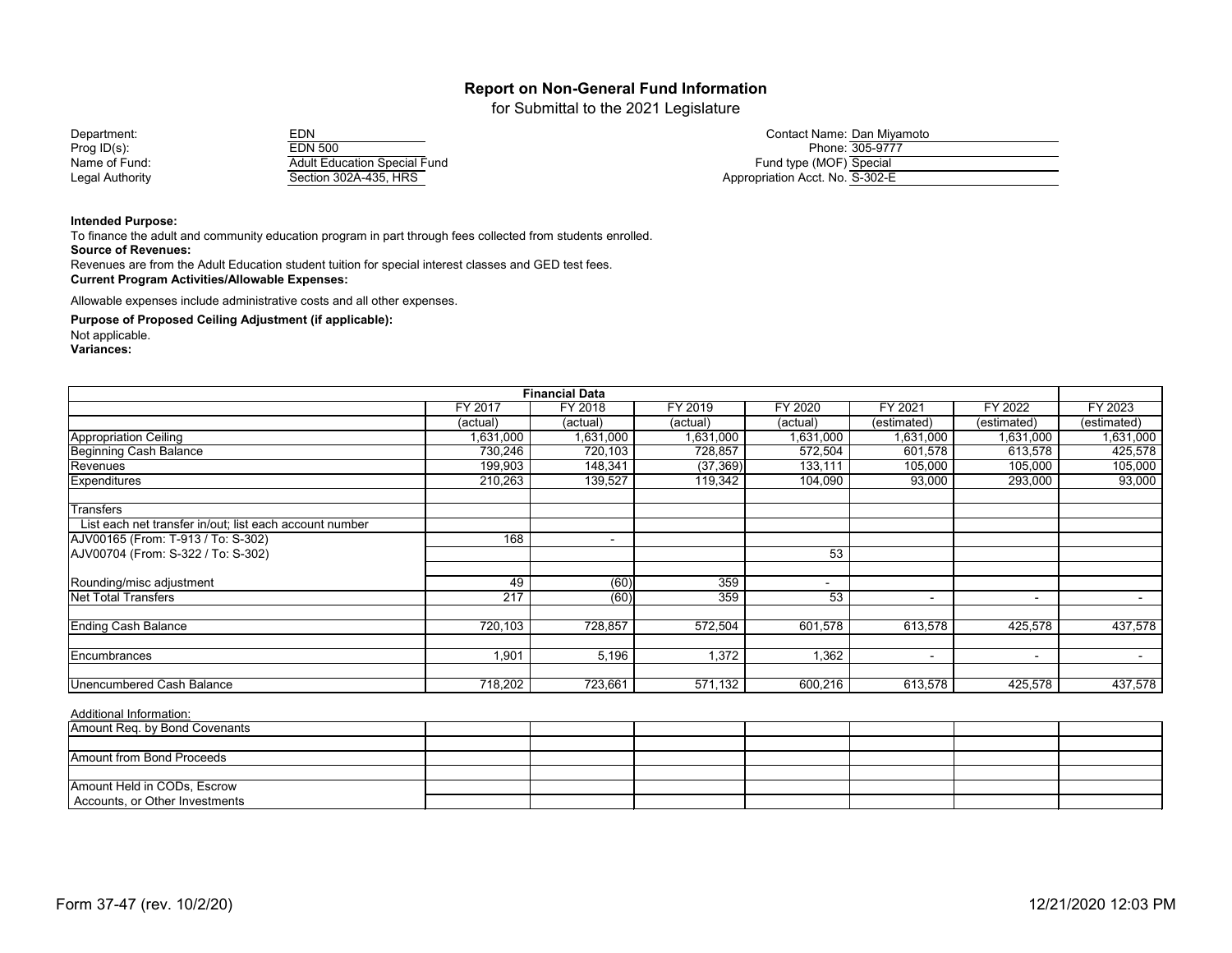for Submittal to the 2021 Legislature

| EDN                                 |
|-------------------------------------|
| <b>EDN 500</b>                      |
| <b>Adult Education Special Fund</b> |
| Section 302A-435, HRS               |

| Department:     | EDN                                 | Contact Name: Dan Miyamoto      |
|-----------------|-------------------------------------|---------------------------------|
| Prog $ID(s)$ :  | EDN 500                             | Phone: 305-9777                 |
| Name of Fund:   | <b>Adult Education Special Fund</b> | Fund type (MOF) Special         |
| Legal Authority | Section 302A-435, HRS               | Appropriation Acct. No. S-302-E |

#### **Intended Purpose:**

To finance the adult and community education program in part through fees collected from students enrolled.

**Source of Revenues:**

Revenues are from the Adult Education student tuition for special interest classes and GED test fees. **Current Program Activities/Allowable Expenses:**

Allowable expenses include administrative costs and all other expenses.

**Purpose of Proposed Ceiling Adjustment (if applicable):**

Not applicable.

**Variances:**

| <b>Financial Data</b>                                   |                  |                          |           |           |                          |                          |             |  |  |
|---------------------------------------------------------|------------------|--------------------------|-----------|-----------|--------------------------|--------------------------|-------------|--|--|
|                                                         | FY 2017          | FY 2018                  | FY 2019   | FY 2020   | FY 2021                  | FY 2022                  | FY 2023     |  |  |
|                                                         | (actual)         | (actual)                 | (actual)  | (actual)  | (estimated)              | (estimated)              | (estimated) |  |  |
| Appropriation Ceiling                                   | 1,631,000        | 1,631,000                | 1,631,000 | 1,631,000 | 1,631,000                | 1,631,000                | 1,631,000   |  |  |
| <b>Beginning Cash Balance</b>                           | 730,246          | 720,103                  | 728,857   | 572,504   | 601,578                  | 613,578                  | 425,578     |  |  |
| Revenues                                                | 199,903          | 148,341                  | (37, 369) | 133,111   | 105,000                  | 105,000                  | 105,000     |  |  |
| Expenditures                                            | 210,263          | 139,527                  | 119,342   | 104,090   | 93,000                   | 293,000                  | 93,000      |  |  |
| <b>Transfers</b>                                        |                  |                          |           |           |                          |                          |             |  |  |
| List each net transfer in/out; list each account number |                  |                          |           |           |                          |                          |             |  |  |
| AJV00165 (From: T-913 / To: S-302)                      | 168              | $\overline{\phantom{a}}$ |           |           |                          |                          |             |  |  |
| AJV00704 (From: S-322 / To: S-302)                      |                  |                          |           | 53        |                          |                          |             |  |  |
| Rounding/misc adjustment                                | 49               | (60)                     | 359       | ۰         |                          |                          |             |  |  |
| <b>Net Total Transfers</b>                              | $\overline{217}$ | (60)                     | 359       | 53        |                          | $\overline{\phantom{a}}$ | $\sim$      |  |  |
| <b>Ending Cash Balance</b>                              | 720,103          | 728,857                  | 572,504   | 601,578   | 613,578                  | 425,578                  | 437,578     |  |  |
| Encumbrances                                            | 1,901            | 5,196                    | 1,372     | 1,362     | $\overline{\phantom{a}}$ | $\overline{\phantom{a}}$ | $\sim$      |  |  |
|                                                         |                  |                          |           |           |                          |                          |             |  |  |
| Unencumbered Cash Balance                               | 718,202          | 723,661                  | 571,132   | 600,216   | 613,578                  | 425,578                  | 437,578     |  |  |

| Amount Req. by Bond Covenants  |  |  |  |  |
|--------------------------------|--|--|--|--|
|                                |  |  |  |  |
| Amount from Bond Proceeds      |  |  |  |  |
|                                |  |  |  |  |
| Amount Held in CODs, Escrow    |  |  |  |  |
| Accounts, or Other Investments |  |  |  |  |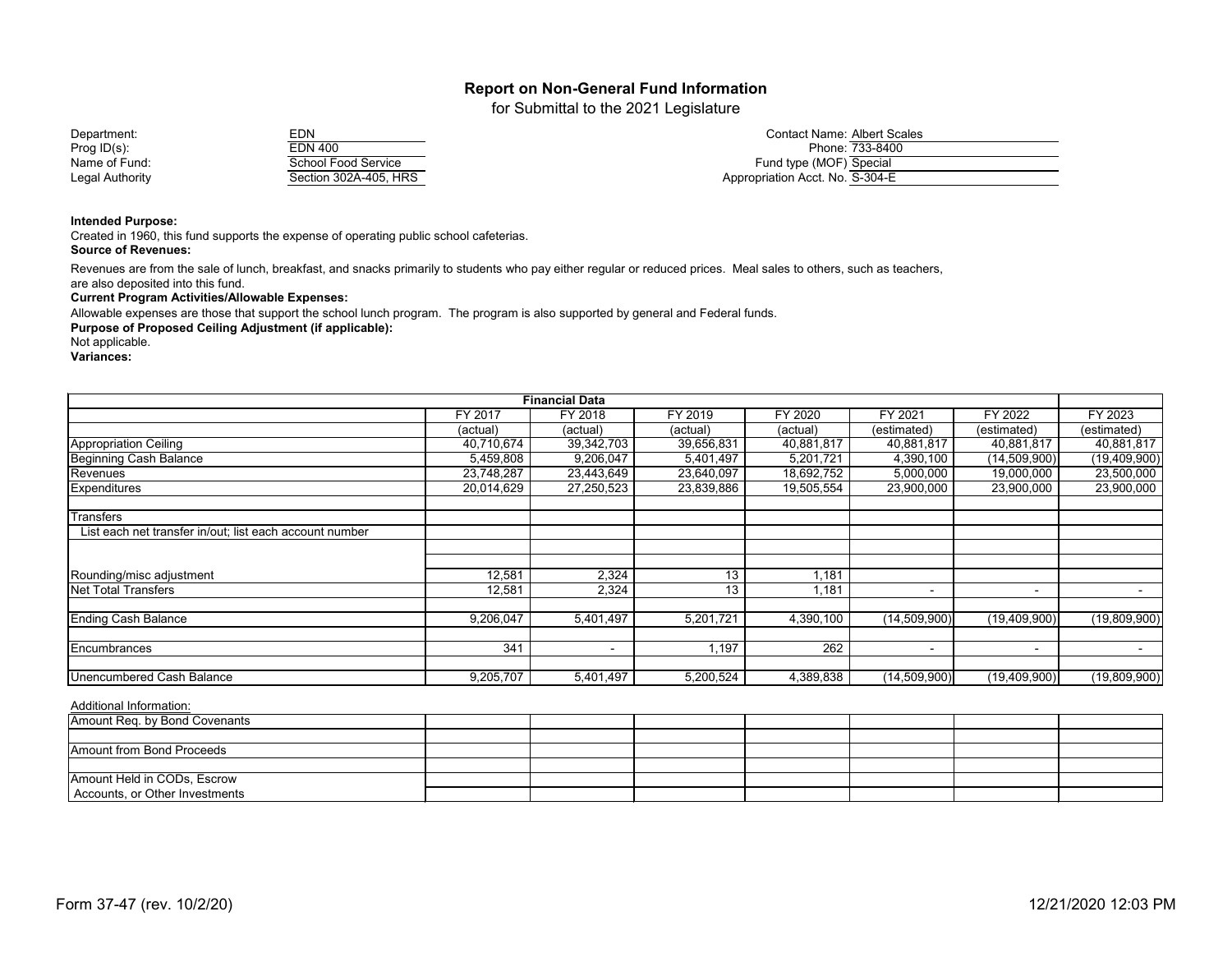for Submittal to the 2021 Legislature

Name of Fund: School Food Service<br>
Legal Authority<br>
Section 302A-405, Hi Legal Authority Section 302A-405, HRS Appropriation Acct. No. 302A-405, HRS

| Department:     | EDN                   | <b>Contact Name: Albert Scales</b> |
|-----------------|-----------------------|------------------------------------|
| Prog ID(s):     | EDN 400               | Phone: 733-8400                    |
| Name of Fund:   | School Food Service   | Fund type (MOF) Special            |
| Legal Authority | Section 302A-405, HRS | Appropriation Acct. No. S-304-E    |

#### **Intended Purpose:**

Created in 1960, this fund supports the expense of operating public school cafeterias. **Source of Revenues:**

Revenues are from the sale of lunch, breakfast, and snacks primarily to students who pay either regular or reduced prices. Meal sales to others, such as teachers,

are also deposited into this fund.

**Current Program Activities/Allowable Expenses:**

Allowable expenses are those that support the school lunch program. The program is also supported by general and Federal funds.

**Purpose of Proposed Ceiling Adjustment (if applicable):**

Not applicable.

**Variances:**

|                                                         |            | <b>Financial Data</b> |            |            |                |              |                |
|---------------------------------------------------------|------------|-----------------------|------------|------------|----------------|--------------|----------------|
|                                                         | FY 2017    | FY 2018               | FY 2019    | FY 2020    | FY 2021        | FY 2022      | FY 2023        |
|                                                         | (actual)   | (actual)              | (actual)   | (actual)   | (estimated)    | (estimated)  | (estimated)    |
| <b>Appropriation Ceiling</b>                            | 40,710,674 | 39,342,703            | 39,656,831 | 40,881,817 | 40,881,817     | 40,881,817   | 40,881,817     |
| <b>Beginning Cash Balance</b>                           | 5,459,808  | 9,206,047             | 5,401,497  | 5,201,721  | 4,390,100      | (14,509,900) | (19, 409, 900) |
| Revenues                                                | 23,748,287 | 23,443,649            | 23,640,097 | 18,692,752 | 5,000,000      | 19,000,000   | 23,500,000     |
| <b>Expenditures</b>                                     | 20,014,629 | 27,250,523            | 23,839,886 | 19,505,554 | 23,900,000     | 23,900,000   | 23,900,000     |
| <b>Transfers</b>                                        |            |                       |            |            |                |              |                |
| List each net transfer in/out; list each account number |            |                       |            |            |                |              |                |
|                                                         |            |                       |            |            |                |              |                |
|                                                         |            |                       |            |            |                |              |                |
| Rounding/misc adjustment                                | 12,581     | 2,324                 | 13         | 1,181      |                |              |                |
| Net Total Transfers                                     | 12,581     | 2,324                 | 13         | 1,181      |                | $\sim$       |                |
| <b>Ending Cash Balance</b>                              | 9,206,047  | 5,401,497             | 5,201,721  | 4,390,100  | (14,509,900)   | (19,409,900) | (19,809,900)   |
|                                                         |            |                       |            |            |                |              |                |
| <b>Encumbrances</b>                                     | 341        | $\blacksquare$        | 1,197      | 262        | $\blacksquare$ | $\sim$       |                |
|                                                         |            |                       |            |            |                |              |                |
| Unencumbered Cash Balance                               | 9,205,707  | 5,401,497             | 5,200,524  | 4,389,838  | (14,509,900)   | (19,409,900) | (19,809,900)   |

| Amount Req. by Bond Covenants  |  |  |  |  |
|--------------------------------|--|--|--|--|
|                                |  |  |  |  |
| Amount from Bond Proceeds      |  |  |  |  |
|                                |  |  |  |  |
| Amount Held in CODs, Escrow    |  |  |  |  |
| Accounts, or Other Investments |  |  |  |  |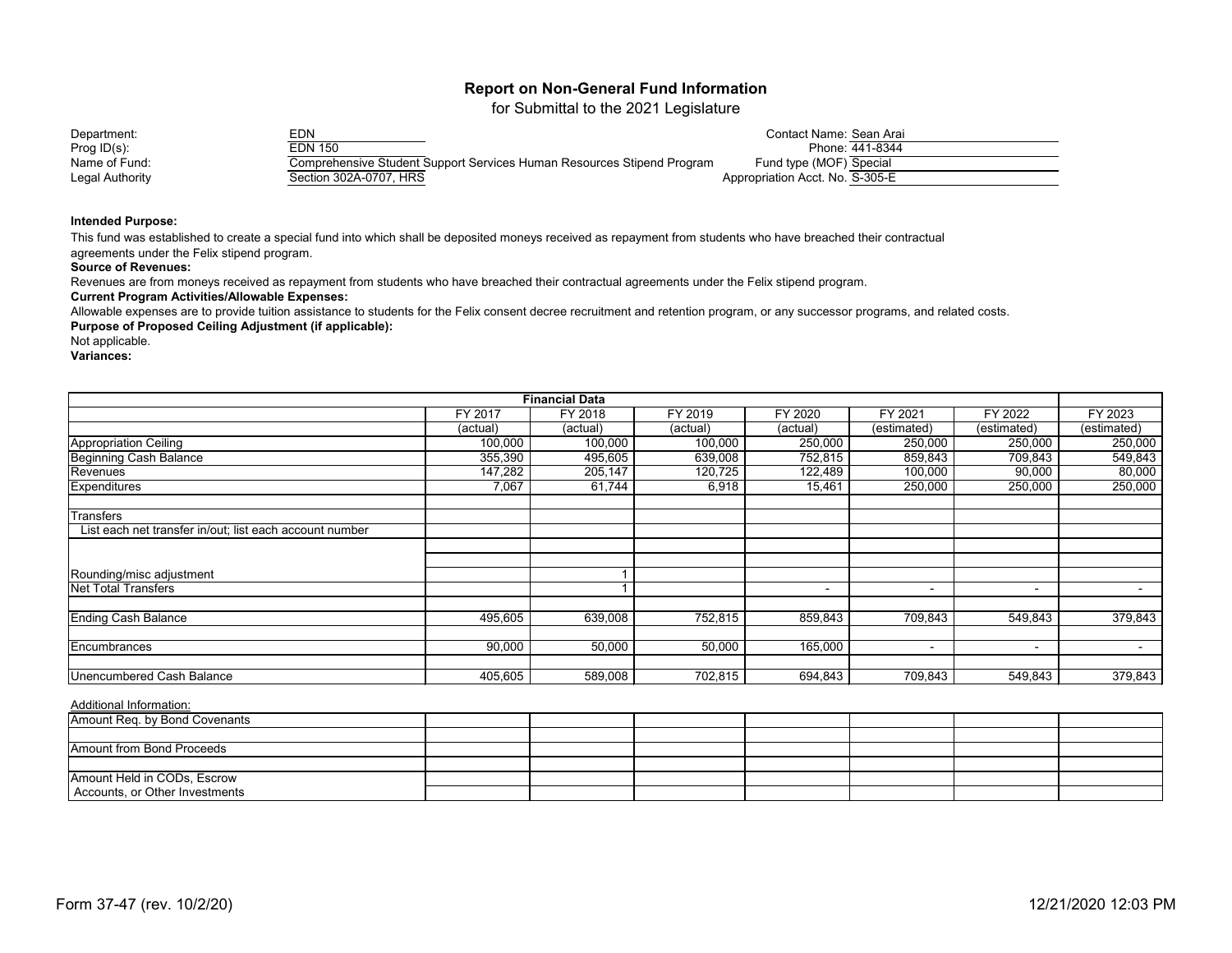for Submittal to the 2021 Legislature

| Department:     | EDN.                                                                   | Contact Name: Sean Arai         |
|-----------------|------------------------------------------------------------------------|---------------------------------|
| Prog $ID(s)$ :  | EDN 150                                                                | Phone: 441-8344                 |
| Name of Fund:   | Comprehensive Student Support Services Human Resources Stipend Program | Fund type (MOF) Special         |
| Legal Authority | Section 302A-0707, HRS                                                 | Appropriation Acct. No. S-305-E |

#### **Intended Purpose:**

This fund was established to create a special fund into which shall be deposited moneys received as repayment from students who have breached their contractual

agreements under the Felix stipend program.

#### **Source of Revenues:**

Revenues are from moneys received as repayment from students who have breached their contractual agreements under the Felix stipend program.

#### **Current Program Activities/Allowable Expenses:**

Allowable expenses are to provide tuition assistance to students for the Felix consent decree recruitment and retention program, or any successor programs, and related costs.

**Purpose of Proposed Ceiling Adjustment (if applicable):**

Not applicable.

**Variances:**

|                                                         |                | <b>Financial Data</b> |          |                |                          |                          |                          |
|---------------------------------------------------------|----------------|-----------------------|----------|----------------|--------------------------|--------------------------|--------------------------|
|                                                         | <b>FY 2017</b> | FY 2018               | FY 2019  | <b>FY 2020</b> | FY 2021                  | FY 2022                  | FY 2023                  |
|                                                         | (actual)       | (actual)              | (actual) | (actual)       | (estimated)              | (estimated)              | (estimated)              |
| <b>Appropriation Ceiling</b>                            | 100,000        | 100,000               | 100,000  | 250,000        | 250,000                  | 250,000                  | 250,000                  |
| <b>Beginning Cash Balance</b>                           | 355,390        | 495,605               | 639,008  | 752,815        | 859,843                  | 709,843                  | 549,843                  |
| Revenues                                                | 147,282        | 205,147               | 120,725  | 122,489        | 100,000                  | 90,000                   | 80,000                   |
| <b>Expenditures</b>                                     | 7,067          | 61,744                | 6,918    | 15,461         | 250,000                  | 250,000                  | 250,000                  |
| <b>Transfers</b>                                        |                |                       |          |                |                          |                          |                          |
| List each net transfer in/out; list each account number |                |                       |          |                |                          |                          |                          |
|                                                         |                |                       |          |                |                          |                          |                          |
|                                                         |                |                       |          |                |                          |                          |                          |
| Rounding/misc adjustment                                |                |                       |          |                |                          |                          |                          |
| <b>Net Total Transfers</b>                              |                |                       |          |                | $\overline{\phantom{0}}$ | $\sim$                   | $\overline{\phantom{a}}$ |
| <b>Ending Cash Balance</b>                              | 495,605        | 639,008               | 752,815  | 859,843        | 709,843                  | 549,843                  | 379,843                  |
| Encumbrances                                            | 90,000         | 50,000                | 50,000   | 165,000        |                          |                          |                          |
|                                                         |                |                       |          |                | $\overline{\phantom{0}}$ | $\overline{\phantom{a}}$ | $\overline{\phantom{0}}$ |
| <b>Unencumbered Cash Balance</b>                        | 405,605        | 589,008               | 702,815  | 694,843        | 709,843                  | 549,843                  | 379,843                  |

| Amount Req. by Bond Covenants    |  |  |  |  |
|----------------------------------|--|--|--|--|
|                                  |  |  |  |  |
| <b>Amount from Bond Proceeds</b> |  |  |  |  |
|                                  |  |  |  |  |
| Amount Held in CODs, Escrow      |  |  |  |  |
| Accounts, or Other Investments   |  |  |  |  |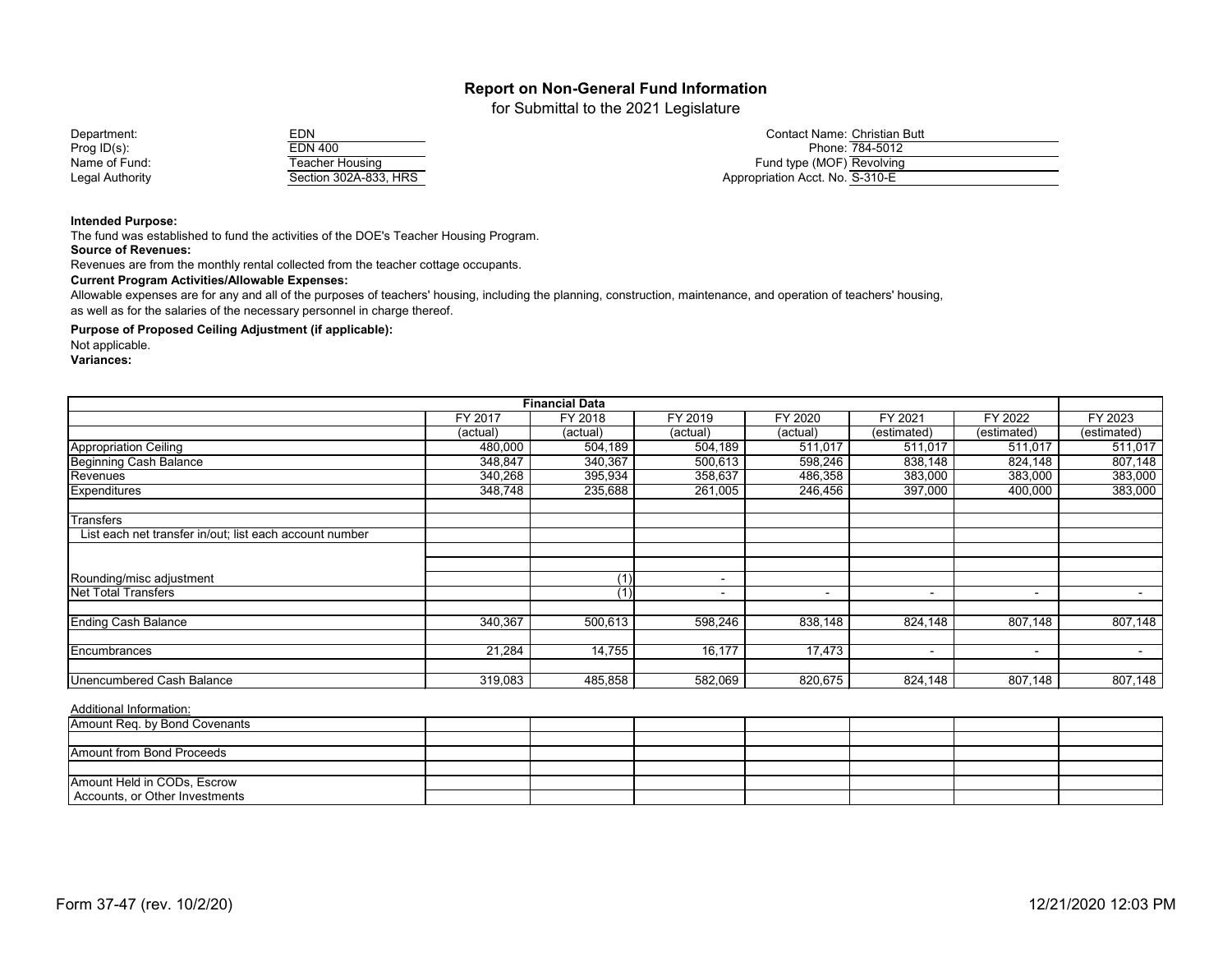for Submittal to the 2021 Legislature

Name of Fund: Teacher Housing<br>
Legal Authority<br>
Cection 302A-833 Legal Authority Section 302A-833, HRS Appropriation Acct. No. 302A-833, HRS

| Department:     |                       | Contact Name: Christian Butt    |
|-----------------|-----------------------|---------------------------------|
| Prog ID(s):     | EDN 400               | Phone: 784-5012                 |
| Name of Fund:   | ⊺eacher Housinɑ       | Fund type (MOF) Revolving       |
| Legal Authority | Section 302A-833, HRS | Appropriation Acct. No. S-310-E |

**Intended Purpose:**

The fund was established to fund the activities of the DOE's Teacher Housing Program. **Source of Revenues:**

Revenues are from the monthly rental collected from the teacher cottage occupants.

**Current Program Activities/Allowable Expenses:**

Allowable expenses are for any and all of the purposes of teachers' housing, including the planning, construction, maintenance, and operation of teachers' housing, as well as for the salaries of the necessary personnel in charge thereof.

**Purpose of Proposed Ceiling Adjustment (if applicable):**

Not applicable.

**Variances:**

|                                                         |          | <b>Financial Data</b> |          |                          |                |                          |             |
|---------------------------------------------------------|----------|-----------------------|----------|--------------------------|----------------|--------------------------|-------------|
|                                                         | FY 2017  | FY 2018               | FY 2019  | <b>FY 2020</b>           | FY 2021        | FY 2022                  | FY 2023     |
|                                                         | (actual) | (actual)              | (actual) | (actual)                 | (estimated)    | (estimated)              | (estimated) |
| <b>Appropriation Ceiling</b>                            | 480,000  | 504,189               | 504,189  | 511,017                  | 511,017        | 511,017                  | 511,017     |
| <b>Beginning Cash Balance</b>                           | 348,847  | 340,367               | 500,613  | 598,246                  | 838,148        | 824,148                  | 807,148     |
| Revenues                                                | 340,268  | 395,934               | 358,637  | 486,358                  | 383,000        | 383,000                  | 383,000     |
| <b>Expenditures</b>                                     | 348,748  | 235,688               | 261,005  | 246,456                  | 397,000        | 400,000                  | 383,000     |
| <b>Transfers</b>                                        |          |                       |          |                          |                |                          |             |
| List each net transfer in/out; list each account number |          |                       |          |                          |                |                          |             |
|                                                         |          |                       |          |                          |                |                          |             |
| Rounding/misc adjustment                                |          | (1)                   | -        |                          |                |                          |             |
| <b>Net Total Transfers</b>                              |          |                       | -        | $\overline{\phantom{0}}$ | $\blacksquare$ | $\overline{\phantom{0}}$ |             |
| <b>Ending Cash Balance</b>                              | 340,367  | 500,613               | 598,246  | 838,148                  | 824,148        | 807,148                  | 807,148     |
|                                                         |          |                       |          |                          |                |                          |             |
| Encumbrances                                            | 21,284   | 14,755                | 16,177   | 17,473                   |                | $\sim$                   |             |
| <b>Unencumbered Cash Balance</b>                        | 319,083  | 485,858               | 582,069  | 820,675                  | 824,148        | 807,148                  | 807,148     |

| Amount Req. by Bond Covenants    |  |  |  |  |
|----------------------------------|--|--|--|--|
|                                  |  |  |  |  |
| <b>Amount from Bond Proceeds</b> |  |  |  |  |
|                                  |  |  |  |  |
| Amount Held in CODs, Escrow      |  |  |  |  |
| Accounts, or Other Investments   |  |  |  |  |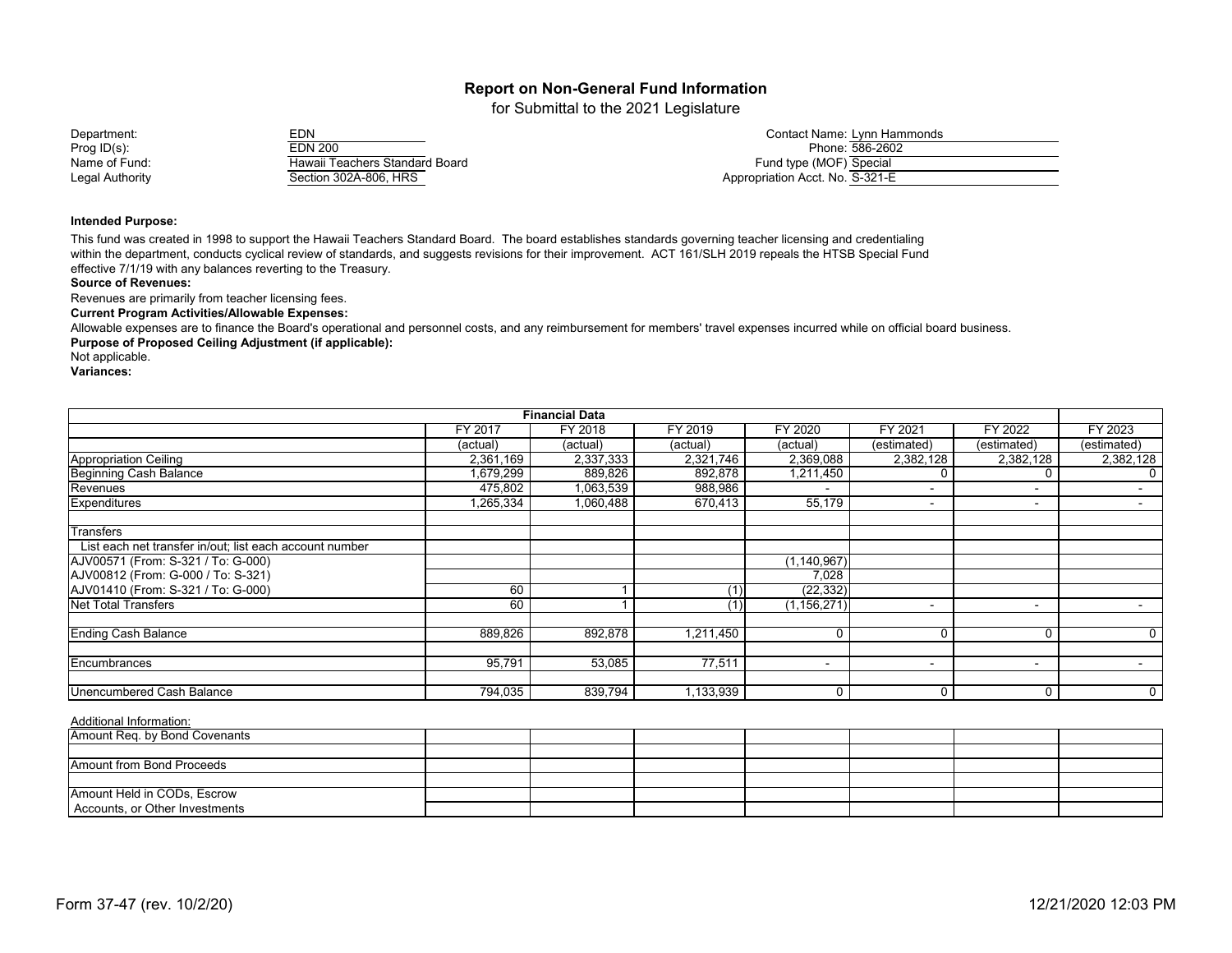for Submittal to the 2021 Legislature

Hawaii Teachers Standard Board<br>Section 302A-806, HRS Legal Authority **Section 302A-806, HRS** Appropriation Acct. No. S-321-E

Department: EDN EDN EDN EDN EDN EDN Contact Name: Lynn Hammonds Contact Name: Lynn Hammonds EDN 200 Prog ID(s): Prog ID(s): Phone: 586-2602<br>Name of Fund: Fund: Hawaii Teachers Standard Board

#### **Intended Purpose:**

This fund was created in 1998 to support the Hawaii Teachers Standard Board. The board establishes standards governing teacher licensing and credentialing within the department, conducts cyclical review of standards, and suggests revisions for their improvement. ACT 161/SLH 2019 repeals the HTSB Special Fund effective 7/1/19 with any balances reverting to the Treasury.

#### **Source of Revenues:**

Revenues are primarily from teacher licensing fees.

#### **Current Program Activities/Allowable Expenses:**

**Purpose of Proposed Ceiling Adjustment (if applicable):** Allowable expenses are to finance the Board's operational and personnel costs, and any reimbursement for members' travel expenses incurred while on official board business.

Not applicable.

**Variances:**

|                                                         |           | <b>Financial Data</b> |           |                |                          |                          |             |
|---------------------------------------------------------|-----------|-----------------------|-----------|----------------|--------------------------|--------------------------|-------------|
|                                                         | FY 2017   | FY 2018               | FY 2019   | <b>FY 2020</b> | FY 2021                  | FY 2022                  | FY 2023     |
|                                                         | (actual)  | (actual)              | (actual)  | (actual)       | (estimated)              | (estimated)              | (estimated) |
| Appropriation Ceiling                                   | 2,361,169 | 2,337,333             | 2,321,746 | 2,369,088      | 2,382,128                | 2,382,128                | 2,382,128   |
| <b>Beginning Cash Balance</b>                           | 1,679,299 | 889,826               | 892,878   | 1,211,450      |                          |                          | 0           |
| Revenues                                                | 475,802   | 1,063,539             | 988,986   | ۰              | $\overline{\phantom{a}}$ | $\blacksquare$           |             |
| <b>Expenditures</b>                                     | 1,265,334 | 1,060,488             | 670,413   | 55,179         |                          | $\blacksquare$           | $\sim$      |
| <b>Transfers</b>                                        |           |                       |           |                |                          |                          |             |
| List each net transfer in/out; list each account number |           |                       |           |                |                          |                          |             |
| AJV00571 (From: S-321 / To: G-000)                      |           |                       |           | (1, 140, 967)  |                          |                          |             |
| AJV00812 (From: G-000 / To: S-321)                      |           |                       |           | 7,028          |                          |                          |             |
| AJV01410 (From: S-321 / To: G-000)                      | 60        |                       |           | (22, 332)      |                          |                          |             |
| <b>Net Total Transfers</b>                              | 60        |                       | (1)       | (1, 156, 271)  | $\overline{\phantom{a}}$ | $\overline{\phantom{a}}$ |             |
| <b>Ending Cash Balance</b>                              | 889,826   | 892,878               | 1,211,450 |                | $\mathbf 0$              |                          | 0           |
| Encumbrances                                            | 95,791    | 53,085                | 77,511    | ۰              | $\overline{\phantom{a}}$ | $\blacksquare$           |             |
|                                                         |           |                       |           |                |                          |                          |             |
| Unencumbered Cash Balance                               | 794,035   | 839,794               | 1,133,939 |                | $\mathbf 0$              |                          | $\mathbf 0$ |

| Amount Req. by Bond Covenants  |  |  |  |  |
|--------------------------------|--|--|--|--|
|                                |  |  |  |  |
| Amount from Bond Proceeds      |  |  |  |  |
|                                |  |  |  |  |
| Amount Held in CODs, Escrow    |  |  |  |  |
| Accounts, or Other Investments |  |  |  |  |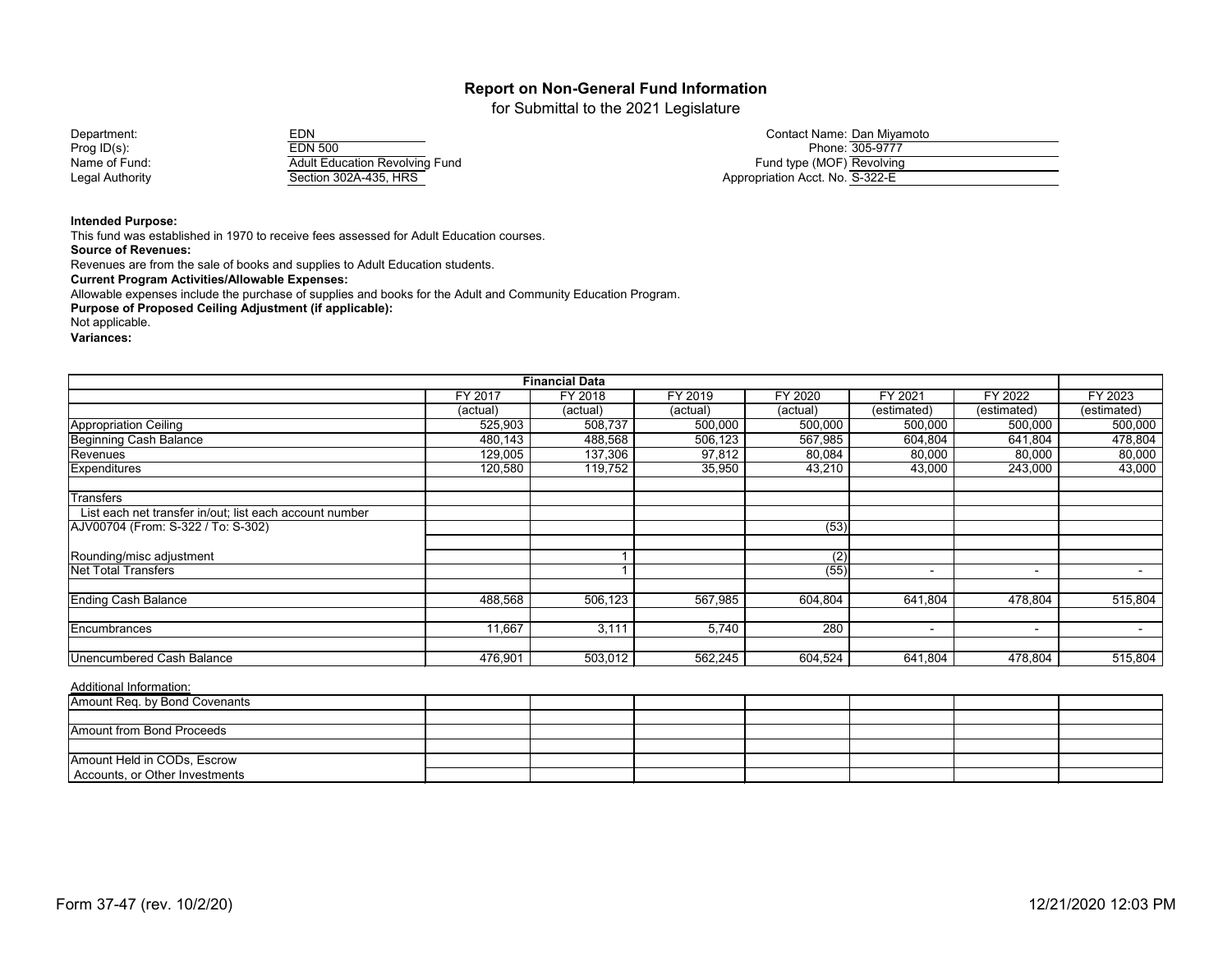for Submittal to the 2021 Legislature

| Department:     | EDN                                   | Contact Name: Dan Miyamoto      |
|-----------------|---------------------------------------|---------------------------------|
| Prog ID(s):     | EDN 500                               | Phone: 305-9777                 |
| Name of Fund:   | <b>Adult Education Revolving Fund</b> | Fund type (MOF) Revolving       |
| Legal Authority | Section 302A-435, HRS                 | Appropriation Acct. No. S-322-E |

#### **Intended Purpose:**

This fund was established in 1970 to receive fees assessed for Adult Education courses.

**Source of Revenues:**

Revenues are from the sale of books and supplies to Adult Education students.

**Current Program Activities/Allowable Expenses:**

Allowable expenses include the purchase of supplies and books for the Adult and Community Education Program.

**Purpose of Proposed Ceiling Adjustment (if applicable):**

Not applicable.

**Variances:**

|                                                         |          | <b>Financial Data</b> |          |          |                          |                          |             |
|---------------------------------------------------------|----------|-----------------------|----------|----------|--------------------------|--------------------------|-------------|
|                                                         | FY 2017  | FY 2018               | FY 2019  | FY 2020  | FY 2021                  | FY 2022                  | FY 2023     |
|                                                         | (actual) | (actual)              | (actual) | (actual) | (estimated)              | (estimated)              | (estimated) |
| Appropriation Ceiling                                   | 525,903  | 508,737               | 500,000  | 500,000  | 500,000                  | 500,000                  | 500,000     |
| <b>Beginning Cash Balance</b>                           | 480,143  | 488,568               | 506,123  | 567,985  | 604,804                  | 641,804                  | 478,804     |
| Revenues                                                | 129,005  | 137,306               | 97,812   | 80,084   | 80,000                   | 80,000                   | 80,000      |
| <b>Expenditures</b>                                     | 120,580  | 119,752               | 35,950   | 43,210   | 43,000                   | 243,000                  | 43,000      |
| <b>Transfers</b>                                        |          |                       |          |          |                          |                          |             |
| List each net transfer in/out; list each account number |          |                       |          |          |                          |                          |             |
| AJV00704 (From: S-322 / To: S-302)                      |          |                       |          | (53)     |                          |                          |             |
| Rounding/misc adjustment                                |          |                       |          | (2)      |                          |                          |             |
| <b>Net Total Transfers</b>                              |          |                       |          | (55)     |                          | $\overline{\phantom{a}}$ |             |
| <b>Ending Cash Balance</b>                              | 488,568  | 506,123               | 567,985  | 604,804  | 641,804                  | 478,804                  | 515,804     |
| Encumbrances                                            | 11,667   | 3,111                 | 5,740    | 280      | $\overline{\phantom{a}}$ | $\blacksquare$           | $\sim$      |
| Unencumbered Cash Balance                               | 476,901  | 503,012               | 562,245  | 604,524  | 641,804                  | 478,804                  | 515,804     |

| Amount Req. by Bond Covenants  |  |  |  |  |
|--------------------------------|--|--|--|--|
|                                |  |  |  |  |
| Amount from Bond Proceeds      |  |  |  |  |
|                                |  |  |  |  |
| Amount Held in CODs, Escrow    |  |  |  |  |
| Accounts, or Other Investments |  |  |  |  |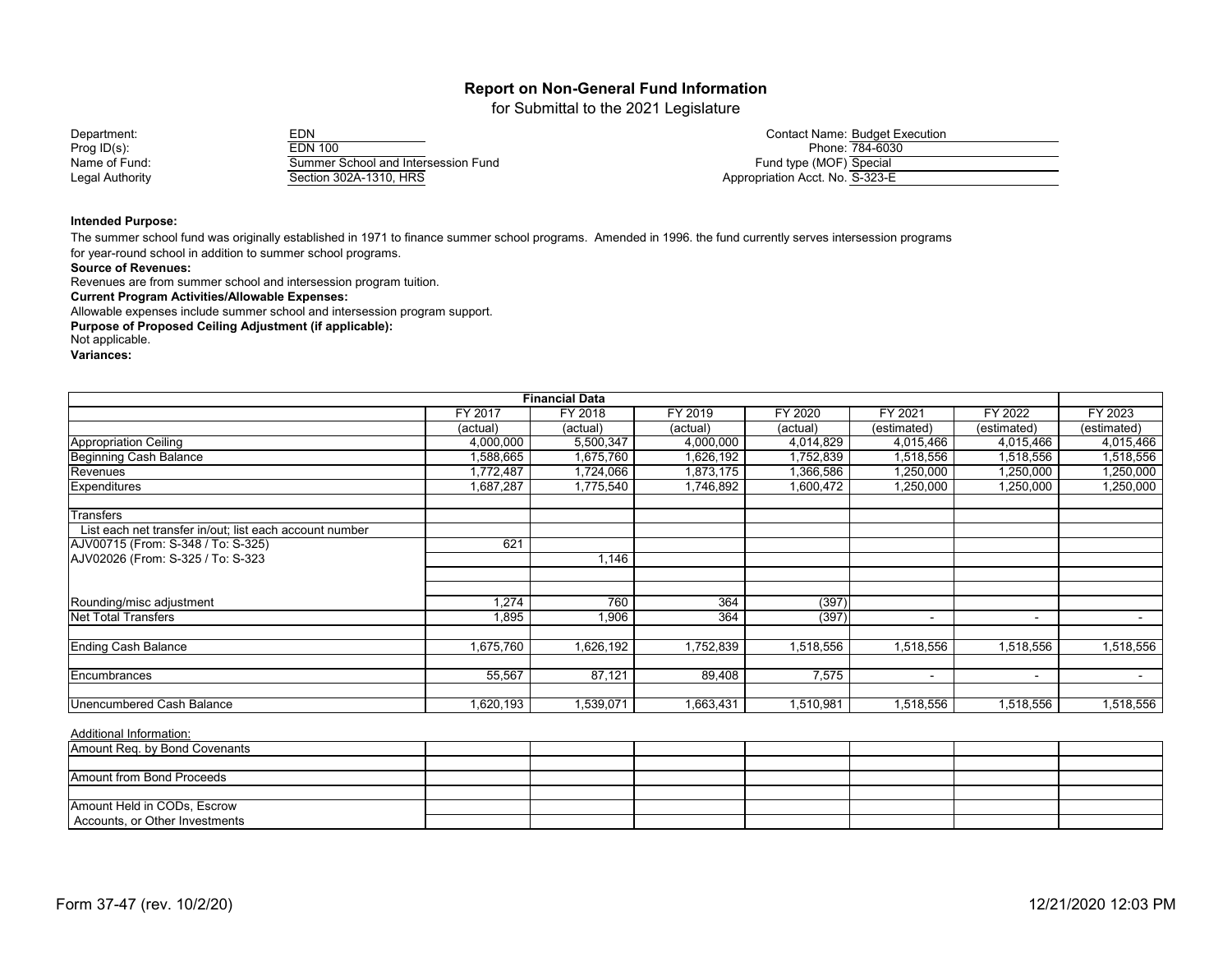for Submittal to the 2021 Legislature

Prog ID(s): Prog ID(s): Phone:  $\frac{784-6030}{\text{Summer School and Intersession Fund}}$  Phone Phone: 784-6030 Summer School and Intersession Fund<br>Section 302A-1310, HRS Legal Authority Control Control Control Control Control Control Control Control Control Control Control Control Control Control Control Control Control Control Control Control Control Control Control Control Control Contro

Department: EDN EDN EDN EDN EDN EDN Contact Name: Budget Execution<br>Prog ID(s): Phone: 784-6030

#### **Intended Purpose:**

The summer school fund was originally established in 1971 to finance summer school programs. Amended in 1996. the fund currently serves intersession programs

for year-round school in addition to summer school programs.

**Source of Revenues:**

Revenues are from summer school and intersession program tuition.

**Current Program Activities/Allowable Expenses:**

Allowable expenses include summer school and intersession program support.

**Purpose of Proposed Ceiling Adjustment (if applicable):**

Not applicable.

**Variances:**

|                                                         |                | <b>Financial Data</b> |           |           |             |                |             |
|---------------------------------------------------------|----------------|-----------------------|-----------|-----------|-------------|----------------|-------------|
|                                                         | <b>FY 2017</b> | FY 2018               | FY 2019   | FY 2020   | FY 2021     | FY 2022        | FY 2023     |
|                                                         | (actual)       | (actual)              | (actual)  | (actual)  | (estimated) | (estimated)    | (estimated) |
| Appropriation Ceiling                                   | 4,000,000      | 5,500,347             | 4,000,000 | 4,014,829 | 4,015,466   | 4,015,466      | 4,015,466   |
| <b>Beginning Cash Balance</b>                           | 1,588,665      | 1,675,760             | 1,626,192 | 1,752,839 | 1,518,556   | 1,518,556      | 1,518,556   |
| Revenues                                                | ,772,487       | 1,724,066             | 1,873,175 | 1,366,586 | 1,250,000   | 1,250,000      | 1,250,000   |
| <b>Expenditures</b>                                     | 1,687,287      | 1,775,540             | 1,746,892 | 1,600,472 | 1,250,000   | 1,250,000      | 1,250,000   |
| <b>Transfers</b>                                        |                |                       |           |           |             |                |             |
| List each net transfer in/out; list each account number |                |                       |           |           |             |                |             |
| AJV00715 (From: S-348 / To: S-325)                      | 621            |                       |           |           |             |                |             |
| AJV02026 (From: S-325 / To: S-323                       |                | l,146                 |           |           |             |                |             |
|                                                         |                |                       |           |           |             |                |             |
| Rounding/misc adjustment                                | 1,274          | 760                   | 364       | (397)     |             |                |             |
| <b>Net Total Transfers</b>                              | 1,895          | 1,906                 | 364       | (397)     | $\sim$      | $\blacksquare$ | $\sim$      |
|                                                         | 1,675,760      |                       |           | 1,518,556 |             | 1,518,556      |             |
| <b>Ending Cash Balance</b>                              |                | 1,626,192             | 1,752,839 |           | 1,518,556   |                | 1,518,556   |
| Encumbrances                                            | 55,567         | 87,121                | 89,408    | 7,575     | $\sim$      | $\blacksquare$ | $\sim$      |
|                                                         |                |                       |           |           |             |                |             |
| Unencumbered Cash Balance                               | 1,620,193      | 1,539,071             | 1,663,431 | 1,510,981 | 1,518,556   | 1,518,556      | 1,518,556   |

| Amount Req. by Bond Covenants  |  |  |  |  |
|--------------------------------|--|--|--|--|
|                                |  |  |  |  |
| Amount from Bond Proceeds      |  |  |  |  |
|                                |  |  |  |  |
| Amount Held in CODs, Escrow    |  |  |  |  |
| Accounts, or Other Investments |  |  |  |  |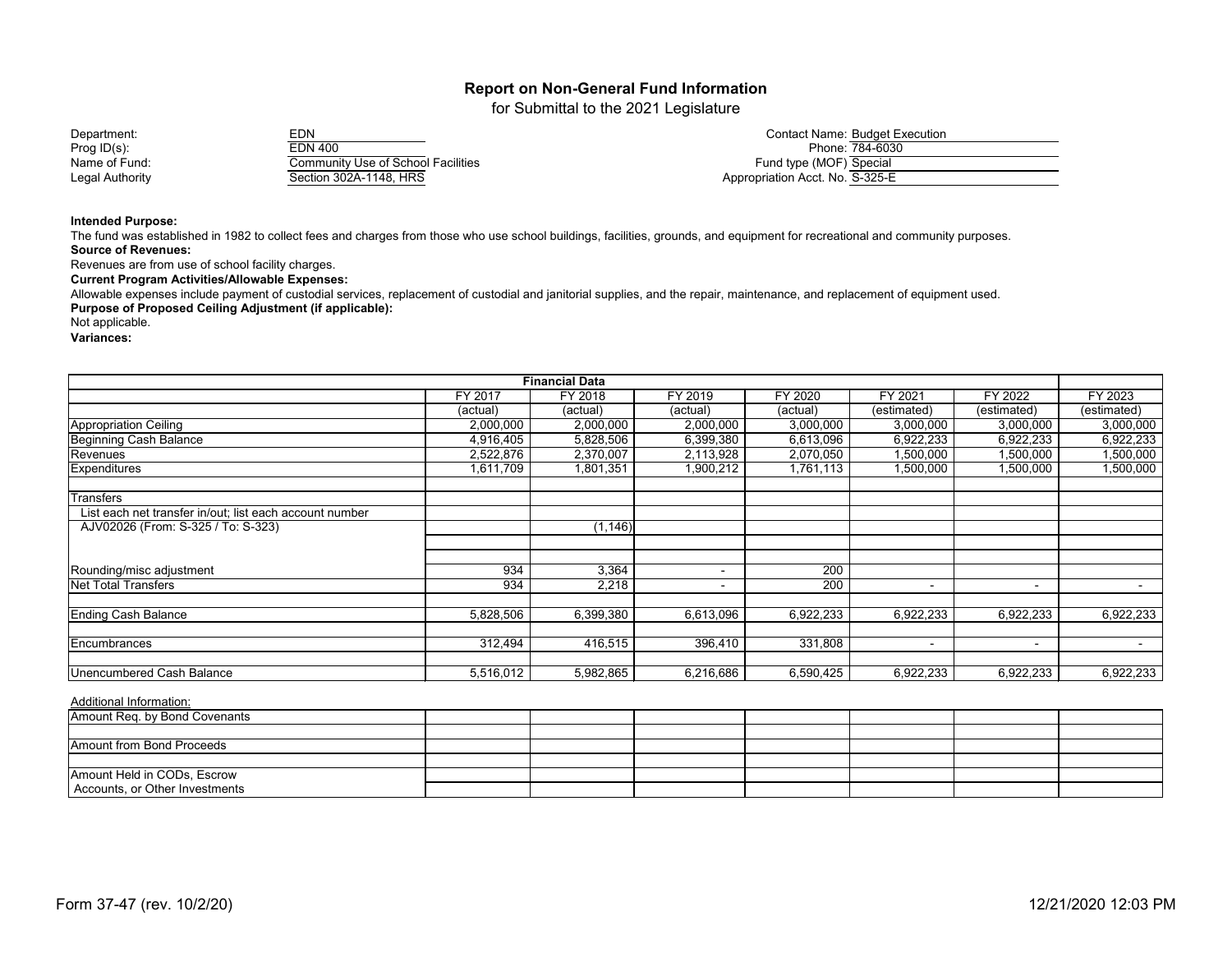for Submittal to the 2021 Legislature

Prog ID(s): Prog ID(s): Phone:  $\frac{784-6030}{200}$ <br>Name of Fund: Community Use of School Facilities Phone: Phone: 784-6030 Community Use of School Facilities<br>Section 302A-1148, HRS Legal Authority Contract Contract Section 302A-1148, HRS Appropriation Acct. No. S-325-E

Department: EDN EDN EDN EDN EDN Contact Name: Budget Execution<br>Prog ID(s): EDN 400 EDN 400

**Intended Purpose:**

The fund was established in 1982 to collect fees and charges from those who use school buildings, facilities, grounds, and equipment for recreational and community purposes. **Source of Revenues:**

Revenues are from use of school facility charges.

**Current Program Activities/Allowable Expenses:**

Allowable expenses include payment of custodial services, replacement of custodial and janitorial supplies, and the repair, maintenance, and replacement of equipment used. **Purpose of Proposed Ceiling Adjustment (if applicable):** 

Not applicable.

**Variances:**

| <b>Financial Data</b>                                   |           |           |           |           |             |                |             |  |  |
|---------------------------------------------------------|-----------|-----------|-----------|-----------|-------------|----------------|-------------|--|--|
|                                                         | FY 2017   | FY 2018   | FY 2019   | FY 2020   | FY 2021     | FY 2022        | FY 2023     |  |  |
|                                                         | (actual)  | (actual)  | (actual)  | (actual)  | (estimated) | (estimated)    | (estimated) |  |  |
| <b>Appropriation Ceiling</b>                            | 2,000,000 | 2,000,000 | 2,000,000 | 3,000,000 | 3,000,000   | 3,000,000      | 3,000,000   |  |  |
| Beginning Cash Balance                                  | 4,916,405 | 5,828,506 | 6,399,380 | 6,613,096 | 6,922,233   | 6,922,233      | 6,922,233   |  |  |
| Revenues                                                | 2,522,876 | 2,370,007 | 2,113,928 | 2,070,050 | 1,500,000   | 1,500,000      | 1,500,000   |  |  |
| Expenditures                                            | 1,611,709 | 1,801,351 | 1,900,212 | 1,761,113 | 1,500,000   | 1,500,000      | 1,500,000   |  |  |
| Transfers                                               |           |           |           |           |             |                |             |  |  |
| List each net transfer in/out; list each account number |           |           |           |           |             |                |             |  |  |
| AJV02026 (From: S-325 / To: S-323)                      |           | (1, 146)  |           |           |             |                |             |  |  |
|                                                         |           |           |           |           |             |                |             |  |  |
| Rounding/misc adjustment                                | 934       | 3,364     |           | 200       |             |                |             |  |  |
| Net Total Transfers                                     | 934       | 2,218     |           | 200       |             | $\sim$         | $\sim$      |  |  |
|                                                         |           |           |           |           |             |                |             |  |  |
| <b>Ending Cash Balance</b>                              | 5,828,506 | 6,399,380 | 6,613,096 | 6,922,233 | 6,922,233   | 6,922,233      | 6,922,233   |  |  |
|                                                         |           |           |           |           |             |                |             |  |  |
| Encumbrances                                            | 312,494   | 416,515   | 396,410   | 331,808   | $\sim$      | $\blacksquare$ | $\sim$      |  |  |
| Unencumbered Cash Balance                               | 5,516,012 | 5,982,865 | 6,216,686 | 6,590,425 | 6,922,233   | 6,922,233      | 6,922,233   |  |  |

| Amount Req. by Bond Covenants  |  |  |  |  |
|--------------------------------|--|--|--|--|
|                                |  |  |  |  |
| Amount from Bond Proceeds      |  |  |  |  |
|                                |  |  |  |  |
| Amount Held in CODs, Escrow    |  |  |  |  |
| Accounts, or Other Investments |  |  |  |  |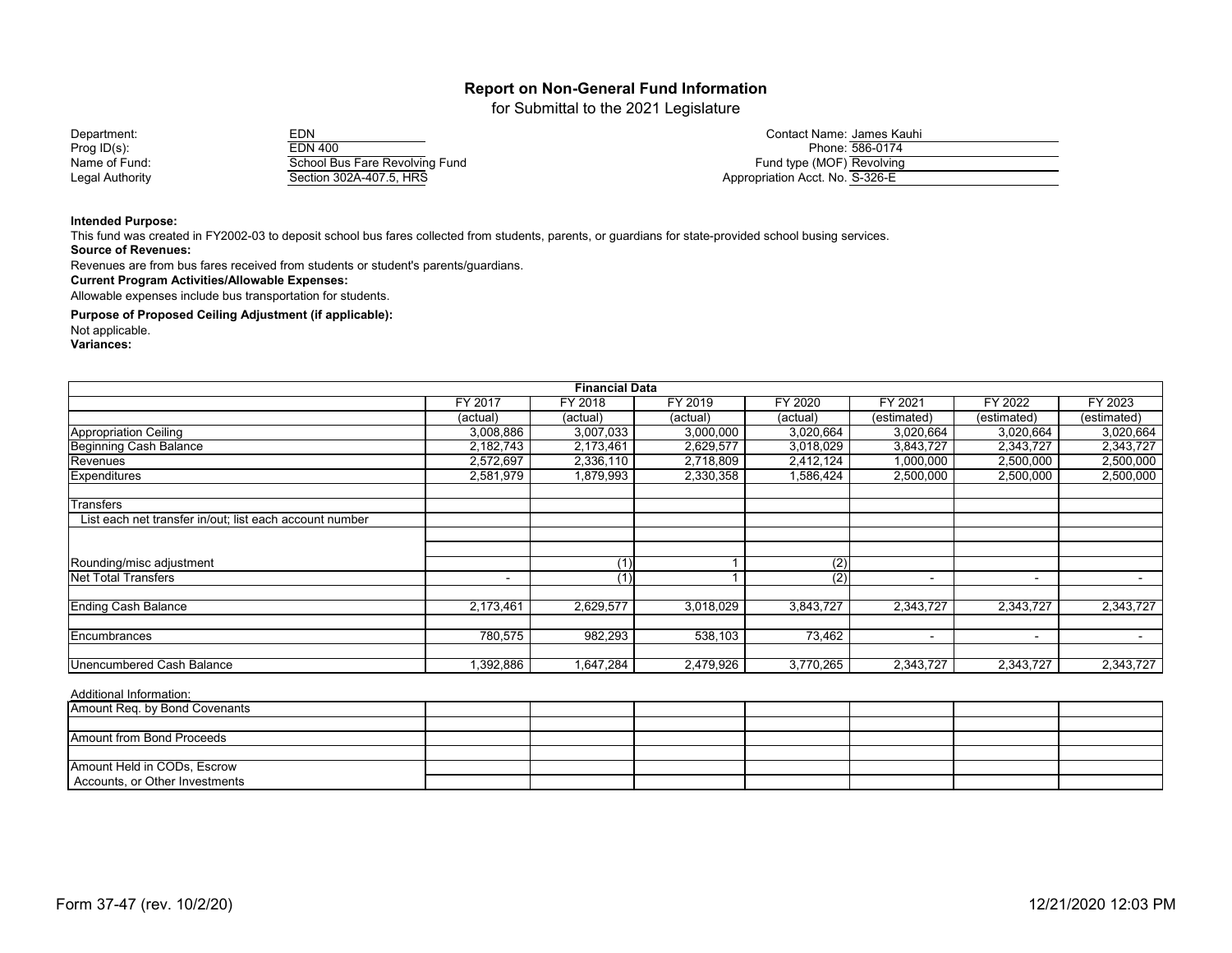for Submittal to the 2021 Legislature

Prog ID(s): EDN 400 Phone: 586-0174 Name of Fund: School Bus Fare Revolving Fund<br>Legal Authority Fund Section 302A-407.5, HRS Legal Authority Section 302A-407.5, HRS Appropriation Acct. No. 328-EQS Appropriation Appropriate Acct. No. 326-EQS Appropriate Acct. No.  $\overline{AB}$ 

| Department:     | rn.<br>ニレハ                     | Contact Name: James Kauhi       |
|-----------------|--------------------------------|---------------------------------|
| Prog ID(s):     | EDN 400                        | Phone: 586-0174                 |
| Name of Fund:   | School Bus Fare Revolving Fund | Fund type (MOF) Revolving       |
| Legal Authoritv | Section 302A-407.5. HRS        | Appropriation Acct. No. S-326-E |

#### **Intended Purpose:**

This fund was created in FY2002-03 to deposit school bus fares collected from students, parents, or guardians for state-provided school busing services.

**Source of Revenues:**

Revenues are from bus fares received from students or student's parents/guardians.

**Current Program Activities/Allowable Expenses:**

Allowable expenses include bus transportation for students.

**Purpose of Proposed Ceiling Adjustment (if applicable):**

Not applicable.

**Variances:**

|                                                         |                | <b>Financial Data</b> |           |           |                          |                          |             |
|---------------------------------------------------------|----------------|-----------------------|-----------|-----------|--------------------------|--------------------------|-------------|
|                                                         | FY 2017        | FY 2018               | FY 2019   | FY 2020   | FY 2021                  | FY 2022                  | FY 2023     |
|                                                         | (actual)       | (actual)              | (actual)  | (actual)  | (estimated)              | (estimated)              | (estimated) |
| Appropriation Ceiling                                   | 3,008,886      | 3,007,033             | 3,000,000 | 3,020,664 | 3,020,664                | 3,020,664                | 3,020,664   |
| <b>Beginning Cash Balance</b>                           | 2,182,743      | 2,173,461             | 2,629,577 | 3,018,029 | 3,843,727                | 2,343,727                | 2,343,727   |
| Revenues                                                | 2,572,697      | 2,336,110             | 2,718,809 | 2,412,124 | 1,000,000                | 2,500,000                | 2,500,000   |
| Expenditures                                            | 2,581,979      | 1,879,993             | 2,330,358 | 1,586,424 | 2,500,000                | 2,500,000                | 2,500,000   |
| <b>Transfers</b>                                        |                |                       |           |           |                          |                          |             |
| List each net transfer in/out; list each account number |                |                       |           |           |                          |                          |             |
|                                                         |                |                       |           |           |                          |                          |             |
| Rounding/misc adjustment                                |                | (1)                   |           | (2)       |                          |                          |             |
| Net Total Transfers                                     | $\blacksquare$ | (1)                   |           | (2)       | $\overline{\phantom{0}}$ | $\blacksquare$           | $\sim$      |
| <b>Ending Cash Balance</b>                              | 2,173,461      | 2,629,577             | 3,018,029 | 3,843,727 | 2,343,727                | 2,343,727                | 2,343,727   |
| Encumbrances                                            | 780,575        | 982,293               | 538,103   | 73,462    | $\overline{\phantom{a}}$ | $\overline{\phantom{a}}$ | $\sim$      |
| <b>Unencumbered Cash Balance</b>                        | 1,392,886      | 1,647,284             | 2,479,926 | 3,770,265 | 2,343,727                | 2,343,727                | 2,343,727   |

| Amount Req. by Bond Covenants    |  |  |  |  |
|----------------------------------|--|--|--|--|
|                                  |  |  |  |  |
| <b>Amount from Bond Proceeds</b> |  |  |  |  |
|                                  |  |  |  |  |
| Amount Held in CODs, Escrow      |  |  |  |  |
| Accounts, or Other Investments   |  |  |  |  |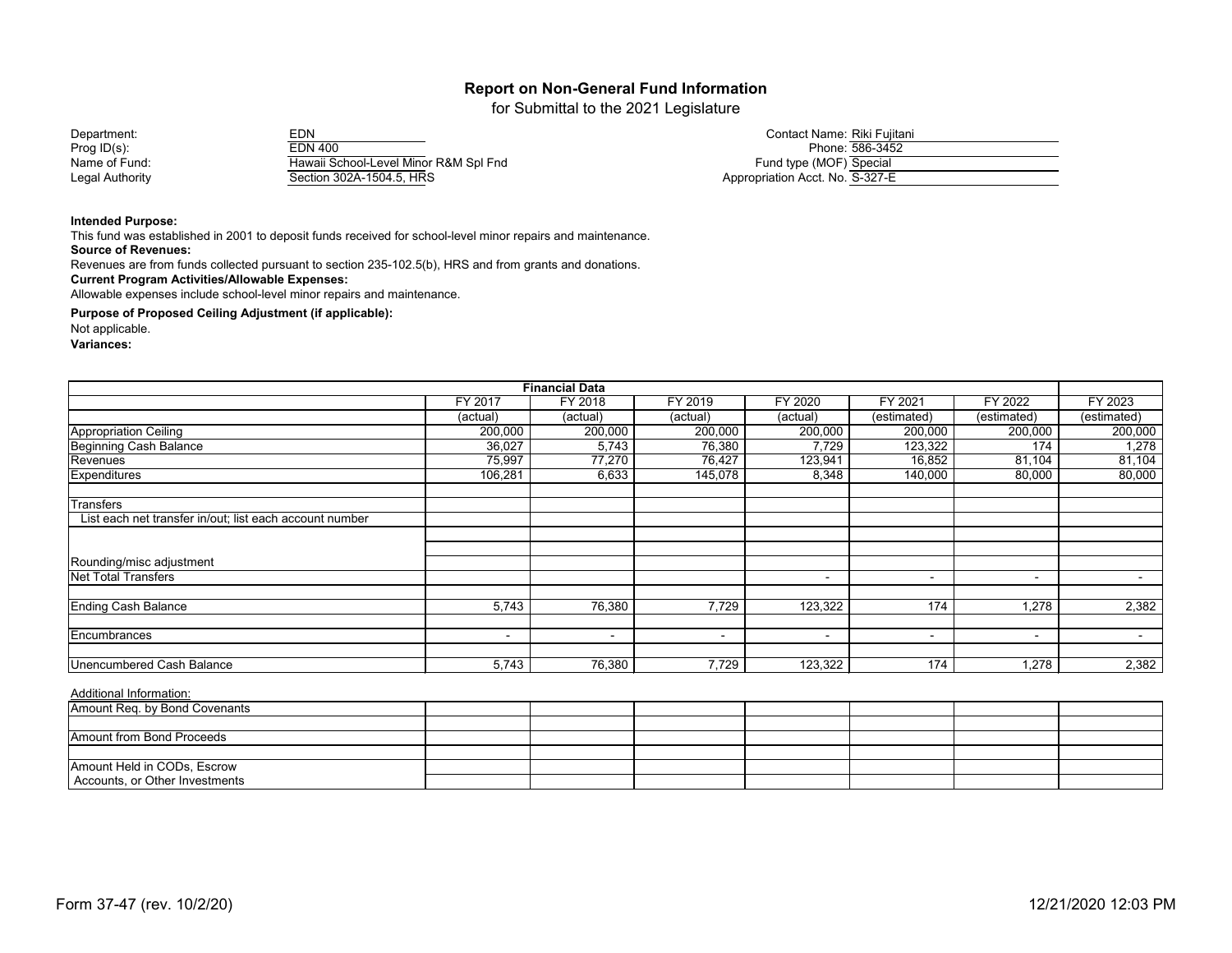for Submittal to the 2021 Legislature

| Department:     | EDN                                   | Contact Name: Riki Fujitani     |
|-----------------|---------------------------------------|---------------------------------|
| Prog $ID(s)$ :  | EDN 400                               | Phone: 586-3452                 |
| Name of Fund:   | Hawaii School-Level Minor R&M Spl Fnd | Fund type (MOF) Special         |
| Legal Authority | Section 302A-1504.5, HRS              | Appropriation Acct. No. S-327-E |

#### **Intended Purpose:**

This fund was established in 2001 to deposit funds received for school-level minor repairs and maintenance.

**Source of Revenues:**

Revenues are from funds collected pursuant to section 235-102.5(b), HRS and from grants and donations.

**Current Program Activities/Allowable Expenses:**

Allowable expenses include school-level minor repairs and maintenance.

**Purpose of Proposed Ceiling Adjustment (if applicable):**

Not applicable.

**Variances:**

|                                                         |                          | <b>Financial Data</b>    |                          |                |                          |                |                  |
|---------------------------------------------------------|--------------------------|--------------------------|--------------------------|----------------|--------------------------|----------------|------------------|
|                                                         | FY 2017                  | FY 2018                  | FY 2019                  | FY 2020        | FY 2021                  | FY 2022        | FY 2023          |
|                                                         | (actual)                 | (actual)                 | (actual)                 | (actual)       | (estimated)              | (estimated)    | (estimated)      |
| Appropriation Ceiling                                   | 200,000                  | 200,000                  | 200,000                  | 200,000        | 200,000                  | 200,000        | 200,000          |
| <b>Beginning Cash Balance</b>                           | 36,027                   | 5,743                    | 76,380                   | 7,729          | 123,322                  | 174            | 1,278            |
| Revenues                                                | 75,997                   | 77,270                   | 76,427                   | 123,941        | 16,852                   | 81,104         | 81,104           |
| Expenditures                                            | 106,281                  | 6,633                    | 145,078                  | 8,348          | 140,000                  | 80,000         | 80,000           |
| <b>Transfers</b>                                        |                          |                          |                          |                |                          |                |                  |
| List each net transfer in/out; list each account number |                          |                          |                          |                |                          |                |                  |
|                                                         |                          |                          |                          |                |                          |                |                  |
| Rounding/misc adjustment                                |                          |                          |                          |                |                          |                |                  |
| <b>Net Total Transfers</b>                              |                          |                          |                          | $\blacksquare$ | $\blacksquare$           | $\blacksquare$ | $\sim$ 100 $\mu$ |
| <b>Ending Cash Balance</b>                              | 5,743                    | 76,380                   | 7,729                    | 123,322        | 174                      | 1,278          | 2,382            |
| Encumbrances                                            | $\overline{\phantom{0}}$ | $\overline{\phantom{a}}$ | $\overline{\phantom{a}}$ | $\sim$         | $\overline{\phantom{0}}$ | $\blacksquare$ | $\sim$           |
| <b>Unencumbered Cash Balance</b>                        | 5,743                    | 76,380                   | 7,729                    | 123,322        | 174                      | 1,278          | 2,382            |

| Amount Req. by Bond Covenants  |  |  |  |  |
|--------------------------------|--|--|--|--|
|                                |  |  |  |  |
| Amount from Bond Proceeds      |  |  |  |  |
|                                |  |  |  |  |
| Amount Held in CODs, Escrow    |  |  |  |  |
| Accounts, or Other Investments |  |  |  |  |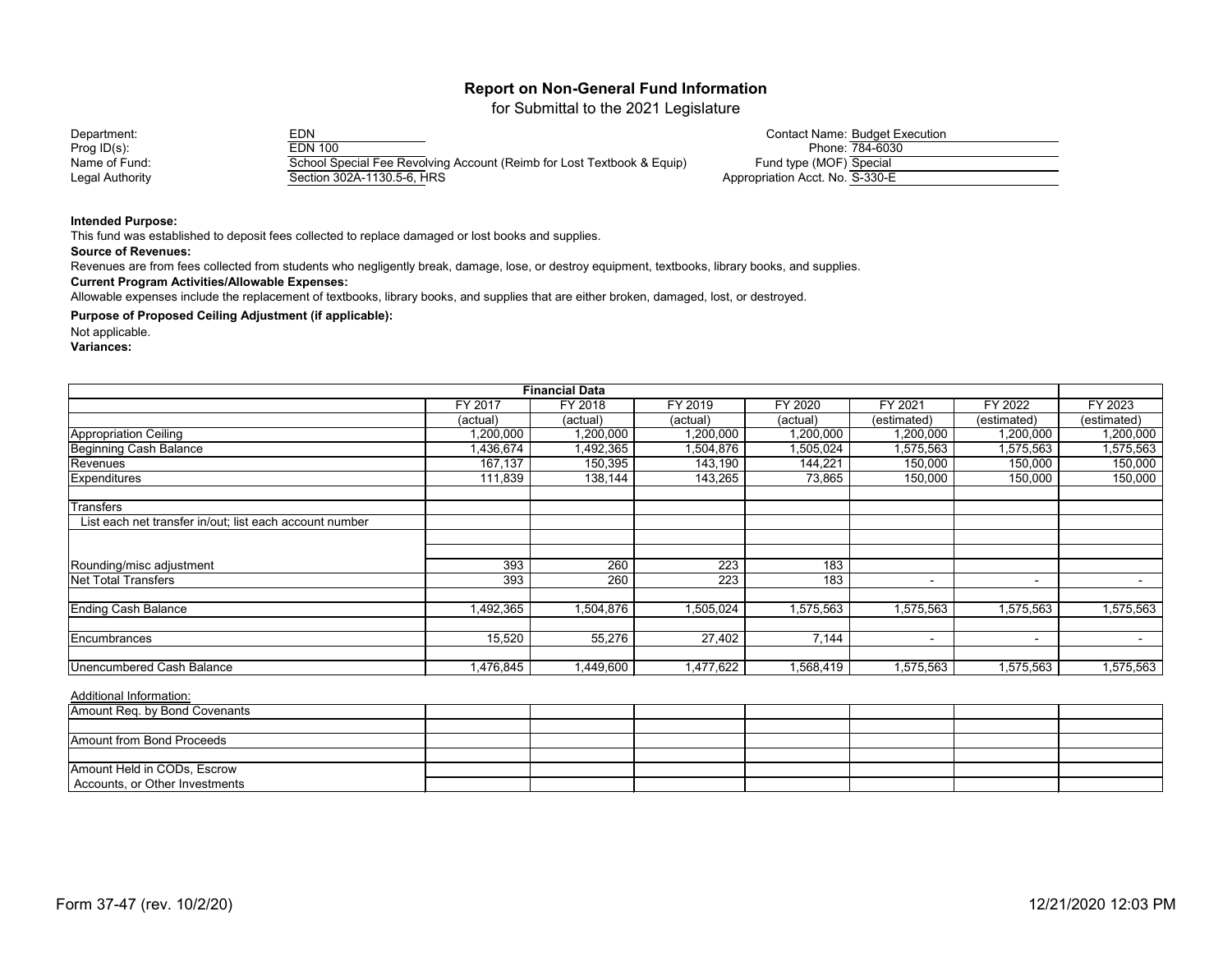for Submittal to the 2021 Legislature

| Department:     | EDN                                                                    | <b>Contact Name: Budget Execution</b> |
|-----------------|------------------------------------------------------------------------|---------------------------------------|
| Prog $ID(s)$ :  | EDN 100                                                                | Phone: 784-6030                       |
| Name of Fund:   | School Special Fee Revolving Account (Reimb for Lost Textbook & Equip) | Fund type (MOF) Special               |
| Legal Authority | Section 302A-1130.5-6, HRS                                             | Appropriation Acct. No. S-330-E       |

#### **Intended Purpose:**

This fund was established to deposit fees collected to replace damaged or lost books and supplies.

#### **Source of Revenues:**

Revenues are from fees collected from students who negligently break, damage, lose, or destroy equipment, textbooks, library books, and supplies.

#### **Current Program Activities/Allowable Expenses:**

Allowable expenses include the replacement of textbooks, library books, and supplies that are either broken, damaged, lost, or destroyed.

### **Purpose of Proposed Ceiling Adjustment (if applicable):**

Not applicable.

**Variances:**

| <b>Financial Data</b>                                   |           |           |                  |           |                          |                |             |  |
|---------------------------------------------------------|-----------|-----------|------------------|-----------|--------------------------|----------------|-------------|--|
|                                                         | FY 2017   | FY 2018   | FY 2019          | FY 2020   | FY 2021                  | FY 2022        | FY 2023     |  |
|                                                         | (actual)  | (actual)  | (actual)         | (actual)  | (estimated)              | (estimated)    | (estimated) |  |
| <b>Appropriation Ceiling</b>                            | 1,200,000 | 1,200,000 | 1,200,000        | 1,200,000 | 1,200,000                | 1,200,000      | 1,200,000   |  |
| Beginning Cash Balance                                  | 1,436,674 | 1,492,365 | 1,504,876        | 1,505,024 | 1,575,563                | 1,575,563      | 1,575,563   |  |
| Revenues                                                | 167,137   | 150,395   | 143,190          | 144,221   | 150,000                  | 150,000        | 150,000     |  |
| Expenditures                                            | 111,839   | 138,144   | 143,265          | 73,865    | 150,000                  | 150,000        | 150,000     |  |
| <b>Transfers</b>                                        |           |           |                  |           |                          |                |             |  |
| List each net transfer in/out; list each account number |           |           |                  |           |                          |                |             |  |
|                                                         |           |           |                  |           |                          |                |             |  |
|                                                         |           |           |                  |           |                          |                |             |  |
| Rounding/misc adjustment                                | 393       | 260       | $\overline{223}$ | 183       |                          |                |             |  |
| <b>Net Total Transfers</b>                              | 393       | 260       | 223              | 183       | $\overline{\phantom{0}}$ | $\blacksquare$ | $\sim$      |  |
| <b>Ending Cash Balance</b>                              | 1,492,365 | 1,504,876 | 1,505,024        | 1,575,563 | 1,575,563                | 1,575,563      | 1,575,563   |  |
| Encumbrances                                            | 15,520    | 55,276    | 27,402           | 7,144     | $\,$ $\,$                | $\blacksquare$ | $\sim$      |  |
|                                                         |           |           |                  |           |                          |                |             |  |
| Unencumbered Cash Balance                               | 1,476,845 | 1,449,600 | 1,477,622        | 1,568,419 | 1,575,563                | 1,575,563      | 1,575,563   |  |

| Amount Req. by Bond Covenants    |  |  |  |  |
|----------------------------------|--|--|--|--|
|                                  |  |  |  |  |
| <b>Amount from Bond Proceeds</b> |  |  |  |  |
|                                  |  |  |  |  |
| Amount Held in CODs, Escrow      |  |  |  |  |
| Accounts, or Other Investments   |  |  |  |  |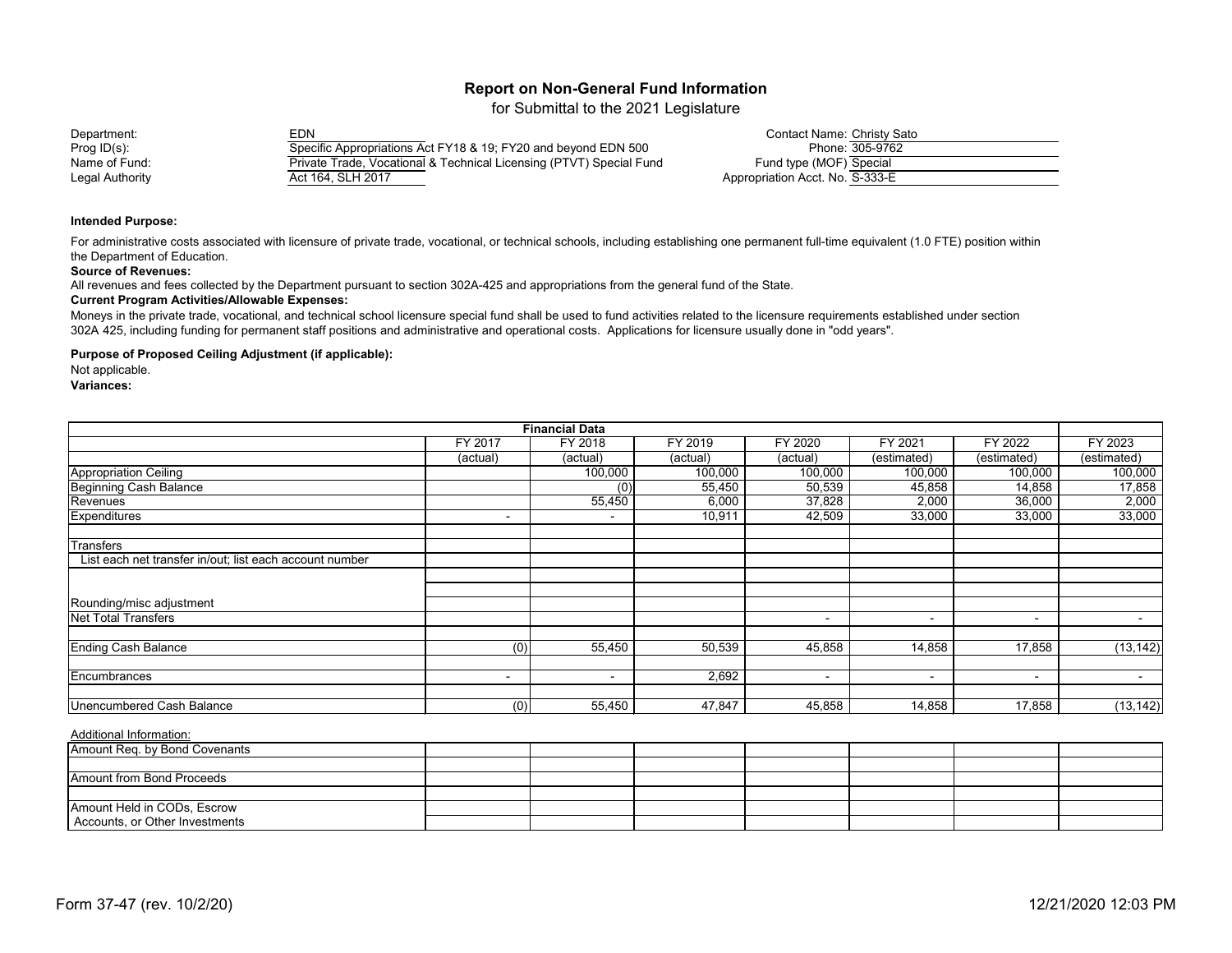for Submittal to the 2021 Legislature

#### Department: EDN Contact Name: Christy Sato Prog ID(s):<br>
Name of Fund: Specific Appropriations Act FY18 & 19; FY20 and beyond EDN 500<br>
Private Trade, Vocational & Technical Licensing (PTVT) Special Fur Private Trade, Vocational & Technical Licensing (PTVT) Special Fund Legal Authority **Act 164, SLH 2017**

| <b>Contact Name: Christy Sato</b> |                 |
|-----------------------------------|-----------------|
|                                   | Phone: 305-9762 |
| Fund type (MOF) Special           |                 |
| Appropriation Acct. No. S-333-E   |                 |

#### **Intended Purpose:**

For administrative costs associated with licensure of private trade, vocational, or technical schools, including establishing one permanent full-time equivalent (1.0 FTE) position within the Department of Education.

#### **Source of Revenues:**

All revenues and fees collected by the Department pursuant to section 302A-425 and appropriations from the general fund of the State.

#### **Current Program Activities/Allowable Expenses:**

Moneys in the private trade, vocational, and technical school licensure special fund shall be used to fund activities related to the licensure requirements established under section 302A 425, including funding for permanent staff positions and administrative and operational costs. Applications for licensure usually done in "odd years".

#### **Purpose of Proposed Ceiling Adjustment (if applicable):**

Not applicable.

**Variances:**

|                                                         |                          | <b>Financial Data</b> |          |          |                          |                |             |
|---------------------------------------------------------|--------------------------|-----------------------|----------|----------|--------------------------|----------------|-------------|
|                                                         | FY 2017                  | FY 2018               | FY 2019  | FY 2020  | FY 2021                  | FY 2022        | FY 2023     |
|                                                         | (actual)                 | (actual)              | (actual) | (actual) | (estimated)              | (estimated)    | (estimated) |
| Appropriation Ceiling                                   |                          | 100,000               | 100,000  | 100,000  | 100,000                  | 100,000        | 100,000     |
| <b>Beginning Cash Balance</b>                           |                          | (0)                   | 55,450   | 50,539   | 45,858                   | 14,858         | 17,858      |
| Revenues                                                |                          | 55,450                | 6,000    | 37,828   | 2,000                    | 36,000         | 2,000       |
| <b>Expenditures</b>                                     | $\blacksquare$           | $\blacksquare$        | 10,911   | 42,509   | 33,000                   | 33,000         | 33,000      |
| Transfers                                               |                          |                       |          |          |                          |                |             |
| List each net transfer in/out; list each account number |                          |                       |          |          |                          |                |             |
|                                                         |                          |                       |          |          |                          |                |             |
| Rounding/misc adjustment                                |                          |                       |          |          |                          |                |             |
| <b>Net Total Transfers</b>                              |                          |                       |          | $\sim$   | $\overline{\phantom{0}}$ | $\blacksquare$ | $\sim$      |
| <b>Ending Cash Balance</b>                              | $\overline{(0)}$         | 55,450                | 50,539   | 45,858   | 14,858                   | 17,858         | (13, 142)   |
| Encumbrances                                            | $\overline{\phantom{0}}$ | $\blacksquare$        | 2,692    | $\sim$   | $\sim$                   | $\blacksquare$ | $\sim$      |
| <b>Unencumbered Cash Balance</b>                        | (0)                      | 55,450                | 47,847   | 45,858   | 14,858                   | 17,858         | (13, 142)   |

| Amount Req. by Bond Covenants  |  |  |  |  |
|--------------------------------|--|--|--|--|
|                                |  |  |  |  |
| Amount from Bond Proceeds      |  |  |  |  |
|                                |  |  |  |  |
| Amount Held in CODs, Escrow    |  |  |  |  |
| Accounts, or Other Investments |  |  |  |  |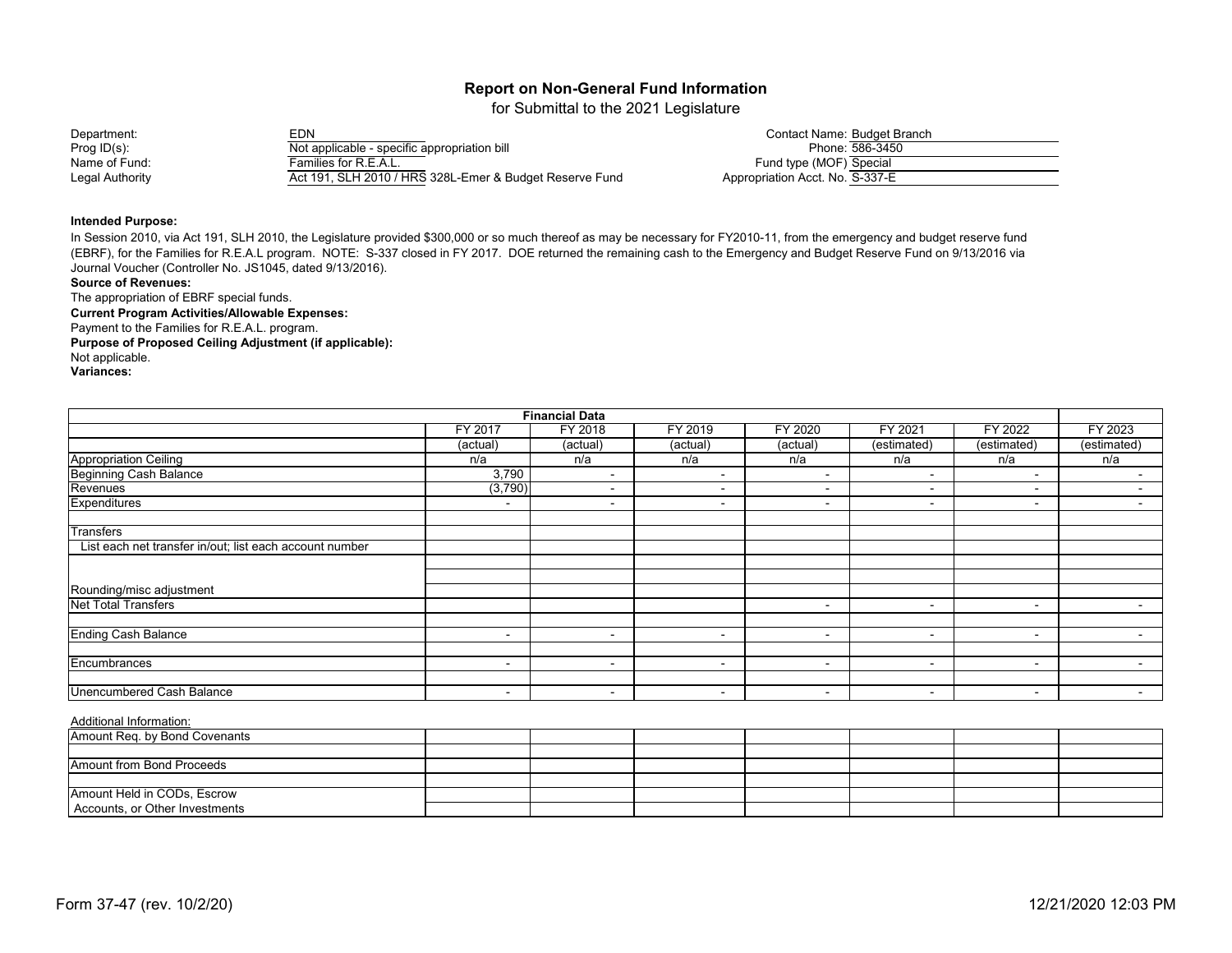for Submittal to the 2021 Legislature

#### Department: EDN Contact Name: Budget Branch Prog ID(s):<br>
Not applicable - specific appropriation bill<br>
Name of Fund: 586-3450-356-3560-586-3450-586-3450-586-3450-596-3560-596-3560-596-3560-596-3560-5960-596-3560-5<br>
Families for R.E.A.L. Name of Fund: Families for R.E.A.L.<br>Legal Authority Families for R.E.A.L. Act 191, SLH 2010 / HRS 328L-Emer & Budget Reserve Fund

|                                 | Contact Name: Budget Branch |
|---------------------------------|-----------------------------|
|                                 | Phone: 586-3450             |
| Fund type (MOF) Special         |                             |
| Appropriation Acct. No. S-337-E |                             |

#### **Intended Purpose:**

In Session 2010, via Act 191, SLH 2010, the Legislature provided \$300,000 or so much thereof as may be necessary for FY2010-11, from the emergency and budget reserve fund (EBRF), for the Families for R.E.A.L program. NOTE: S-337 closed in FY 2017. DOE returned the remaining cash to the Emergency and Budget Reserve Fund on 9/13/2016 via Journal Voucher (Controller No. JS1045, dated 9/13/2016).

#### **Source of Revenues:**

The appropriation of EBRF special funds.

**Current Program Activities/Allowable Expenses:** Payment to the Families for R.E.A.L. program.

**Purpose of Proposed Ceiling Adjustment (if applicable):** Not applicable.

**Variances:**

| <b>Financial Data</b>                                   |                          |                          |                          |          |                          |                          |                          |  |  |
|---------------------------------------------------------|--------------------------|--------------------------|--------------------------|----------|--------------------------|--------------------------|--------------------------|--|--|
|                                                         | FY 2017                  | FY 2018                  | FY 2019                  | FY 2020  | FY 2021                  | FY 2022                  | FY 2023                  |  |  |
|                                                         | (actual)                 | (actual)                 | (actual)                 | (actual) | (estimated)              | (estimated)              | (estimated)              |  |  |
| <b>Appropriation Ceiling</b>                            | n/a                      | n/a                      | n/a                      | n/a      | n/a                      | n/a                      | n/a                      |  |  |
| <b>Beginning Cash Balance</b>                           | 3,790                    | $\blacksquare$           | $\overline{\phantom{0}}$ | $\sim$   | $\sim$                   | $\overline{\phantom{0}}$ | $\overline{\phantom{0}}$ |  |  |
| Revenues                                                | (3,790)                  | $\overline{\phantom{0}}$ | $\overline{\phantom{0}}$ | ۰        | $\blacksquare$           | $\overline{\phantom{0}}$ |                          |  |  |
| Expenditures                                            | $\overline{\phantom{a}}$ | $\overline{\phantom{a}}$ | ٠                        | ۰        | $\,$ $\,$                | $\overline{\phantom{0}}$ |                          |  |  |
| <b>Transfers</b>                                        |                          |                          |                          |          |                          |                          |                          |  |  |
| List each net transfer in/out; list each account number |                          |                          |                          |          |                          |                          |                          |  |  |
|                                                         |                          |                          |                          |          |                          |                          |                          |  |  |
|                                                         |                          |                          |                          |          |                          |                          |                          |  |  |
| Rounding/misc adjustment                                |                          |                          |                          |          |                          |                          |                          |  |  |
| <b>Net Total Transfers</b>                              |                          |                          |                          | ۰        | $\overline{\phantom{a}}$ | $\overline{\phantom{0}}$ |                          |  |  |
|                                                         |                          |                          |                          |          |                          |                          |                          |  |  |
| <b>Ending Cash Balance</b>                              | $\sim$                   | $\overline{\phantom{0}}$ | $\overline{\phantom{0}}$ | $\sim$   | $\sim$                   | $\overline{\phantom{a}}$ | $\blacksquare$           |  |  |
|                                                         |                          |                          |                          |          |                          |                          |                          |  |  |
| Encumbrances                                            | $\overline{\phantom{0}}$ | $\overline{\phantom{a}}$ | -                        | ۰        | $\blacksquare$           | $\sim$                   | $\blacksquare$           |  |  |
|                                                         |                          |                          |                          |          |                          |                          |                          |  |  |
| <b>Unencumbered Cash Balance</b>                        | $\overline{\phantom{0}}$ | $\overline{\phantom{a}}$ | $\overline{\phantom{0}}$ | ۰        | $\blacksquare$           | $\overline{\phantom{0}}$ |                          |  |  |

| Amount Req. by Bond Covenants  |  |  |  |  |
|--------------------------------|--|--|--|--|
|                                |  |  |  |  |
| Amount from Bond Proceeds      |  |  |  |  |
|                                |  |  |  |  |
| Amount Held in CODs, Escrow    |  |  |  |  |
| Accounts, or Other Investments |  |  |  |  |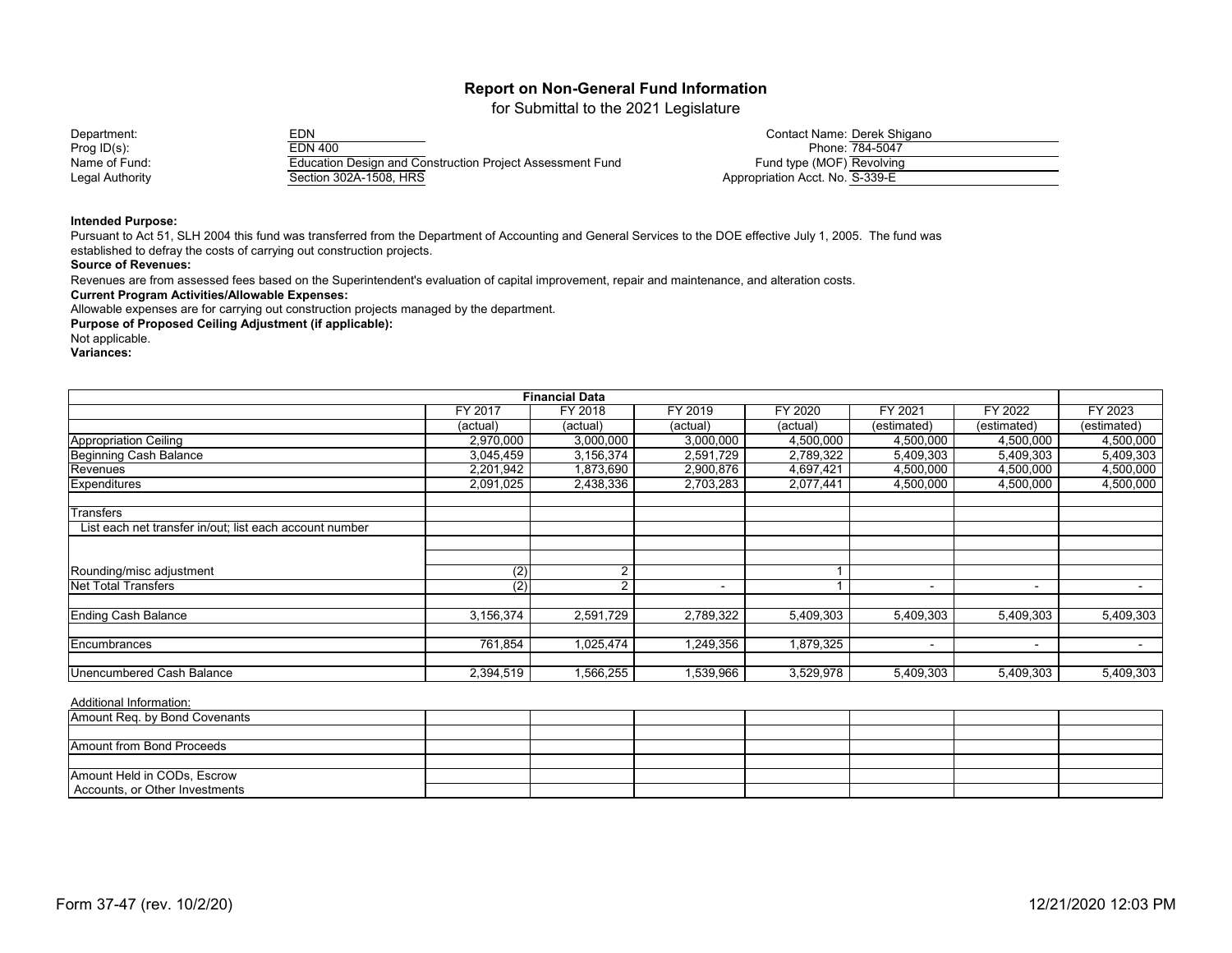for Submittal to the 2021 Legislature

Department: EDN Contact Name: Derek Shigano Prog ID(s): EDN 400 Phone: 784-5047 Name of Fund: Education Design and Construction Project Assessment Fund<br>Legal Authority Fund Tection 302A-1508, HRS Section 302A-1508, HRS

|                                 | Contact Name: Derek Shigano |
|---------------------------------|-----------------------------|
|                                 | Phone: 784-5047             |
| Fund type (MOF) Revolving       |                             |
| Appropriation Acct. No. S-339-E |                             |

#### **Intended Purpose:**

Pursuant to Act 51, SLH 2004 this fund was transferred from the Department of Accounting and General Services to the DOE effective July 1, 2005. The fund was established to defray the costs of carrying out construction projects.

**Source of Revenues:**

Revenues are from assessed fees based on the Superintendent's evaluation of capital improvement, repair and maintenance, and alteration costs.

**Current Program Activities/Allowable Expenses:**

Allowable expenses are for carrying out construction projects managed by the department.

**Purpose of Proposed Ceiling Adjustment (if applicable):**

Not applicable.

**Variances:**

| <b>Financial Data</b>                                   |                |                |                          |           |                          |                          |             |  |
|---------------------------------------------------------|----------------|----------------|--------------------------|-----------|--------------------------|--------------------------|-------------|--|
|                                                         | <b>FY 2017</b> | FY 2018        | FY 2019                  | FY 2020   | FY 2021                  | <b>FY 2022</b>           | FY 2023     |  |
|                                                         | (actual)       | (actual)       | (actual)                 | (actual)  | (estimated)              | (estimated)              | (estimated) |  |
| <b>Appropriation Ceiling</b>                            | 2,970,000      | 3,000,000      | 3,000,000                | 4,500,000 | 4,500,000                | 4,500,000                | 4,500,000   |  |
| <b>Beginning Cash Balance</b>                           | 3,045,459      | 3,156,374      | 2,591,729                | 2,789,322 | 5,409,303                | 5,409,303                | 5,409,303   |  |
| Revenues                                                | 2,201,942      | 1,873,690      | 2,900,876                | 4,697,421 | 4,500,000                | 4,500,000                | 4,500,000   |  |
| <b>Expenditures</b>                                     | 2,091,025      | 2,438,336      | 2,703,283                | 2,077,441 | 4,500,000                | 4,500,000                | 4,500,000   |  |
| Transfers                                               |                |                |                          |           |                          |                          |             |  |
| List each net transfer in/out; list each account number |                |                |                          |           |                          |                          |             |  |
|                                                         |                |                |                          |           |                          |                          |             |  |
|                                                         |                |                |                          |           |                          |                          |             |  |
| Rounding/misc adjustment                                | (2)            | $\overline{2}$ |                          |           |                          |                          |             |  |
| <b>Net Total Transfers</b>                              | (2)            | C              | $\overline{\phantom{0}}$ |           | $\overline{\phantom{a}}$ | $\overline{\phantom{a}}$ |             |  |
| <b>Ending Cash Balance</b>                              | 3,156,374      | 2,591,729      | 2,789,322                | 5,409,303 | 5,409,303                | 5,409,303                | 5,409,303   |  |
|                                                         |                |                |                          |           |                          |                          |             |  |
| Encumbrances                                            | 761,854        | 1,025,474      | ,249,356                 | 1,879,325 | $\overline{\phantom{a}}$ | $\overline{\phantom{a}}$ |             |  |
| Unencumbered Cash Balance                               | 2,394,519      | 1,566,255      | ,539,966                 | 3,529,978 | 5,409,303                | 5,409,303                | 5,409,303   |  |

| Amount Req. by Bond Covenants  |  |  |  |  |
|--------------------------------|--|--|--|--|
|                                |  |  |  |  |
| Amount from Bond Proceeds      |  |  |  |  |
|                                |  |  |  |  |
| Amount Held in CODs, Escrow    |  |  |  |  |
| Accounts, or Other Investments |  |  |  |  |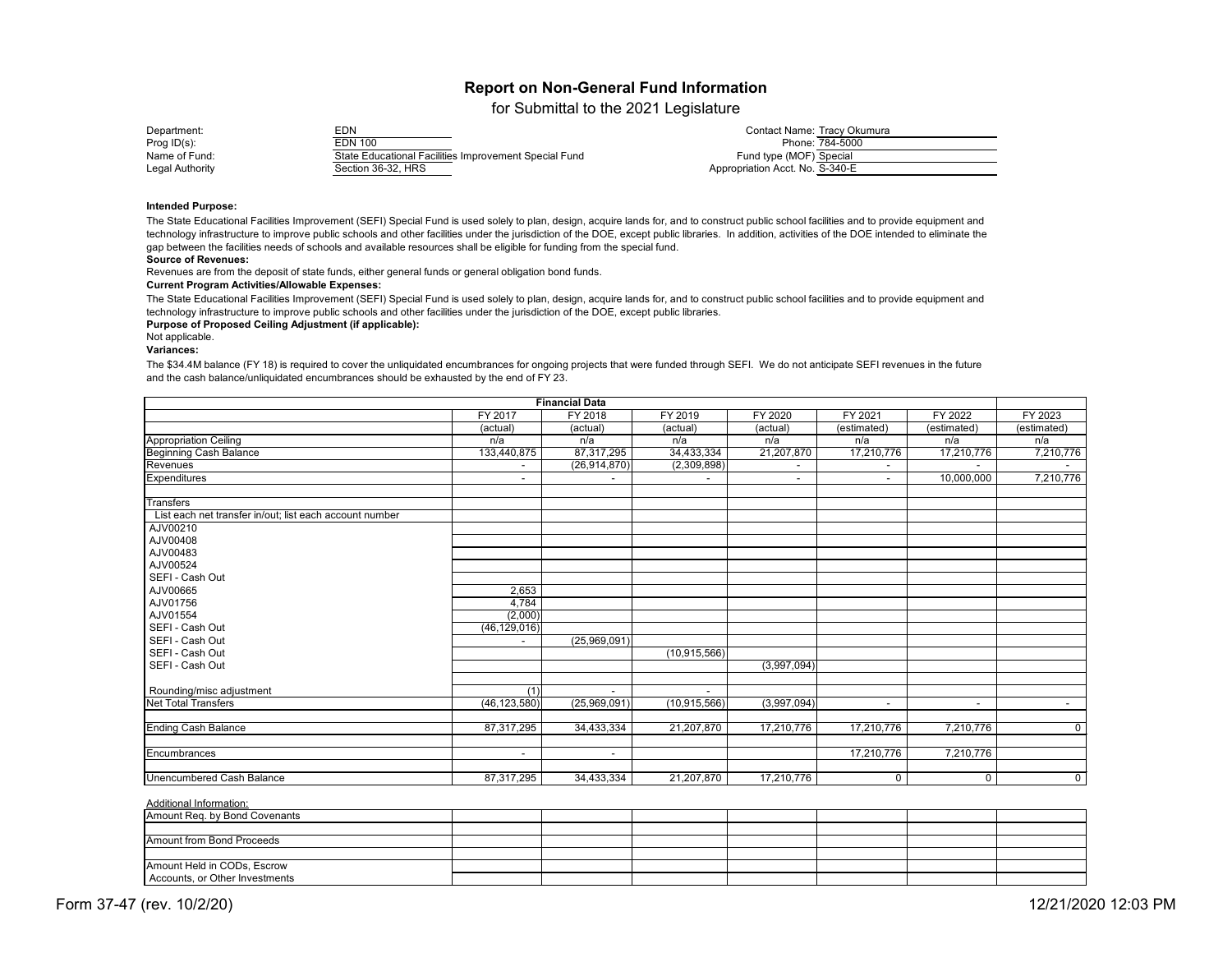for Submittal to the 2021 Legislature

| Department:            | EDN                                                   | Contact Name: Tracy Okumura     |
|------------------------|-------------------------------------------------------|---------------------------------|
| Prog $ID(s)$ :         | EDN 100                                               | Phone: 784-5000                 |
| Name of Fund:          | State Educational Facilities Improvement Special Fund | Fund type (MOF) Special         |
| <b>Legal Authority</b> | Section 36-32, HRS                                    | Appropriation Acct. No. S-340-E |
|                        |                                                       |                                 |

#### **Intended Purpose:**

### **Source of Revenues:**

Revenues are from the deposit of state funds, either general funds or general obligation bond funds.

#### **Current Program Activities/Allowable Expenses:**

#### **Purpose of Proposed Ceiling Adjustment (if applicable):**

Not applicable.

#### **Variances:**

The State Educational Facilities Improvement (SEFI) Special Fund is used solely to plan, design, acquire lands for, and to construct public school facilities and to provide equipment and technology infrastructure to improve public schools and other facilities under the jurisdiction of the DOE, except public libraries. In addition, activities of the DOE intended to eliminate the gap between the facilities needs of schools and available resources shall be eligible for funding from the special fund.

The State Educational Facilities Improvement (SEFI) Special Fund is used solely to plan, design, acquire lands for, and to construct public school facilities and to provide equipment and technology infrastructure to improve public schools and other facilities under the jurisdiction of the DOE, except public libraries.

| <b>Financial Data</b>                                   |                |                |                |                |             |             |                |
|---------------------------------------------------------|----------------|----------------|----------------|----------------|-------------|-------------|----------------|
|                                                         | <b>FY 2017</b> | FY 2018        | FY 2019        | <b>FY 2020</b> | FY 2021     | FY 2022     | FY 2023        |
|                                                         | (actual)       | (actual)       | (actual)       | (actual        | (estimated) | (estimated) | (estimated)    |
| <b>Appropriation Ceiling</b>                            | n/a            | n/a            | n/a            | n/a            | n/a         | n/a         | n/a            |
| <b>Beginning Cash Balance</b>                           | 133,440,875    | 87,317,295     | 34,433,334     | 21,207,870     | 17,210,776  | 17,210,776  | 7,210,776      |
| Revenues                                                |                | (26, 914, 870) | (2,309,898)    |                |             |             |                |
| <b>Expenditures</b>                                     | $\sim$         | $\blacksquare$ |                | $\sim$         | $\sim$      | 10,000,000  | 7,210,776      |
| <b>Transfers</b>                                        |                |                |                |                |             |             |                |
| List each net transfer in/out; list each account number |                |                |                |                |             |             |                |
| AJV00210                                                |                |                |                |                |             |             |                |
| AJV00408                                                |                |                |                |                |             |             |                |
| AJV00483                                                |                |                |                |                |             |             |                |
| AJV00524                                                |                |                |                |                |             |             |                |
| SEFI - Cash Out                                         |                |                |                |                |             |             |                |
| AJV00665                                                | 2,653          |                |                |                |             |             |                |
| AJV01756                                                | 4,784          |                |                |                |             |             |                |
| AJV01554                                                | (2,000)        |                |                |                |             |             |                |
| SEFI - Cash Out                                         | (46, 129, 016) |                |                |                |             |             |                |
| SEFI - Cash Out                                         | $\blacksquare$ | (25,969,091)   |                |                |             |             |                |
| SEFI - Cash Out                                         |                |                | (10, 915, 566) |                |             |             |                |
| SEFI - Cash Out                                         |                |                |                | (3,997,094)    |             |             |                |
|                                                         |                |                |                |                |             |             |                |
| Rounding/misc adjustment                                | (1)            | $\blacksquare$ |                |                |             |             |                |
| <b>Net Total Transfers</b>                              | (46, 123, 580) | (25,969,091)   | (10, 915, 566) | (3,997,094)    | $\sim$      | $\sim$      | $\sim$         |
| <b>Ending Cash Balance</b>                              | 87,317,295     | 34,433,334     | 21,207,870     | 17,210,776     | 17,210,776  | 7,210,776   | $\overline{0}$ |
| Encumbrances                                            | $\sim$         | $\sim$         |                |                | 17,210,776  | 7,210,776   |                |
| <b>Unencumbered Cash Balance</b>                        | 87,317,295     | 34,433,334     | 21,207,870     | 17,210,776     | $\mathbf 0$ | 0           | $\overline{0}$ |

#### Additional Information:

The \$34.4M balance (FY 18) is required to cover the unliquidated encumbrances for ongoing projects that were funded through SEFI. We do not anticipate SEFI revenues in the future and the cash balance/unliquidated encumbrances should be exhausted by the end of FY 23.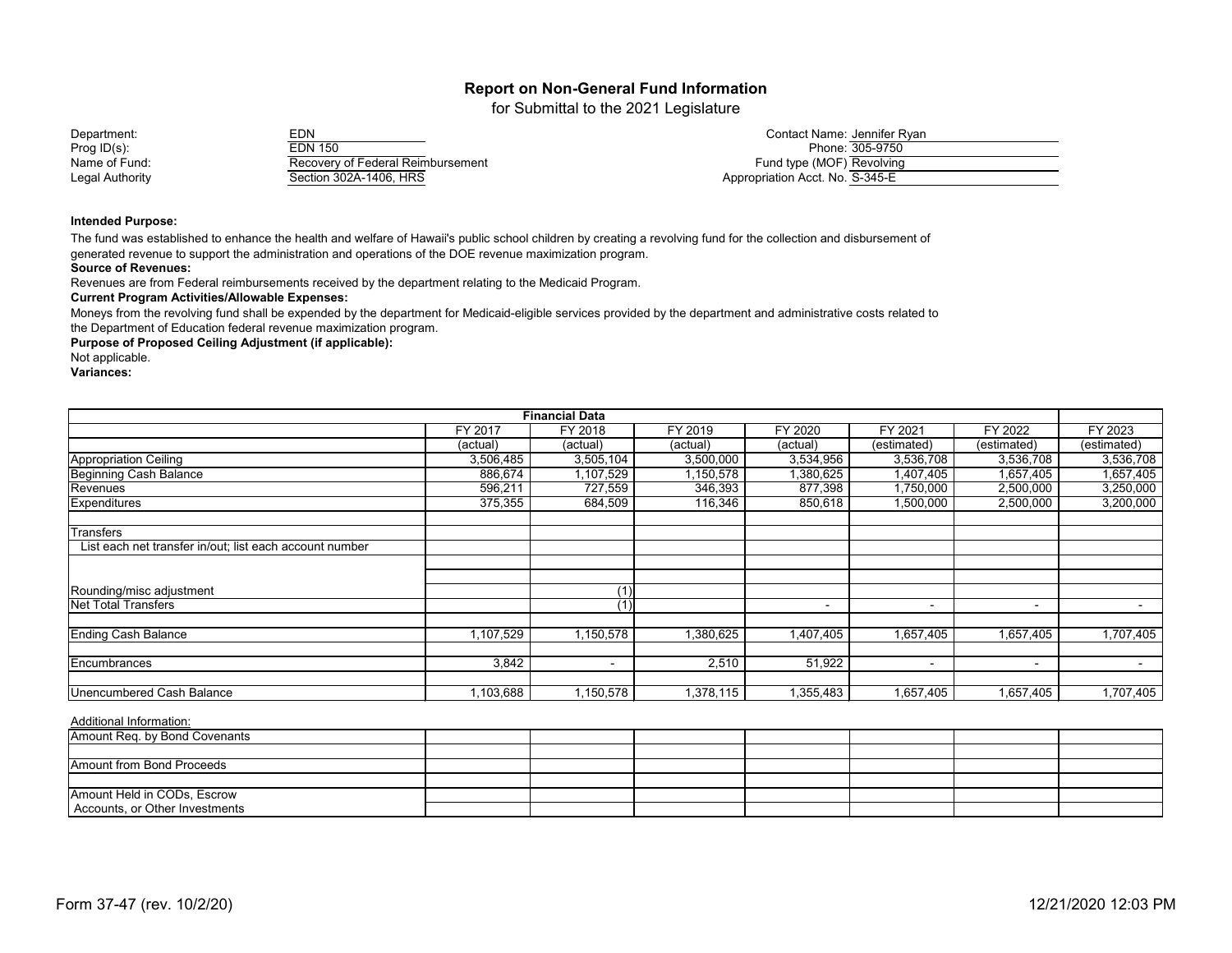for Submittal to the 2021 Legislature

| Department:     | ארי<br>∠U™                        | Contact Name: Jennifer Rvan_    |
|-----------------|-----------------------------------|---------------------------------|
| Prog $ID(s)$ :  | EDN 150                           | Phone: 305-9750                 |
| Name of Fund:   | Recovery of Federal Reimbursement | Fund type (MOF) Revolving       |
| Legal Authority | Section 302A-1406, HRS            | Appropriation Acct. No. S-345-E |

#### **Intended Purpose:**

The fund was established to enhance the health and welfare of Hawaii's public school children by creating a revolving fund for the collection and disbursement of generated revenue to support the administration and operations of the DOE revenue maximization program.

#### **Source of Revenues:**

Revenues are from Federal reimbursements received by the department relating to the Medicaid Program.

#### **Current Program Activities/Allowable Expenses:**

Moneys from the revolving fund shall be expended by the department for Medicaid-eligible services provided by the department and administrative costs related to the Department of Education federal revenue maximization program.

**Purpose of Proposed Ceiling Adjustment (if applicable):**

Not applicable.

**Variances:**

| <b>Financial Data</b>                                   |           |                |           |           |                          |                          |                          |
|---------------------------------------------------------|-----------|----------------|-----------|-----------|--------------------------|--------------------------|--------------------------|
|                                                         | FY 2017   | FY 2018        | FY 2019   | FY 2020   | FY 2021                  | FY 2022                  | FY 2023                  |
|                                                         | (actual)  | (actual)       | (actual)  | (actual)  | (estimated)              | (estimated)              | (estimated)              |
| <b>Appropriation Ceiling</b>                            | 3,506,485 | 3,505,104      | 3,500,000 | 3,534,956 | 3,536,708                | 3,536,708                | 3,536,708                |
| <b>Beginning Cash Balance</b>                           | 886,674   | 1,107,529      | 1,150,578 | 1,380,625 | 1,407,405                | 1,657,405                | 1,657,405                |
| Revenues                                                | 596,211   | 727,559        | 346,393   | 877,398   | 1,750,000                | 2,500,000                | 3,250,000                |
| <b>Expenditures</b>                                     | 375,355   | 684,509        | 116,346   | 850,618   | 1,500,000                | 2,500,000                | 3,200,000                |
| Transfers                                               |           |                |           |           |                          |                          |                          |
| List each net transfer in/out; list each account number |           |                |           |           |                          |                          |                          |
|                                                         |           |                |           |           |                          |                          |                          |
| Rounding/misc adjustment                                |           | (1)            |           |           |                          |                          |                          |
| <b>Net Total Transfers</b>                              |           | (1)            |           |           | $\overline{\phantom{0}}$ | $\overline{\phantom{a}}$ | $\overline{\phantom{0}}$ |
| <b>Ending Cash Balance</b>                              | ,107,529  | 1,150,578      | 1,380,625 | 1,407,405 | 1,657,405                | 1,657,405                | 1,707,405                |
|                                                         | 3,842     |                | 2,510     | 51,922    |                          |                          |                          |
| Encumbrances                                            |           | $\blacksquare$ |           |           |                          | $\overline{\phantom{a}}$ | $\,$ $\,$                |
| Unencumbered Cash Balance                               | 1,103,688 | 1,150,578      | 1,378,115 | 1,355,483 | 1,657,405                | 1,657,405                | 1,707,405                |

| $1.19$ and $1.19$ and $1.11$ and $1.11$ |  |  |  |  |
|-----------------------------------------|--|--|--|--|
| Amount Req. by Bond Covenants           |  |  |  |  |
|                                         |  |  |  |  |
| Amount from Bond Proceeds               |  |  |  |  |
|                                         |  |  |  |  |
| Amount Held in CODs, Escrow             |  |  |  |  |
| Accounts, or Other Investments          |  |  |  |  |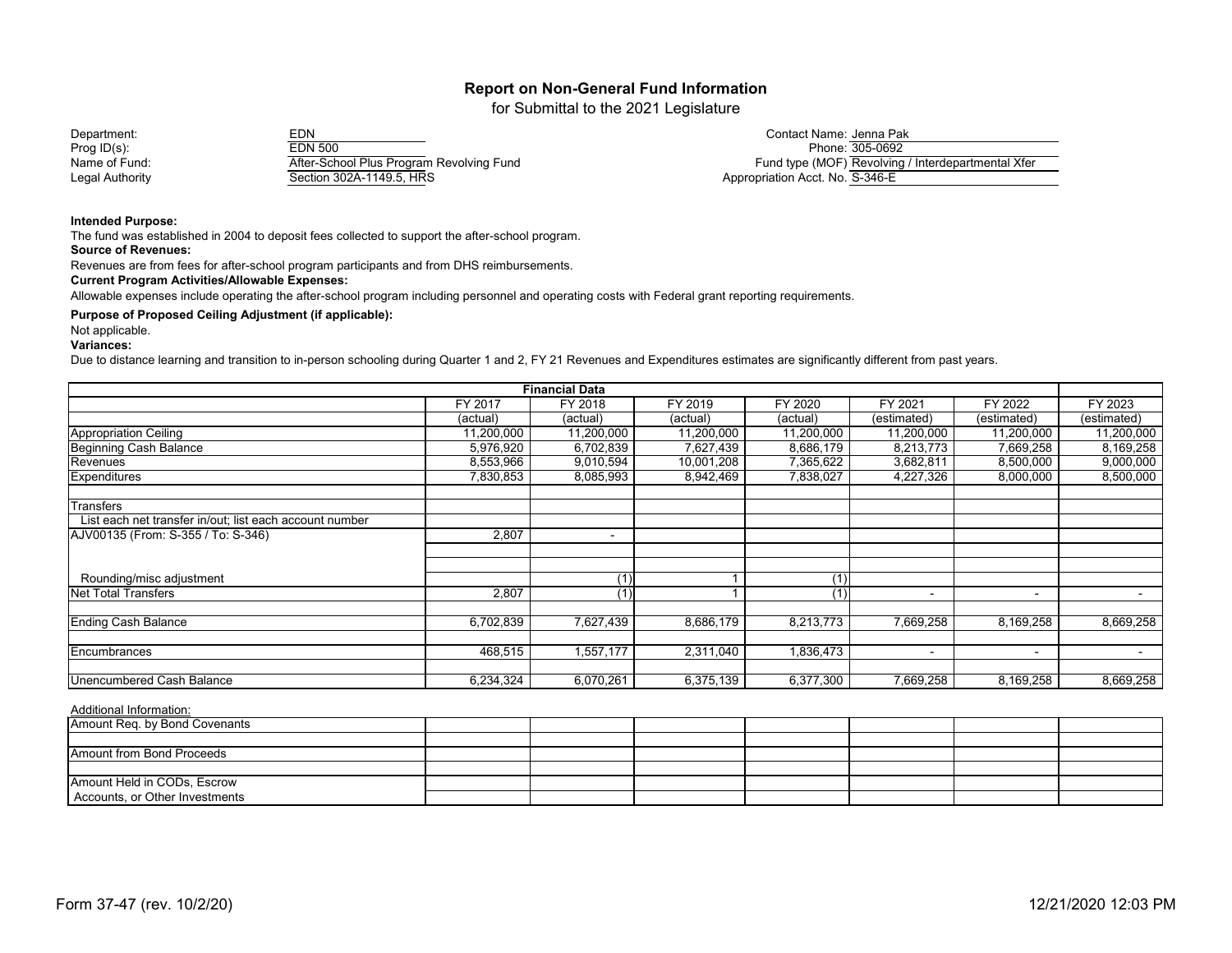for Submittal to the 2021 Legislature

Department: EDN Contact Name: Prog ID(s): EDN 500 Phone: Name of Fund: The After-School Plus Program Revolving Fund Legal Authority Section 302A-1149.5, HRS

| Contact Name: Jenna Pak         |                                                    |
|---------------------------------|----------------------------------------------------|
|                                 | Phone: 305-0692                                    |
|                                 | Fund type (MOF) Revolving / Interdepartmental Xfer |
| Appropriation Acct. No. S-346-E |                                                    |

**Intended Purpose:**

The fund was established in 2004 to deposit fees collected to support the after-school program.

**Source of Revenues:**

Revenues are from fees for after-school program participants and from DHS reimbursements.

**Current Program Activities/Allowable Expenses:**

Allowable expenses include operating the after-school program including personnel and operating costs with Federal grant reporting requirements.

**Purpose of Proposed Ceiling Adjustment (if applicable):**

Not applicable.

**Variances:**

Due to distance learning and transition to in-person schooling during Quarter 1 and 2, FY 21 Revenues and Expenditures estimates are significantly different from past years.

| <b>Financial Data</b>                                   |            |                |            |            |             |                          |                |
|---------------------------------------------------------|------------|----------------|------------|------------|-------------|--------------------------|----------------|
|                                                         | FY 2017    | FY 2018        | FY 2019    | FY 2020    | FY 2021     | FY 2022                  | FY 2023        |
|                                                         | (actual)   | (actual)       | (actual)   | (actual)   | (estimated) | (estimated)              | (estimated)    |
| Appropriation Ceiling                                   | 11,200,000 | 11,200,000     | 11,200,000 | 11,200,000 | 11,200,000  | 11,200,000               | 11,200,000     |
| <b>Beginning Cash Balance</b>                           | 5,976,920  | 6,702,839      | 7,627,439  | 8,686,179  | 8,213,773   | 7,669,258                | 8,169,258      |
| Revenues                                                | 8,553,966  | 9,010,594      | 10,001,208 | 7,365,622  | 3,682,811   | 8,500,000                | 9,000,000      |
| <b>Expenditures</b>                                     | 7,830,853  | 8,085,993      | 8,942,469  | 7,838,027  | 4,227,326   | 8,000,000                | 8,500,000      |
| <b>Transfers</b>                                        |            |                |            |            |             |                          |                |
| List each net transfer in/out; list each account number |            |                |            |            |             |                          |                |
| AJV00135 (From: S-355 / To: S-346)                      | 2,807      | $\blacksquare$ |            |            |             |                          |                |
|                                                         |            |                |            |            |             |                          |                |
| Rounding/misc adjustment                                |            | (1)            |            | (1)        |             |                          |                |
| <b>Net Total Transfers</b>                              | 2,807      | (1)            |            | (1)        |             | $\overline{\phantom{0}}$ |                |
| <b>Ending Cash Balance</b>                              | 6,702,839  | 7,627,439      | 8,686,179  | 8,213,773  | 7,669,258   | 8,169,258                | 8,669,258      |
|                                                         |            |                |            |            |             |                          |                |
| Encumbrances                                            | 468,515    | 1,557,177      | 2,311,040  | 1,836,473  |             | $\sim$                   | $\blacksquare$ |
| Unencumbered Cash Balance                               | 6,234,324  | 6,070,261      | 6,375,139  | 6,377,300  | 7,669,258   | 8,169,258                | 8,669,258      |

| Amount Req. by Bond Covenants  |  |  |  |  |
|--------------------------------|--|--|--|--|
|                                |  |  |  |  |
| Amount from Bond Proceeds      |  |  |  |  |
|                                |  |  |  |  |
| Amount Held in CODs, Escrow    |  |  |  |  |
| Accounts, or Other Investments |  |  |  |  |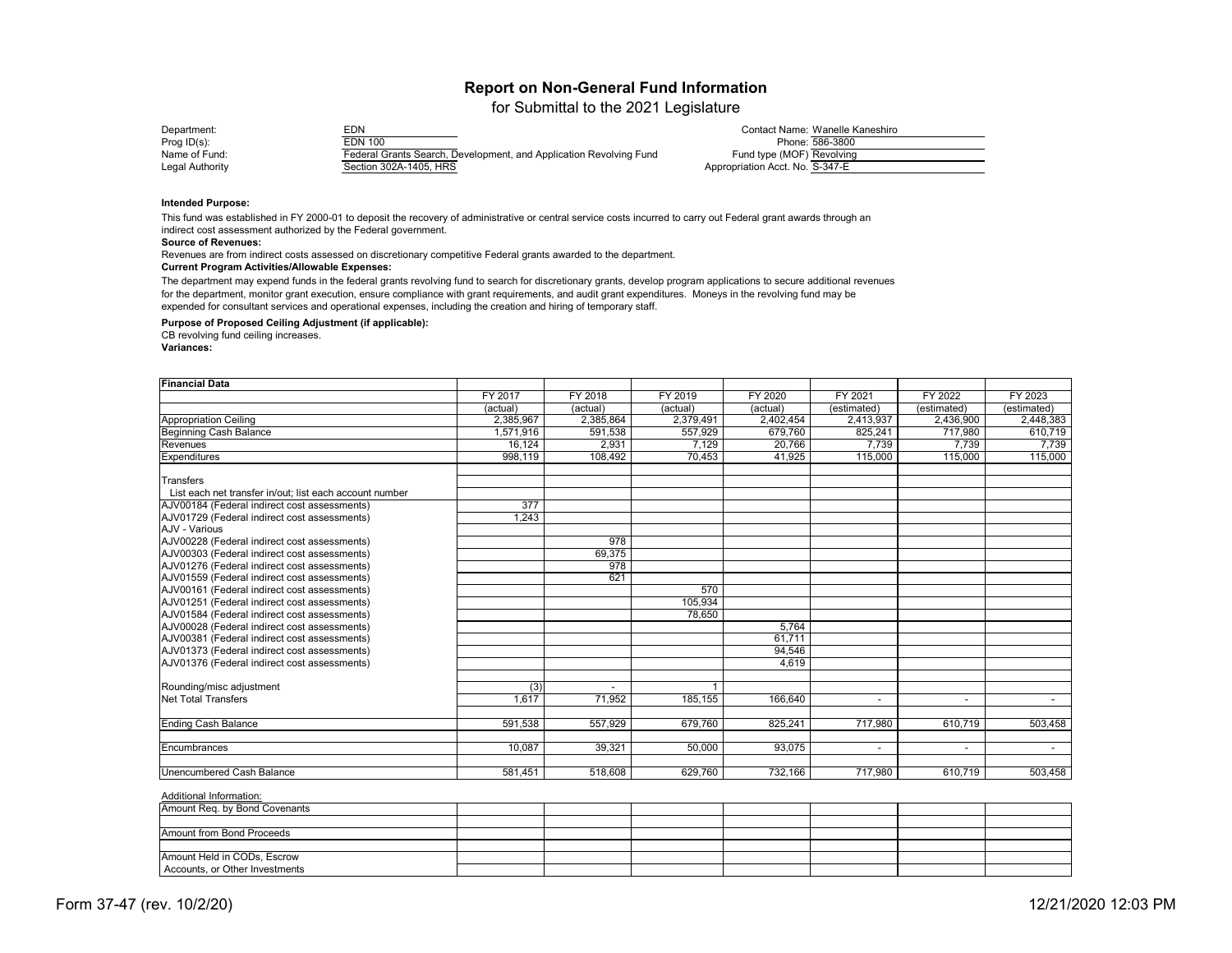for Submittal to the 2021 Legislature

| EDN<br>Department:                        |                                                                    |                                 | Contact Name: Wanelle Kaneshiro |
|-------------------------------------------|--------------------------------------------------------------------|---------------------------------|---------------------------------|
| <b>EDN 100</b><br>Prog $ID(s)$ :          |                                                                    |                                 | Phone: 586-3800                 |
| Name of Fund:                             | Federal Grants Search, Development, and Application Revolving Fund | Fund type (MOF) Revolving       |                                 |
| Section 302A-1405, HRS<br>Legal Authority |                                                                    | Appropriation Acct. No. S-347-E |                                 |

#### **Intended Purpose:**

#### **Source of Revenues:**

Revenues are from indirect costs assessed on discretionary competitive Federal grants awarded to the department. **Current Program Activities/Allowable Expenses:**

#### **Purpose of Proposed Ceiling Adjustment (if applicable):**

CB revolving fund ceiling increases.

**Variances:**

| <b>Financial Data</b>                                   |                  |                  |           |                |             |                |             |
|---------------------------------------------------------|------------------|------------------|-----------|----------------|-------------|----------------|-------------|
|                                                         | <b>FY 2017</b>   | FY 2018          | FY 2019   | <b>FY 2020</b> | FY 2021     | <b>FY 2022</b> | FY 2023     |
|                                                         | (actual)         | (actual)         | (actual)  | (actual)       | (estimated) | (estimated)    | (estimated) |
| <b>Appropriation Ceiling</b>                            | 2,385,967        | 2,385,864        | 2,379,491 | 2,402,454      | 2,413,937   | 2,436,900      | 2,448,383   |
| Beginning Cash Balance                                  | 1,571,916        | 591,538          | 557,929   | 679,760        | 825,241     | 717,980        | 610,719     |
| Revenues                                                | 16,124           | 2,931            | 7,129     | 20,766         | 7,739       | 7,739          | 7,739       |
| <b>Expenditures</b>                                     | 998,119          | 108,492          | 70,453    | 41,925         | 115,000     | 115,000        | 115,000     |
| <b>Transfers</b>                                        |                  |                  |           |                |             |                |             |
| List each net transfer in/out; list each account number |                  |                  |           |                |             |                |             |
| AJV00184 (Federal indirect cost assessments)            | $\overline{377}$ |                  |           |                |             |                |             |
| AJV01729 (Federal indirect cost assessments)            | 1,243            |                  |           |                |             |                |             |
| AJV - Various                                           |                  |                  |           |                |             |                |             |
| AJV00228 (Federal indirect cost assessments)            |                  | $\overline{978}$ |           |                |             |                |             |
| AJV00303 (Federal indirect cost assessments)            |                  | 69,375           |           |                |             |                |             |
| AJV01276 (Federal indirect cost assessments)            |                  | $\overline{978}$ |           |                |             |                |             |
| AJV01559 (Federal indirect cost assessments)            |                  | 621              |           |                |             |                |             |
| AJV00161 (Federal indirect cost assessments)            |                  |                  | 570       |                |             |                |             |
| AJV01251 (Federal indirect cost assessments)            |                  |                  | 105,934   |                |             |                |             |
| AJV01584 (Federal indirect cost assessments)            |                  |                  | 78,650    |                |             |                |             |
| AJV00028 (Federal indirect cost assessments)            |                  |                  |           | 5,764          |             |                |             |
| AJV00381 (Federal indirect cost assessments)            |                  |                  |           | 61,711         |             |                |             |
| AJV01373 (Federal indirect cost assessments)            |                  |                  |           | 94,546         |             |                |             |
| AJV01376 (Federal indirect cost assessments)            |                  |                  |           | 4,619          |             |                |             |
|                                                         |                  |                  |           |                |             |                |             |
| Rounding/misc adjustment                                | (3)              |                  |           |                |             |                |             |
| Net Total Transfers                                     | 1,617            | 71,952           | 185,155   | 166,640        |             |                |             |
| <b>Ending Cash Balance</b>                              | 591,538          | 557,929          | 679,760   | 825,241        | 717,980     | 610,719        | 503,458     |
| Encumbrances                                            | 10,087           | 39,321           | 50,000    | 93,075         | $\sim$      | $\blacksquare$ |             |
|                                                         |                  |                  |           |                |             |                |             |
| Unencumbered Cash Balance                               | 581,451          | 518,608          | 629,760   | 732,166        | 717,980     | 610,719        | 503,458     |

### Additional Information:

This fund was established in FY 2000-01 to deposit the recovery of administrative or central service costs incurred to carry out Federal grant awards through an indirect cost assessment authorized by the Federal government.

The department may expend funds in the federal grants revolving fund to search for discretionary grants, develop program applications to secure additional revenues for the department, monitor grant execution, ensure compliance with grant requirements, and audit grant expenditures. Moneys in the revolving fund may be expended for consultant services and operational expenses, including the creation and hiring of temporary staff.

| FY 2022                                | FY 2023     |
|----------------------------------------|-------------|
|                                        | (estimated) |
| $\frac{\text{(estimated)}}{2,436,900}$ | 2,448,383   |
| 717,980                                | 610,719     |
| 7,739                                  | 7,739       |
| 115,000                                | 115,000     |
|                                        |             |
|                                        |             |
|                                        |             |
|                                        |             |
|                                        |             |
|                                        |             |
|                                        |             |
|                                        |             |
|                                        |             |
|                                        |             |
|                                        |             |
|                                        |             |
|                                        |             |
|                                        |             |
|                                        |             |
|                                        |             |
|                                        |             |
|                                        |             |
|                                        |             |
|                                        |             |
|                                        |             |
| 610,719                                | 503,458     |
|                                        |             |
|                                        |             |
|                                        |             |
| 610,719                                | 503,458     |
|                                        |             |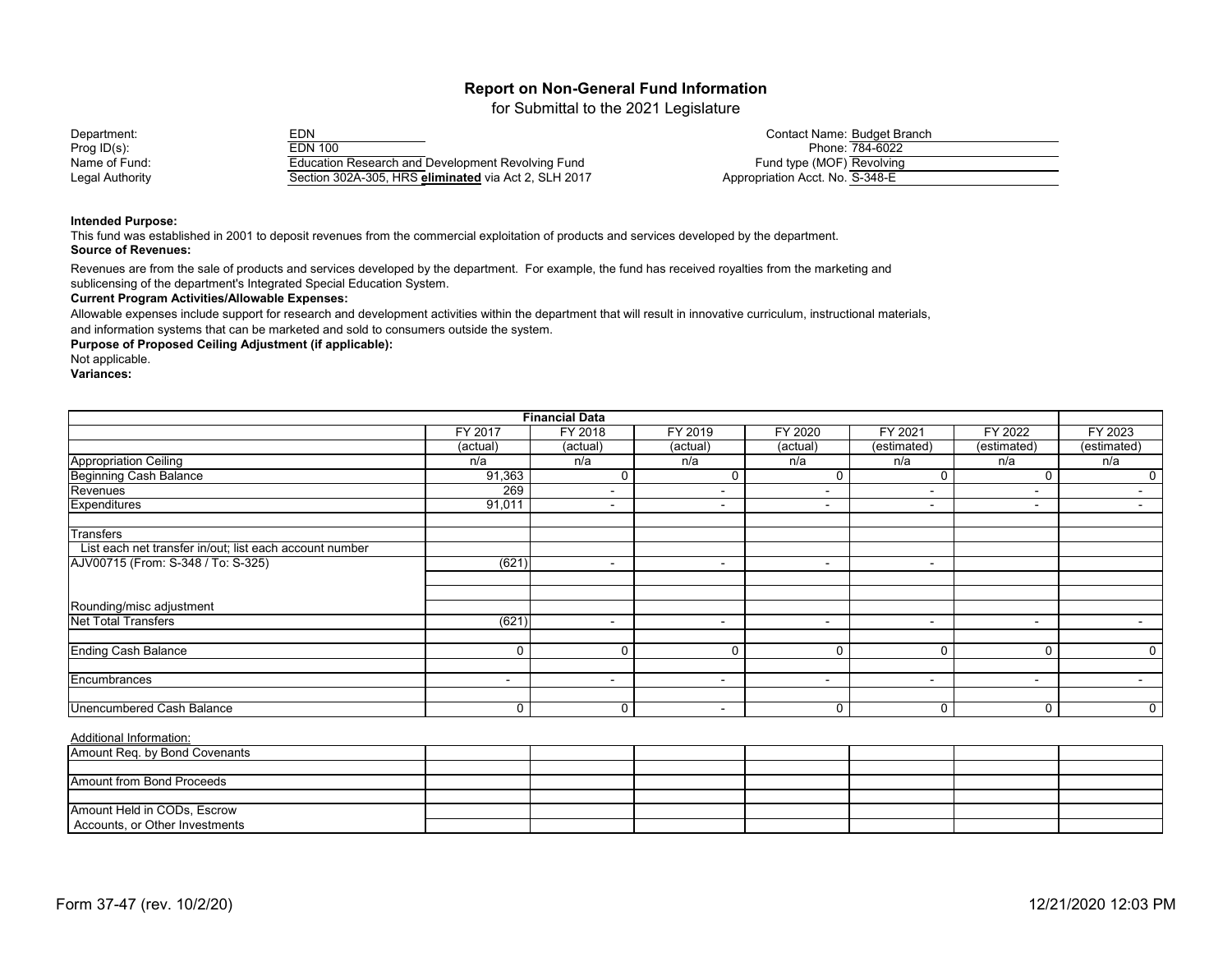for Submittal to the 2021 Legislature

Department: EDN Contact Name: Budget Branch Prog ID(s): EDN 100 Phone: 784-6022 Name of Fund: Education Research and Development Revolving Fund Legal Authority Section 302A-305, HRS **eliminated** via Act 2, SLH 2017

|                                 | Contact Name: Budget Branch |
|---------------------------------|-----------------------------|
|                                 | Phone: 784-6022             |
| Fund type (MOF) Revolving       |                             |
| Appropriation Acct. No. S-348-E |                             |

#### **Intended Purpose:**

This fund was established in 2001 to deposit revenues from the commercial exploitation of products and services developed by the department. **Source of Revenues:**

Revenues are from the sale of products and services developed by the department. For example, the fund has received royalties from the marketing and sublicensing of the department's Integrated Special Education System.

#### **Current Program Activities/Allowable Expenses:**

Allowable expenses include support for research and development activities within the department that will result in innovative curriculum, instructional materials, and information systems that can be marketed and sold to consumers outside the system.

**Purpose of Proposed Ceiling Adjustment (if applicable):**

#### Not applicable.

**Variances:**

| <b>Financial Data</b>                                   |                          |                          |                          |                          |                          |                          |                |
|---------------------------------------------------------|--------------------------|--------------------------|--------------------------|--------------------------|--------------------------|--------------------------|----------------|
|                                                         | FY 2017                  | <b>FY 2018</b>           | FY 2019                  | <b>FY 2020</b>           | FY 2021                  | <b>FY 2022</b>           | FY 2023        |
|                                                         | (actual)                 | (actual)                 | (actual)                 | (actual)                 | (estimated)              | (estimated)              | (estimated)    |
| <b>Appropriation Ceiling</b>                            | n/a                      | n/a                      | n/a                      | n/a                      | n/a                      | n/a                      | n/a            |
| <b>Beginning Cash Balance</b>                           | 91,363                   |                          |                          | C                        | 0                        |                          |                |
| Revenues                                                | 269                      | $\overline{\phantom{a}}$ | ٠                        | ۰                        | $\blacksquare$           | $\overline{\phantom{a}}$ |                |
| <b>Expenditures</b>                                     | 91,011                   | $\blacksquare$           | $\overline{\phantom{a}}$ | ۰                        | $\overline{\phantom{a}}$ | $\overline{\phantom{a}}$ |                |
| <b>Transfers</b>                                        |                          |                          |                          |                          |                          |                          |                |
| List each net transfer in/out; list each account number |                          |                          |                          |                          |                          |                          |                |
| AJV00715 (From: S-348 / To: S-325)                      | (621)                    | $\overline{\phantom{0}}$ | $\overline{\phantom{0}}$ | $\sim$                   | $\sim$                   |                          |                |
|                                                         |                          |                          |                          |                          |                          |                          |                |
| Rounding/misc adjustment                                |                          |                          |                          |                          |                          |                          |                |
| <b>Net Total Transfers</b>                              | (621)                    | $\blacksquare$           | $\overline{\phantom{0}}$ | $\blacksquare$           | $\overline{\phantom{0}}$ | $\overline{\phantom{a}}$ |                |
|                                                         |                          |                          |                          |                          |                          |                          |                |
| <b>Ending Cash Balance</b>                              | $\mathbf 0$              | 0                        | $\Omega$                 | C                        | 0                        | $\mathbf 0$              | 0              |
|                                                         |                          |                          |                          |                          |                          |                          |                |
| Encumbrances                                            | $\overline{\phantom{a}}$ | $\overline{\phantom{0}}$ |                          | $\overline{\phantom{a}}$ | $\overline{\phantom{0}}$ | $\overline{\phantom{a}}$ | $\blacksquare$ |
|                                                         |                          |                          |                          |                          |                          |                          |                |
| <b>Unencumbered Cash Balance</b>                        | $\mathbf 0$              | 0                        | $\overline{\phantom{0}}$ | $\mathbf 0$              | 0                        | $\mathbf{0}$             | 0              |

| Amount Req. by Bond Covenants    |  |  |  |  |
|----------------------------------|--|--|--|--|
|                                  |  |  |  |  |
| <b>Amount from Bond Proceeds</b> |  |  |  |  |
|                                  |  |  |  |  |
| Amount Held in CODs, Escrow      |  |  |  |  |
| Accounts, or Other Investments   |  |  |  |  |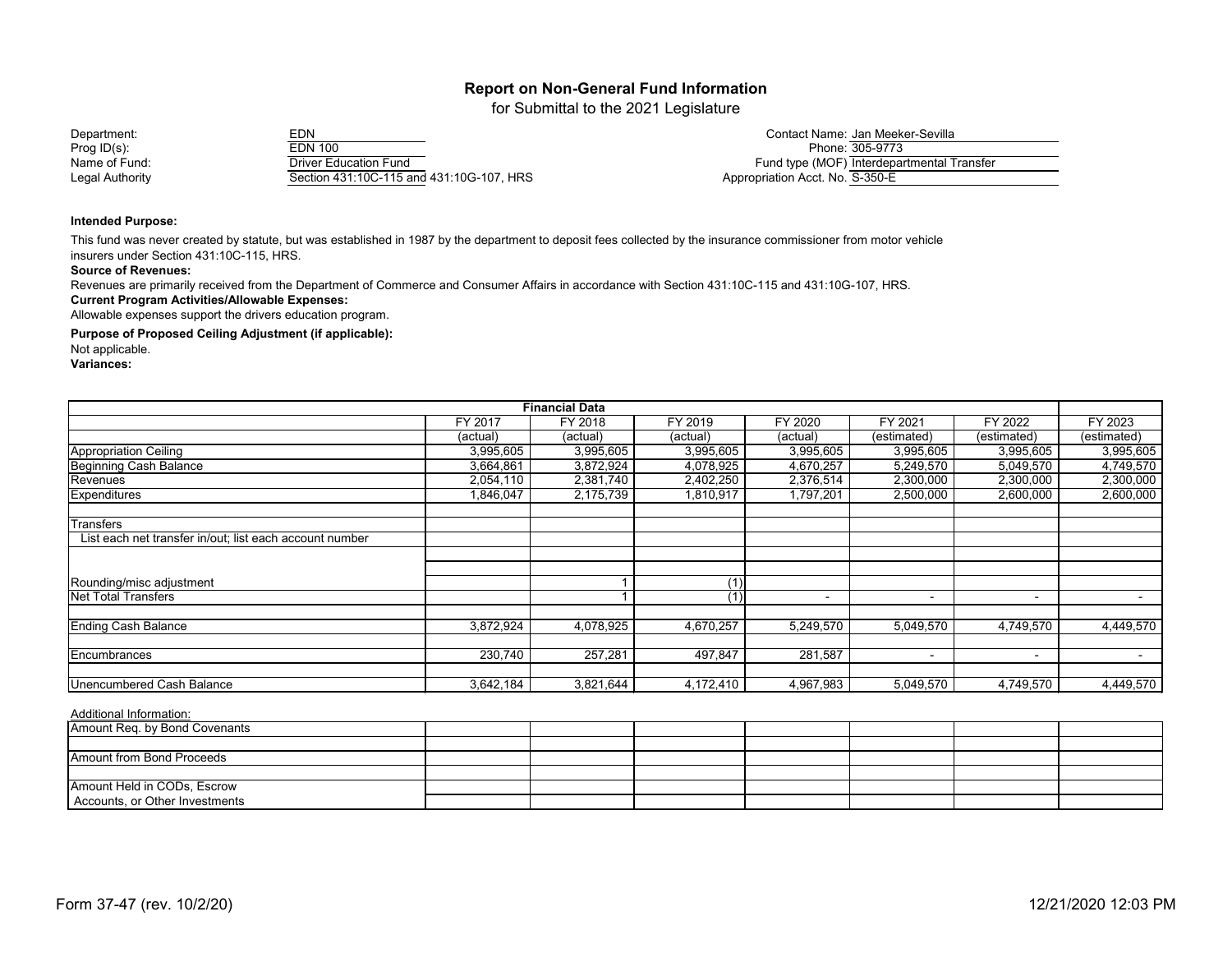for Submittal to the 2021 Legislature

### Prog ID(s): EDN 100 Phone: 305-9773 Name of Fund: Driver Education Fund Legal Authority Section 431:10C-115 and 431:10G-107, HRS

| Department:     | EDN                                      | Contact Name: Jan Meeker-Sevilla           |
|-----------------|------------------------------------------|--------------------------------------------|
| Prog ID(s):     | <b>EDN 100</b>                           | Phone: 305-9773                            |
| Name of Fund:   | <b>Driver Education Fund</b>             | Fund type (MOF) Interdepartmental Transfer |
| Legal Authority | Section 431:10C-115 and 431:10G-107, HRS | Appropriation Acct. No. S-350-E            |

#### **Intended Purpose:**

This fund was never created by statute, but was established in 1987 by the department to deposit fees collected by the insurance commissioner from motor vehicle insurers under Section 431:10C-115, HRS.

#### **Source of Revenues:**

Revenues are primarily received from the Department of Commerce and Consumer Affairs in accordance with Section 431:10C-115 and 431:10G-107, HRS.

#### **Current Program Activities/Allowable Expenses:**

Allowable expenses support the drivers education program.

**Purpose of Proposed Ceiling Adjustment (if applicable):**

Not applicable.

**Variances:**

| <b>Financial Data</b>                                   |           |           |           |           |                          |                          |                |
|---------------------------------------------------------|-----------|-----------|-----------|-----------|--------------------------|--------------------------|----------------|
|                                                         | FY 2017   | FY 2018   | FY 2019   | FY 2020   | FY 2021                  | FY 2022                  | FY 2023        |
|                                                         | (actual)  | (actual)  | (actual)  | (actual)  | (estimated)              | (estimated)              | (estimated)    |
| <b>Appropriation Ceiling</b>                            | 3,995,605 | 3,995,605 | 3,995,605 | 3,995,605 | 3,995,605                | 3,995,605                | 3,995,605      |
| <b>Beginning Cash Balance</b>                           | 3,664,861 | 3,872,924 | 4,078,925 | 4,670,257 | 5,249,570                | 5,049,570                | 4,749,570      |
| Revenues                                                | 2,054,110 | 2,381,740 | 2,402,250 | 2,376,514 | 2,300,000                | 2,300,000                | 2,300,000      |
| <b>Expenditures</b>                                     | 1,846,047 | 2,175,739 | 1,810,917 | 1,797,201 | 2,500,000                | 2,600,000                | 2,600,000      |
| Transfers                                               |           |           |           |           |                          |                          |                |
| List each net transfer in/out; list each account number |           |           |           |           |                          |                          |                |
|                                                         |           |           |           |           |                          |                          |                |
| Rounding/misc adjustment                                |           |           | (1)       |           |                          |                          |                |
| <b>Net Total Transfers</b>                              |           |           |           |           | $\overline{\phantom{0}}$ | $\overline{\phantom{0}}$ | $\blacksquare$ |
| <b>Ending Cash Balance</b>                              | 3,872,924 | 4,078,925 | 4,670,257 | 5,249,570 | 5,049,570                | 4,749,570                | 4,449,570      |
| Encumbrances                                            | 230,740   | 257,281   | 497,847   | 281,587   |                          | $\overline{\phantom{a}}$ |                |
| Unencumbered Cash Balance                               | 3,642,184 | 3,821,644 | 4,172,410 | 4,967,983 | 5,049,570                | 4,749,570                | 4,449,570      |

| Amount Req. by Bond Covenants  |  |  |  |  |
|--------------------------------|--|--|--|--|
|                                |  |  |  |  |
| Amount from Bond Proceeds      |  |  |  |  |
|                                |  |  |  |  |
| Amount Held in CODs, Escrow    |  |  |  |  |
| Accounts, or Other Investments |  |  |  |  |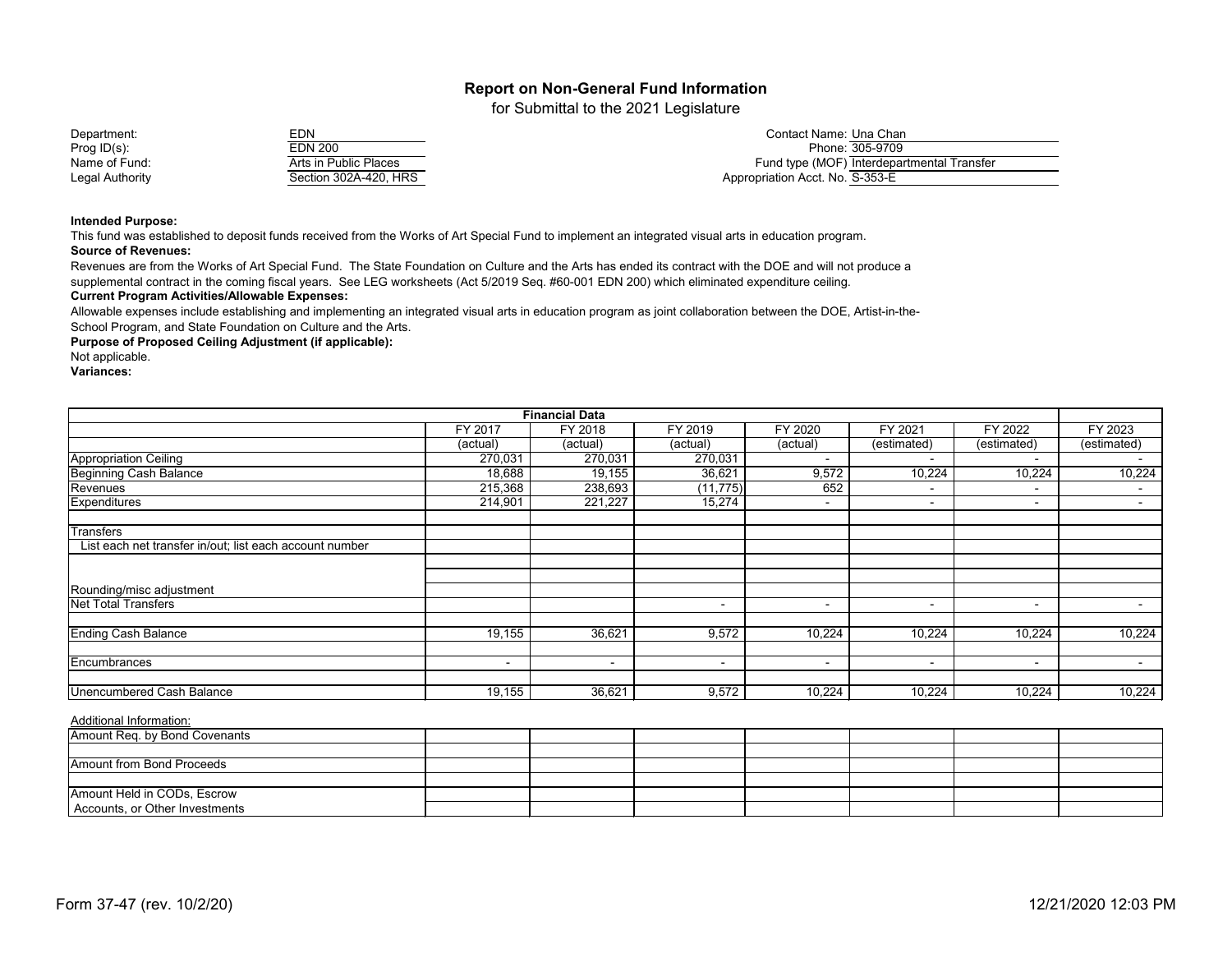for Submittal to the 2021 Legislature

| Department:            | EDN                   | Contact Name: Una Chan                     |
|------------------------|-----------------------|--------------------------------------------|
| Prog $ID(s)$ :         | EDN 200               | Phone: 305-9709                            |
| Name of Fund:          | Arts in Public Places | Fund type (MOF) Interdepartmental Transfer |
| <b>Legal Authority</b> | Section 302A-420, HRS | Appropriation Acct. No. S-353-E            |

#### **Intended Purpose:**

This fund was established to deposit funds received from the Works of Art Special Fund to implement an integrated visual arts in education program. **Source of Revenues:**

**Current Program Activities/Allowable Expenses:** Revenues are from the Works of Art Special Fund. The State Foundation on Culture and the Arts has ended its contract with the DOE and will not produce a supplemental contract in the coming fiscal years. See LEG worksheets (Act 5/2019 Seq. #60-001 EDN 200) which eliminated expenditure ceiling.

Allowable expenses include establishing and implementing an integrated visual arts in education program as joint collaboration between the DOE, Artist-in-the-School Program, and State Foundation on Culture and the Arts.

**Purpose of Proposed Ceiling Adjustment (if applicable):**

Not applicable.

**Variances:**

| <b>Financial Data</b>                                   |                          |                          |                          |                          |                          |                |                          |
|---------------------------------------------------------|--------------------------|--------------------------|--------------------------|--------------------------|--------------------------|----------------|--------------------------|
|                                                         | FY 2017                  | FY 2018                  | FY 2019                  | FY 2020                  | FY 2021                  | FY 2022        | FY 2023                  |
|                                                         | (actual)                 | (actual)                 | (actual)                 | (actual)                 | (estimated)              | (estimated)    | (estimated)              |
| <b>Appropriation Ceiling</b>                            | 270,031                  | 270,031                  | 270,031                  | $\sim$                   | $\sim$                   | $\sim$         |                          |
| <b>Beginning Cash Balance</b>                           | 18,688                   | 19,155                   | 36,621                   | 9,572                    | 10,224                   | 10,224         | 10,224                   |
| Revenues                                                | 215,368                  | 238,693                  | (11, 775)                | 652                      | ۰                        | $\blacksquare$ | $\blacksquare$           |
| Expenditures                                            | 214,901                  | 221,227                  | 15,274                   |                          | ۰                        |                | $\blacksquare$           |
| <b>Transfers</b>                                        |                          |                          |                          |                          |                          |                |                          |
| List each net transfer in/out; list each account number |                          |                          |                          |                          |                          |                |                          |
|                                                         |                          |                          |                          |                          |                          |                |                          |
| Rounding/misc adjustment                                |                          |                          |                          |                          |                          |                |                          |
| <b>Net Total Transfers</b>                              |                          |                          | $\,$                     | $\overline{\phantom{a}}$ | $\overline{\phantom{a}}$ |                | $\overline{\phantom{0}}$ |
| <b>Ending Cash Balance</b>                              | 19,155                   | 36,621                   | 9,572                    | 10,224                   | 10,224                   | 10,224         | 10,224                   |
| Encumbrances                                            | $\overline{\phantom{a}}$ | $\overline{\phantom{a}}$ | $\overline{\phantom{0}}$ | $\overline{\phantom{a}}$ | $\overline{\phantom{a}}$ |                |                          |
| Unencumbered Cash Balance                               | 19,155                   | 36,621                   | 9,572                    | 10,224                   | 10,224                   | 10,224         | 10,224                   |

| Amount Req. by Bond Covenants  |  |  |  |  |
|--------------------------------|--|--|--|--|
|                                |  |  |  |  |
| Amount from Bond Proceeds      |  |  |  |  |
|                                |  |  |  |  |
| Amount Held in CODs, Escrow    |  |  |  |  |
| Accounts, or Other Investments |  |  |  |  |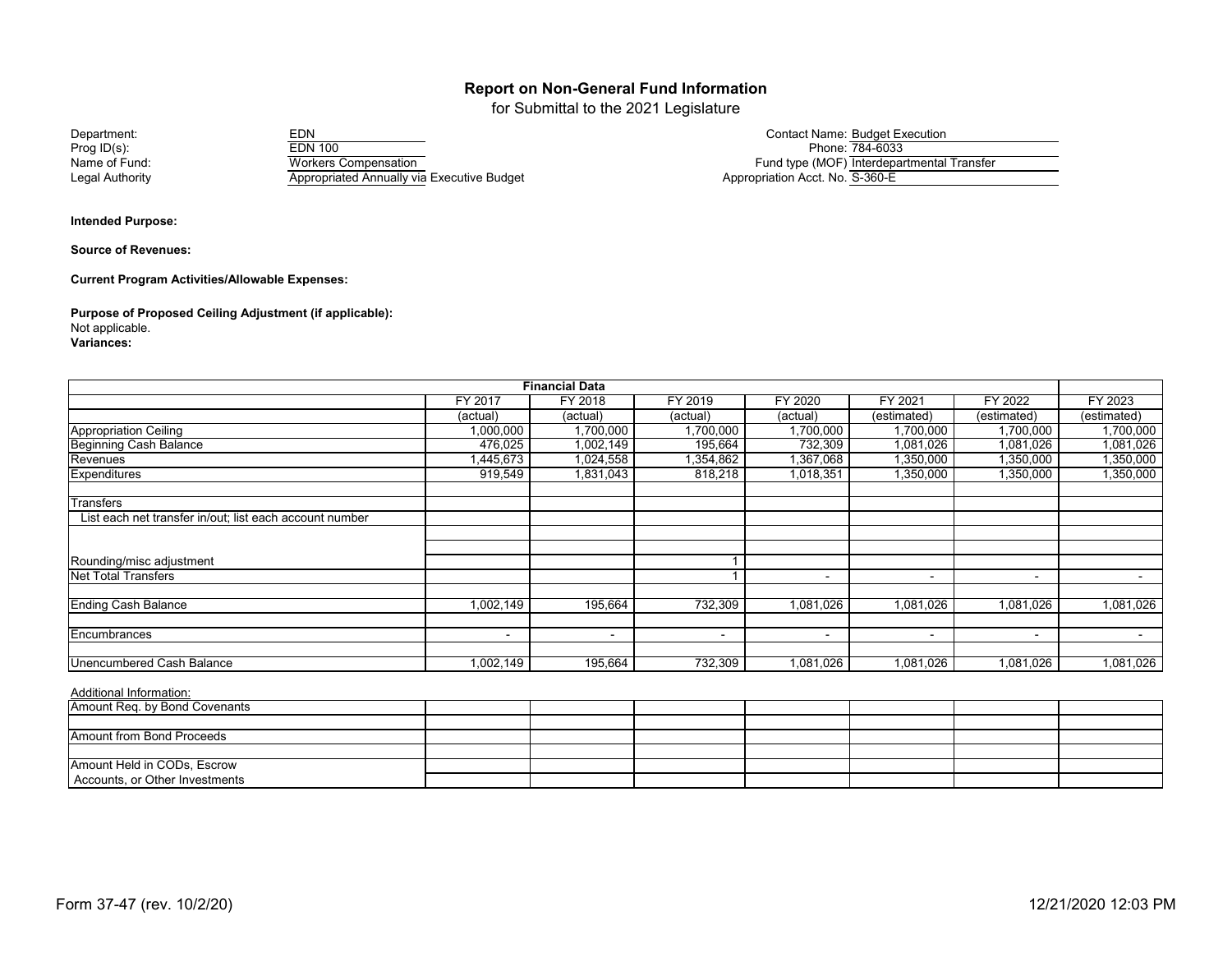for Submittal to the 2021 Legislature

Prog ID(s): EDN 100 Phone: 784-6033 Name of Fund: Workers Compensation Fund type (MOF) Interdepartmental Transfer Executive Budget Appropriation Acct. No. S-360-E<br>Appropriated Annually via Executive Budget

| Department:     | EDN                                        | Contact Name: Budget Execution             |
|-----------------|--------------------------------------------|--------------------------------------------|
| Prog ID(s):     | EDN 100                                    | Phone: 784-6033                            |
| Name of Fund:   | Workers Compensation                       | Fund type (MOF) Interdepartmental Transfer |
| Legal Authority | Appropriated Annually via Executive Budget | Annropriation Acct No S-360-F              |

**Intended Purpose:**

**Source of Revenues:**

**Current Program Activities/Allowable Expenses:**

**Purpose of Proposed Ceiling Adjustment (if applicable):** Not applicable. **Variances:**

|                                                         |                          | <b>Financial Data</b> |           |                          |                          |                          |             |
|---------------------------------------------------------|--------------------------|-----------------------|-----------|--------------------------|--------------------------|--------------------------|-------------|
|                                                         | FY 2017                  | FY 2018               | FY 2019   | <b>FY 2020</b>           | FY 2021                  | <b>FY 2022</b>           | FY 2023     |
|                                                         | (actual)                 | (actual)              | (actual)  | (actual)                 | (estimated)              | (estimated)              | (estimated) |
| <b>Appropriation Ceiling</b>                            | 1,000,000                | 1,700,000             | 1,700,000 | 1,700,000                | 1,700,000                | 1,700,000                | 1,700,000   |
| <b>Beginning Cash Balance</b>                           | 476,025                  | 1,002,149             | 195,664   | 732,309                  | 1,081,026                | 1,081,026                | 1,081,026   |
| Revenues                                                | 1,445,673                | 1,024,558             | 1,354,862 | 1,367,068                | 1,350,000                | 1,350,000                | 1,350,000   |
| Expenditures                                            | 919,549                  | 1,831,043             | 818,218   | 1,018,351                | 1,350,000                | 1,350,000                | 1,350,000   |
| <b>Transfers</b>                                        |                          |                       |           |                          |                          |                          |             |
| List each net transfer in/out; list each account number |                          |                       |           |                          |                          |                          |             |
|                                                         |                          |                       |           |                          |                          |                          |             |
|                                                         |                          |                       |           |                          |                          |                          |             |
| Rounding/misc adjustment                                |                          |                       |           |                          |                          |                          |             |
| <b>Net Total Transfers</b>                              |                          |                       |           | $\sim$                   | $\overline{\phantom{a}}$ | $\sim$                   | $\sim$      |
| <b>Ending Cash Balance</b>                              | 1,002,149                | 195,664               | 732,309   | 1,081,026                | 1,081,026                | 1,081,026                | 1,081,026   |
| Encumbrances                                            | $\overline{\phantom{0}}$ | $\blacksquare$        | $\,$      | $\overline{\phantom{a}}$ | $\overline{\phantom{a}}$ | $\overline{\phantom{0}}$ |             |
|                                                         |                          |                       |           |                          |                          |                          |             |
| Unencumbered Cash Balance                               | 1,002,149                | 195,664               | 732,309   | 1,081,026                | 1,081,026                | 1,081,026                | 1,081,026   |

| Amount Req. by Bond Covenants  |  |  |  |  |
|--------------------------------|--|--|--|--|
|                                |  |  |  |  |
| Amount from Bond Proceeds      |  |  |  |  |
|                                |  |  |  |  |
| Amount Held in CODs, Escrow    |  |  |  |  |
| Accounts, or Other Investments |  |  |  |  |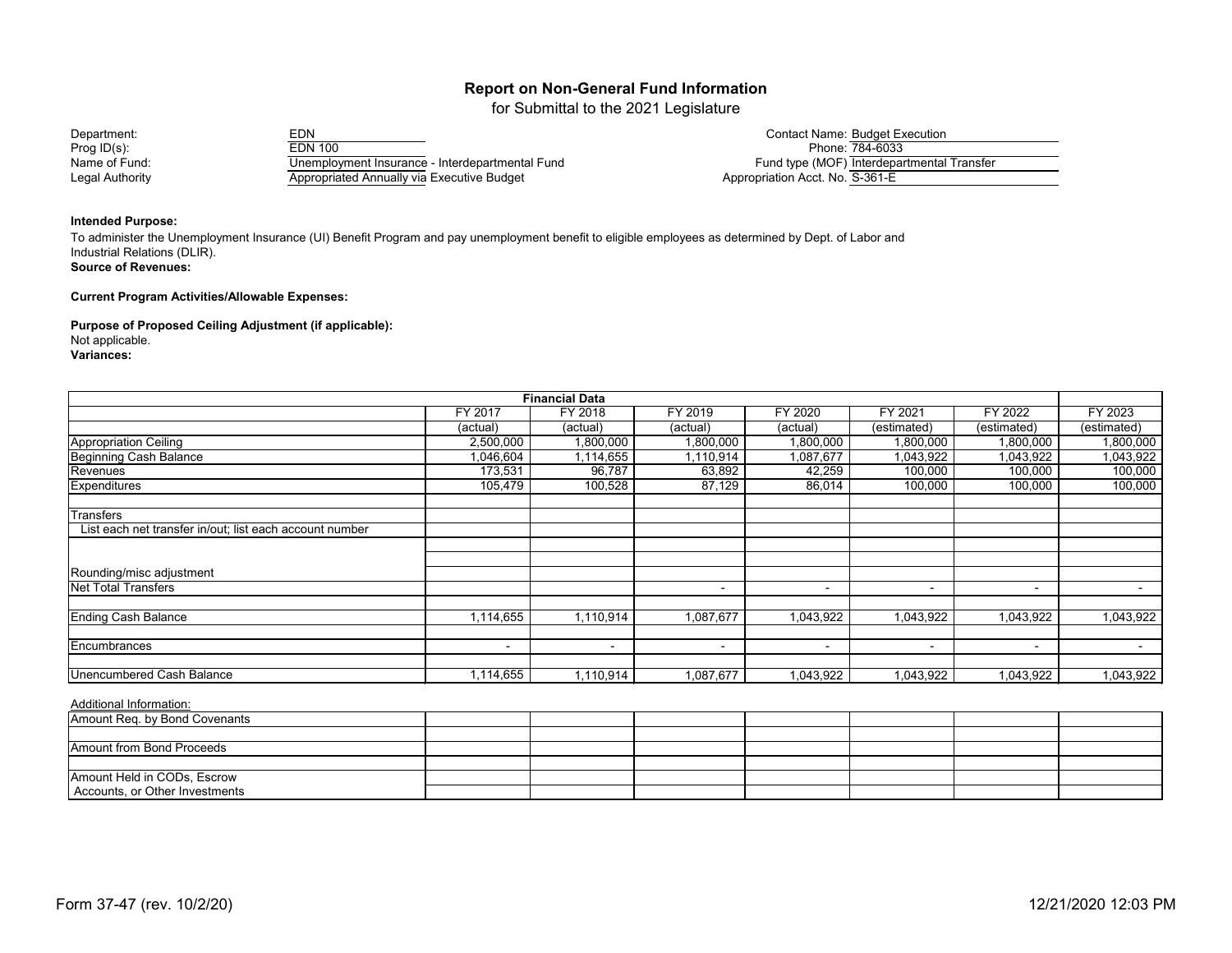for Submittal to the 2021 Legislature

Prog ID(s): EDN 100<br>Name of Fund: EDN 100 Unemployment Insurance - Interdepartmental Fund<br>Name of Fund type (MOF) Interdepartmental Transfer Name of Fund: Unemployment Insurance - Interdepartmental Fund<br>Legal Authority Constants Appropriated Annually via Executive Budget Annual Executive Post Constants Appropriation Acct. No. S-361-E Appropriated Annually via Executive Budget

Department: EDN EDN EDN EDN EDN Contact Name: Budget Execution<br>Prog ID(s): FEDN 100 EDN 100

#### **Intended Purpose:**

**Source of Revenues:** To administer the Unemployment Insurance (UI) Benefit Program and pay unemployment benefit to eligible employees as determined by Dept. of Labor and Industrial Relations (DLIR).

**Current Program Activities/Allowable Expenses:**

**Purpose of Proposed Ceiling Adjustment (if applicable):**

Not applicable.

**Variances:**

|                                                         |           | <b>Financial Data</b> |                          |           |                          |                          |             |
|---------------------------------------------------------|-----------|-----------------------|--------------------------|-----------|--------------------------|--------------------------|-------------|
|                                                         | FY 2017   | FY 2018               | FY 2019                  | FY 2020   | FY 2021                  | FY 2022                  | FY 2023     |
|                                                         | (actual)  | (actual)              | (actual)                 | (actual)  | (estimated)              | (estimated)              | (estimated) |
| <b>Appropriation Ceiling</b>                            | 2,500,000 | 1,800,000             | 1,800,000                | 1,800,000 | 1,800,000                | 1,800,000                | 1,800,000   |
| <b>Beginning Cash Balance</b><br>Revenues               | 1,046,604 | 1,114,655             | 1,110,914                | 1,087,677 | 1,043,922                | 1,043,922                | 1,043,922   |
|                                                         | 173,531   | 96,787                | 63,892                   | 42,259    | 100,000                  | 100,000                  | 100,000     |
| Expenditures                                            | 105,479   | 100,528               | 87,129                   | 86,014    | 100,000                  | 100,000                  | 100,000     |
| <b>Transfers</b>                                        |           |                       |                          |           |                          |                          |             |
| List each net transfer in/out; list each account number |           |                       |                          |           |                          |                          |             |
|                                                         |           |                       |                          |           |                          |                          |             |
|                                                         |           |                       |                          |           |                          |                          |             |
| Rounding/misc adjustment                                |           |                       |                          |           |                          |                          |             |
| <b>Net Total Transfers</b>                              |           |                       | $\blacksquare$           | ۰.        | $\overline{\phantom{a}}$ | $\blacksquare$           | $\sim$      |
| <b>Ending Cash Balance</b>                              | 1,114,655 | 1,110,914             | 1,087,677                | 1,043,922 | 1,043,922                | 1,043,922                | 1,043,922   |
|                                                         |           |                       |                          |           |                          |                          |             |
| Encumbrances                                            | $\sim$    | $\blacksquare$        | $\overline{\phantom{a}}$ | $\sim$    | $\sim$                   | $\overline{\phantom{a}}$ | $\sim$      |
| <b>Unencumbered Cash Balance</b>                        | 1,114,655 | 1,110,914             | 1,087,677                | 1,043,922 | 1,043,922                | 1,043,922                | 1,043,922   |
| Additional Information:                                 |           |                       |                          |           |                          |                          |             |

| $\overline{ }$ , www.component.com |  |  |  |  |
|------------------------------------|--|--|--|--|
| Amount Req. by Bond Covenants      |  |  |  |  |
|                                    |  |  |  |  |
| <b>Amount from Bond Proceeds</b>   |  |  |  |  |
|                                    |  |  |  |  |
| Amount Held in CODs, Escrow        |  |  |  |  |
| Accounts, or Other Investments     |  |  |  |  |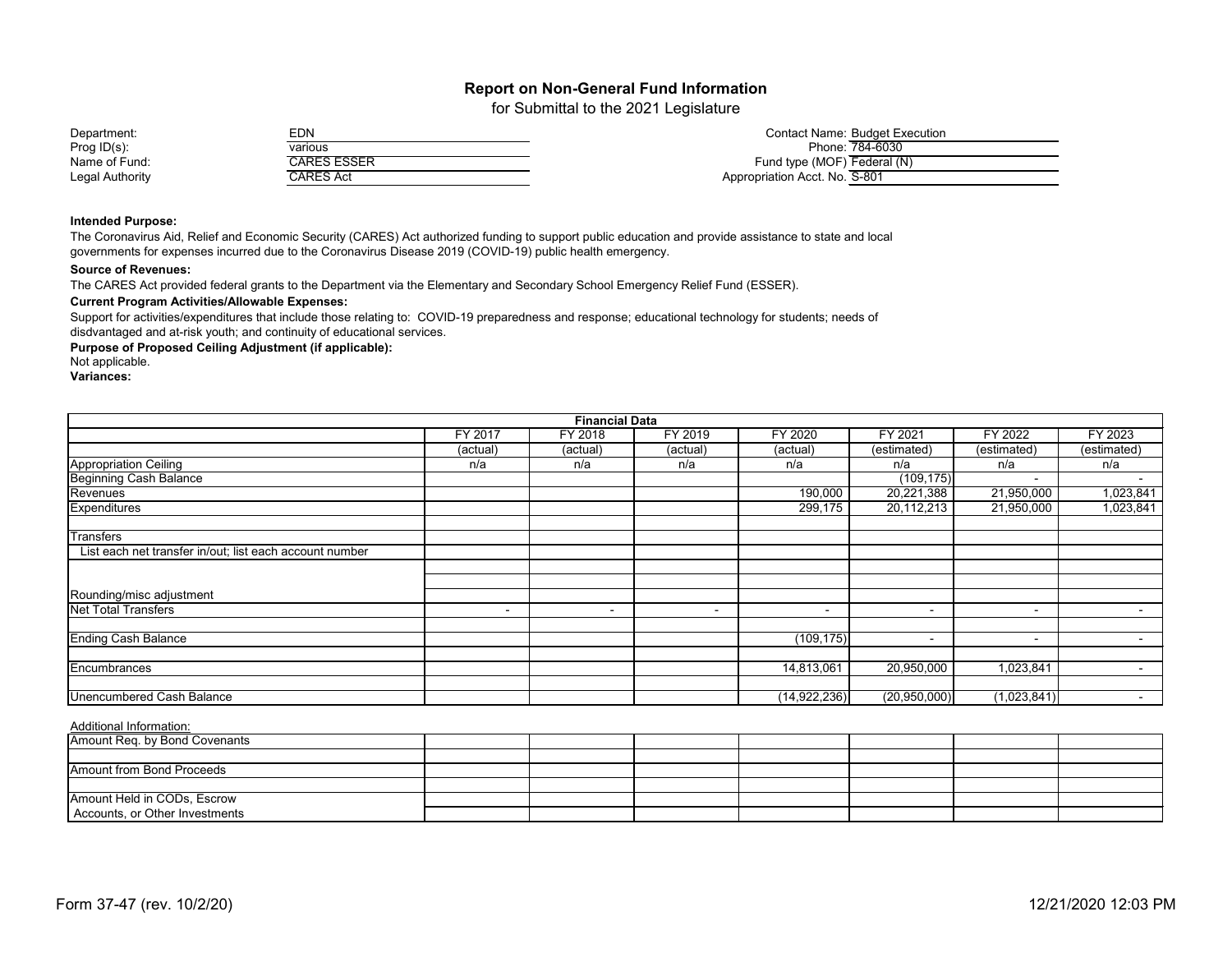for Submittal to the 2021 Legislature

| Department:     | EDN         | Contact Name: Budget Execution |
|-----------------|-------------|--------------------------------|
| Prog $ID(s)$ :  | various     | Phone: 784-6030                |
| Name of Fund:   | :ARES ESSER | Fund type (MOF) Federal (N)    |
| Legal Authority | CARES Act   | Appropriation Acct. No. S-801  |

#### **Intended Purpose:**

The Coronavirus Aid, Relief and Economic Security (CARES) Act authorized funding to support public education and provide assistance to state and local governments for expenses incurred due to the Coronavirus Disease 2019 (COVID-19) public health emergency.

#### **Source of Revenues:**

The CARES Act provided federal grants to the Department via the Elementary and Secondary School Emergency Relief Fund (ESSER).

#### **Current Program Activities/Allowable Expenses:**

Support for activities/expenditures that include those relating to: COVID-19 preparedness and response; educational technology for students; needs of disdvantaged and at-risk youth; and continuity of educational services.

#### **Purpose of Proposed Ceiling Adjustment (if applicable):**

Not applicable.

**Variances:**

|                                                         | <b>Financial Data</b> |                |          |                          |                          |                          |                          |  |  |
|---------------------------------------------------------|-----------------------|----------------|----------|--------------------------|--------------------------|--------------------------|--------------------------|--|--|
|                                                         | <b>FY 2017</b>        | FY 2018        | FY 2019  | FY 2020                  | FY 2021                  | FY 2022                  | FY 2023                  |  |  |
|                                                         | (actual)              | (actual)       | (actual) | (actual)                 | (estimated)              | (estimated)              | (estimated)              |  |  |
| <b>Appropriation Ceiling</b>                            | n/a                   | n/a            | n/a      | n/a                      | n/a                      | n/a                      | n/a                      |  |  |
| <b>Beginning Cash Balance</b>                           |                       |                |          |                          | (109, 175)               | $\overline{\phantom{0}}$ |                          |  |  |
| Revenues                                                |                       |                |          | 190,000                  | 20,221,388               | 21,950,000               | 1,023,841                |  |  |
| Expenditures                                            |                       |                |          | 299,175                  | 20,112,213               | 21,950,000               | 1,023,841                |  |  |
| <b>Transfers</b>                                        |                       |                |          |                          |                          |                          |                          |  |  |
| List each net transfer in/out; list each account number |                       |                |          |                          |                          |                          |                          |  |  |
|                                                         |                       |                |          |                          |                          |                          |                          |  |  |
|                                                         |                       |                |          |                          |                          |                          |                          |  |  |
| Rounding/misc adjustment                                |                       |                |          |                          |                          |                          |                          |  |  |
| <b>Net Total Transfers</b>                              | $\sim$                | $\blacksquare$ | $\sim$   | $\overline{\phantom{a}}$ | $\overline{\phantom{a}}$ | $\sim$                   | $\overline{\phantom{0}}$ |  |  |
| <b>Ending Cash Balance</b>                              |                       |                |          | (109, 175)               | $\overline{\phantom{a}}$ | $\sim$                   | $\blacksquare$           |  |  |
|                                                         |                       |                |          |                          |                          |                          |                          |  |  |
| Encumbrances                                            |                       |                |          | 14,813,061               | 20,950,000               | 1,023,841                | $\overline{\phantom{a}}$ |  |  |
|                                                         |                       |                |          |                          |                          |                          |                          |  |  |
| Unencumbered Cash Balance                               |                       |                |          | (14, 922, 236)           | (20,950,000)             | (1,023,841)              | $\overline{\phantom{0}}$ |  |  |

| Amount Req. by Bond Covenants  |  |  |  |  |
|--------------------------------|--|--|--|--|
|                                |  |  |  |  |
| Amount from Bond Proceeds      |  |  |  |  |
|                                |  |  |  |  |
| Amount Held in CODs, Escrow    |  |  |  |  |
| Accounts, or Other Investments |  |  |  |  |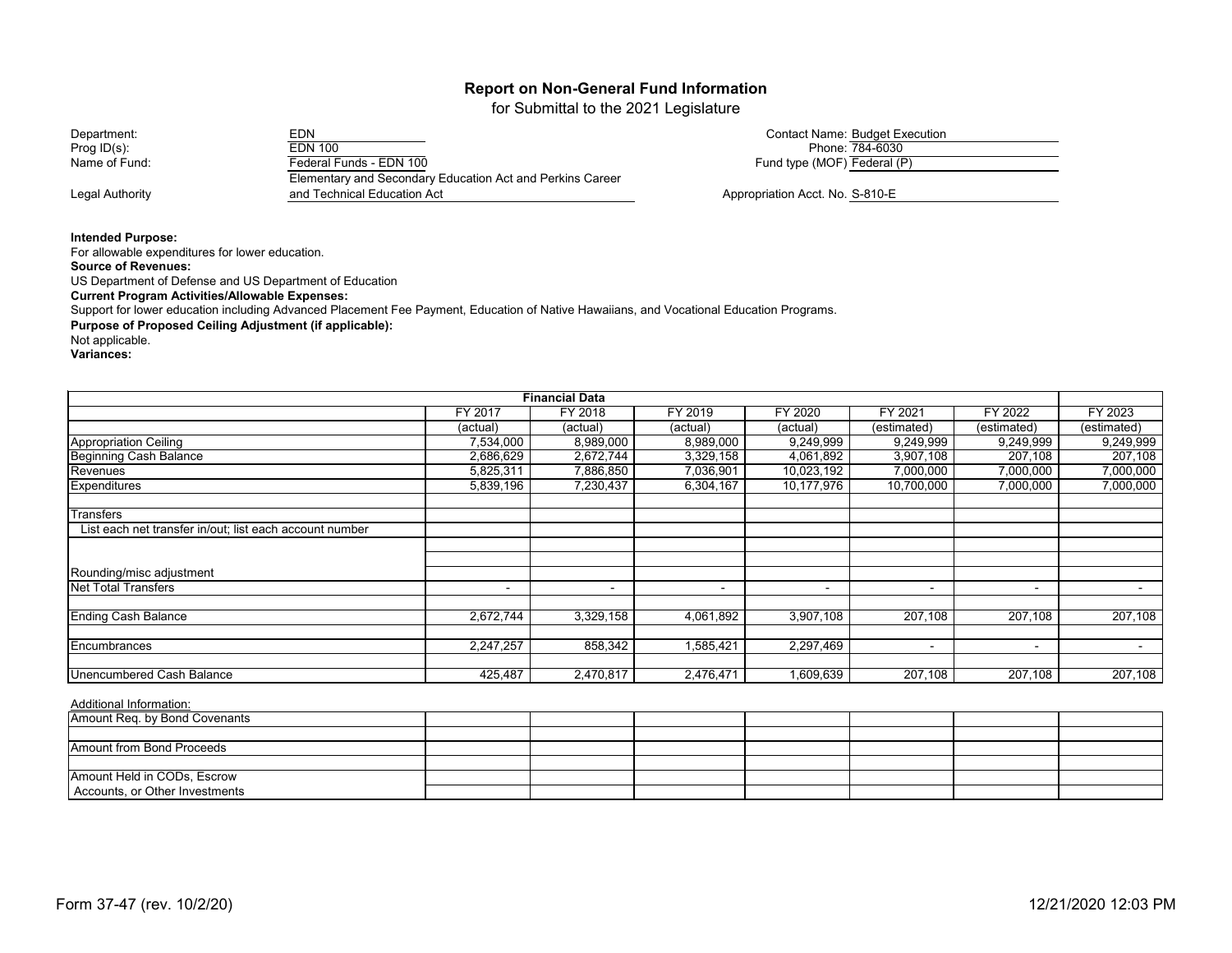for Submittal to the 2021 Legislature

Department: EDN EDN EDN EDN EDN Contact Name: Budget Execution<br>Prog ID(s): FEDN 100 EDN 100 Prog ID(s): Prog ID(s): Phone:  $\frac{784-6030}{30}$ <br>Name of Fund: Federal Funds - EDN 100 Legal Authority **Authority Appropriation Acct. No. S-810-E Appropriation Acct. No. S-810-E** Elementary and Secondary Education Act and Perkins Career and Technical Education Act

**Intended Purpose:**

For allowable expenditures for lower education.

**Source of Revenues:**

US Department of Defense and US Department of Education

**Current Program Activities/Allowable Expenses:**

Support for lower education including Advanced Placement Fee Payment, Education of Native Hawaiians, and Vocational Education Programs.

**Purpose of Proposed Ceiling Adjustment (if applicable):** 

Not applicable.

**Variances:**

|                                                         |                | <b>Financial Data</b> |           |                          |                          |                          |             |
|---------------------------------------------------------|----------------|-----------------------|-----------|--------------------------|--------------------------|--------------------------|-------------|
|                                                         | FY 2017        | FY 2018               | FY 2019   | FY 2020                  | FY 2021                  | FY 2022                  | FY 2023     |
|                                                         | (actual)       | (actual)              | (actual)  | (actual)                 | (estimated)              | (estimated)              | (estimated) |
| <b>Appropriation Ceiling</b>                            | 7,534,000      | 8,989,000             | 8,989,000 | 9,249,999                | 9,249,999                | 9,249,999                | 9,249,999   |
| <b>Beginning Cash Balance</b>                           | 2,686,629      | 2,672,744             | 3,329,158 | 4,061,892                | 3,907,108                | 207,108                  | 207,108     |
| Revenues                                                | 5,825,311      | 7,886,850             | 7,036,901 | 10,023,192               | 7,000,000                | 7,000,000                | 7,000,000   |
| <b>Expenditures</b>                                     | 5,839,196      | 7,230,437             | 6,304,167 | 10,177,976               | 10,700,000               | 7,000,000                | 7,000,000   |
| <b>Transfers</b>                                        |                |                       |           |                          |                          |                          |             |
| List each net transfer in/out; list each account number |                |                       |           |                          |                          |                          |             |
|                                                         |                |                       |           |                          |                          |                          |             |
|                                                         |                |                       |           |                          |                          |                          |             |
| Rounding/misc adjustment                                |                |                       |           |                          |                          |                          |             |
| <b>Net Total Transfers</b>                              | $\blacksquare$ | $\blacksquare$        |           | $\overline{\phantom{a}}$ | $\overline{\phantom{a}}$ | $\overline{\phantom{0}}$ |             |
| <b>Ending Cash Balance</b>                              | 2,672,744      | 3,329,158             | 4,061,892 | 3,907,108                | 207,108                  | 207,108                  | 207,108     |
|                                                         |                |                       |           |                          |                          |                          |             |
| Encumbrances                                            | 2,247,257      | 858,342               | 1,585,421 | 2,297,469                | $\blacksquare$           | $\blacksquare$           | $\sim$      |
| <b>Unencumbered Cash Balance</b>                        | 425,487        | 2,470,817             | 2,476,471 | 609,639                  | 207,108                  | 207,108                  | 207,108     |

Additional Information:

| Amount Req. by Bond Covenants  |  |  |  |  |
|--------------------------------|--|--|--|--|
|                                |  |  |  |  |
| Amount from Bond Proceeds      |  |  |  |  |
|                                |  |  |  |  |
| Amount Held in CODs, Escrow    |  |  |  |  |
| Accounts, or Other Investments |  |  |  |  |

Fund type (MOF) Federal (P)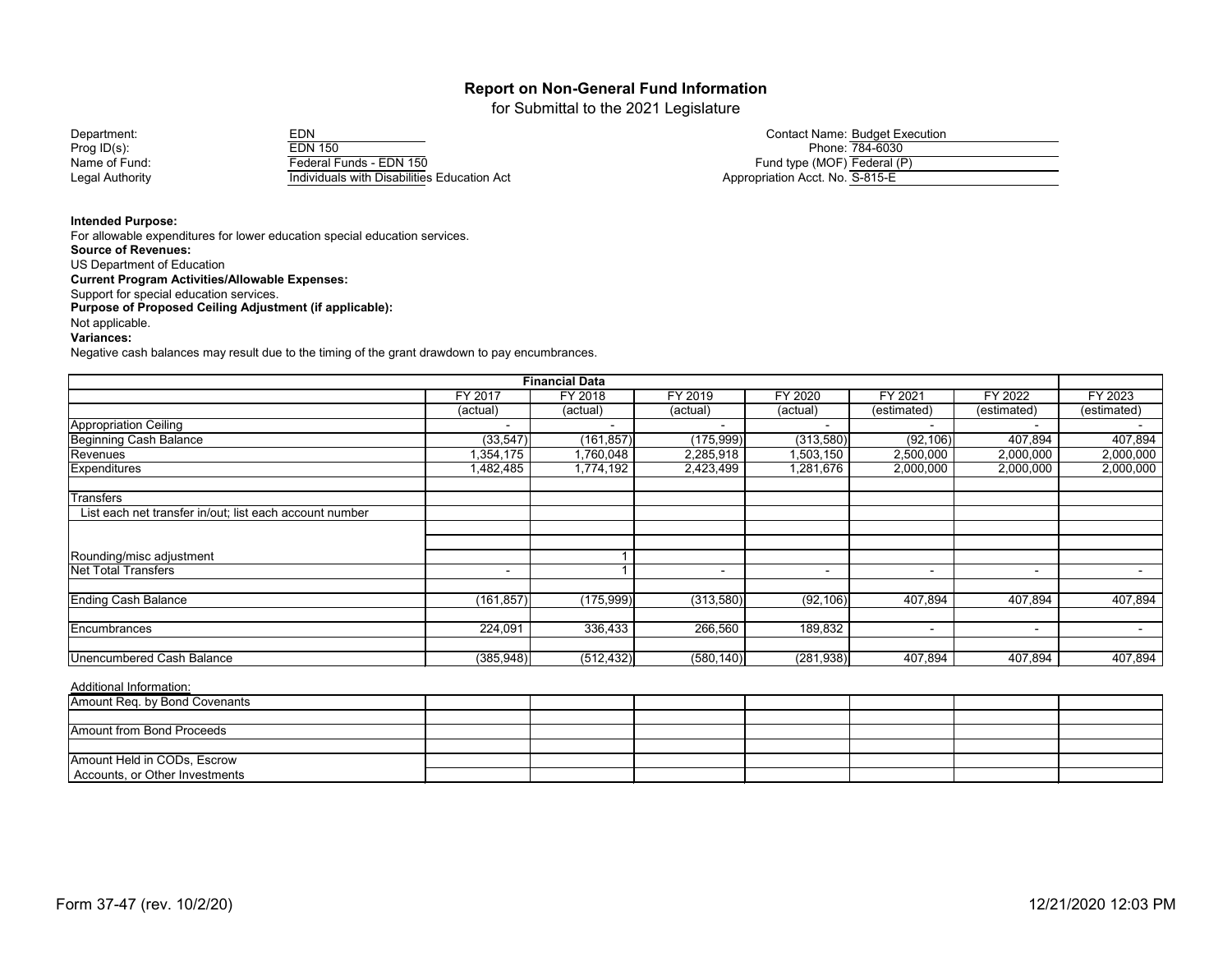for Submittal to the 2021 Legislature

| Department:     | EDN                                         | Contact Name: Buddet Exe        |
|-----------------|---------------------------------------------|---------------------------------|
| Prog $ID(s)$ :  | <b>EDN 150</b>                              | Phone: 784-6030                 |
| Name of Fund:   | Federal Funds - EDN 150                     | Fund type (MOF) Federal (P)     |
| Legal Authority | Individuals with Disabilities Education Act | Appropriation Acct. No. S-815-E |

| Department:   | EDN                     | <b>Contact Name: Budget Execution</b> |
|---------------|-------------------------|---------------------------------------|
| Prog ID(s):   | <b>EDN 150</b>          | Phone: 784-6030                       |
| Name of Fund: | Federal Funds - EDN 150 | Fund type (MOF) Federal (P)           |

**Intended Purpose:**

For allowable expenditures for lower education special education services. **Source of Revenues:** US Department of Education **Current Program Activities/Allowable Expenses:** Support for special education services. **Purpose of Proposed Ceiling Adjustment (if applicable):** Not applicable. **Variances:** 

Negative cash balances may result due to the timing of the grant drawdown to pay encumbrances.

|                                                         |                          | <b>Financial Data</b> |                          |                          |                          |                          |                          |
|---------------------------------------------------------|--------------------------|-----------------------|--------------------------|--------------------------|--------------------------|--------------------------|--------------------------|
|                                                         | FY 2017                  | FY 2018               | FY 2019                  | <b>FY 2020</b>           | FY 2021                  | FY 2022                  | FY 2023                  |
|                                                         | (actual)                 | (actual)              | (actual)                 | (actual)                 | (estimated)              | (estimated)              | (estimated)              |
| Appropriation Ceiling                                   |                          |                       |                          |                          |                          |                          |                          |
| Beginning Cash Balance                                  | (33, 547)                | (161, 857)            | (175,999)                | (313,580)                | (92, 106)                | 407,894                  | 407,894                  |
| Revenues                                                | 1,354,175                | 1,760,048             | 2,285,918                | ,503,150                 | 2,500,000                | 2,000,000                | 2,000,000                |
| Expenditures                                            | 1,482,485                | 1,774,192             | 2,423,499                | 1,281,676                | 2,000,000                | 2,000,000                | 2,000,000                |
| Transfers                                               |                          |                       |                          |                          |                          |                          |                          |
| List each net transfer in/out; list each account number |                          |                       |                          |                          |                          |                          |                          |
|                                                         |                          |                       |                          |                          |                          |                          |                          |
| Rounding/misc adjustment                                |                          |                       |                          |                          |                          |                          |                          |
| <b>Net Total Transfers</b>                              | $\overline{\phantom{0}}$ |                       | $\overline{\phantom{0}}$ | $\overline{\phantom{a}}$ | $\overline{\phantom{0}}$ | $\overline{\phantom{a}}$ | $\overline{\phantom{0}}$ |
| <b>Ending Cash Balance</b>                              | (161, 857)               | (175,999)             | (313,580)                | (92, 106)                | 407,894                  | 407,894                  | 407,894                  |
| Encumbrances                                            | 224,091                  | 336,433               | 266,560                  | 189,832                  |                          | $\overline{\phantom{a}}$ |                          |
|                                                         |                          |                       |                          |                          |                          |                          |                          |
| <b>Unencumbered Cash Balance</b>                        | (385, 948)               | (512, 432)            | (580, 140)               | (281, 938)               | 407,894                  | 407,894                  | 407,894                  |

| Amount Req. by Bond Covenants  |  |  |  |  |
|--------------------------------|--|--|--|--|
|                                |  |  |  |  |
| Amount from Bond Proceeds      |  |  |  |  |
|                                |  |  |  |  |
| Amount Held in CODs, Escrow    |  |  |  |  |
| Accounts, or Other Investments |  |  |  |  |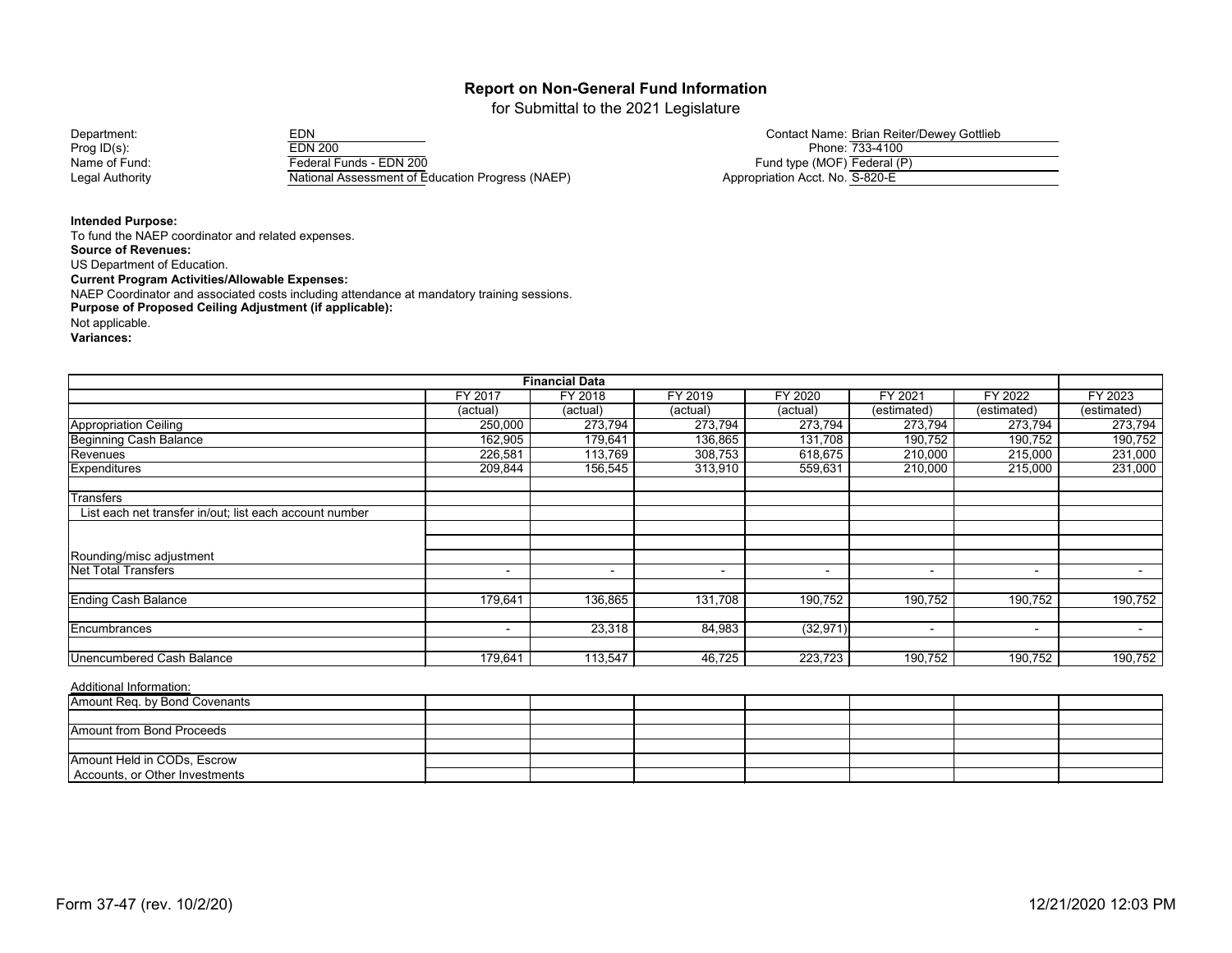for Submittal to the 2021 Legislature

Prog ID(s): EDN 200 Phone: 733-4100 Name of Fund: Federal Funds - EDN 200<br>
Legal Authority Federal Assessment of E National Assessment of Education Progress (NAEP) Appropriation Acct. No. S-820-E

| Department:                            | $T_{\rm DNI}$<br>∠⊔∪∟                          | Contact Name: Brian Reiter/Dewey Gottlieb |
|----------------------------------------|------------------------------------------------|-------------------------------------------|
| Prog ID(s):                            | <b>EDN 200</b>                                 | Phone: 733-4100                           |
| Name of Fund:                          | Federal Funds - EDN 200                        | Fund type (MOF) Federal (P)               |
| the country Arrest Countries of the co | <b>MEDITAL CONTRACT PROPERTY IN A PROPERTY</b> |                                           |

**Intended Purpose:**

To fund the NAEP coordinator and related expenses. **Source of Revenues:** US Department of Education. **Current Program Activities/Allowable Expenses:** NAEP Coordinator and associated costs including attendance at mandatory training sessions. **Purpose of Proposed Ceiling Adjustment (if applicable):** Not applicable. **Variances:**

|                                                         |                          | <b>Financial Data</b> |                |           |                |                          |                          |
|---------------------------------------------------------|--------------------------|-----------------------|----------------|-----------|----------------|--------------------------|--------------------------|
|                                                         | FY 2017                  | FY 2018               | FY 2019        | FY 2020   | FY 2021        | FY 2022                  | FY 2023                  |
|                                                         | (actual)                 | (actual)              | (actual)       | (actual)  | (estimated)    | (estimated)              | (estimated)              |
| <b>Appropriation Ceiling</b>                            | 250,000                  | 273,794               | 273,794        | 273,794   | 273,794        | 273,794                  | 273,794                  |
| <b>Beginning Cash Balance</b>                           | 162,905                  | 179,641               | 136,865        | 131,708   | 190,752        | 190,752                  | 190,752                  |
| Revenues                                                | 226,581                  | 113,769               | 308,753        | 618,675   | 210,000        | 215,000                  | 231,000                  |
| <b>Expenditures</b>                                     | 209,844                  | 156,545               | 313,910        | 559,631   | 210,000        | 215,000                  | 231,000                  |
| <b>Transfers</b>                                        |                          |                       |                |           |                |                          |                          |
| List each net transfer in/out; list each account number |                          |                       |                |           |                |                          |                          |
|                                                         |                          |                       |                |           |                |                          |                          |
| Rounding/misc adjustment                                |                          |                       |                |           |                |                          |                          |
| <b>Net Total Transfers</b>                              | $\overline{\phantom{a}}$ | $\blacksquare$        | $\overline{a}$ |           | $\blacksquare$ | $\overline{\phantom{a}}$ | $\overline{\phantom{0}}$ |
| <b>Ending Cash Balance</b>                              | 179,641                  | 136,865               | 131,708        | 190,752   | 190,752        | 190,752                  | 190,752                  |
| Encumbrances                                            | $\sim$                   | 23,318                | 84,983         | (32, 971) | $\blacksquare$ | $\sim$                   | $\overline{\phantom{0}}$ |
|                                                         |                          |                       |                |           |                |                          |                          |
| <b>Unencumbered Cash Balance</b>                        | 179,641                  | 113,547               | 46,725         | 223,723   | 190,752        | 190,752                  | 190,752                  |

| Amount Req. by Bond Covenants  |  |  |  |  |
|--------------------------------|--|--|--|--|
|                                |  |  |  |  |
|                                |  |  |  |  |
| Amount from Bond Proceeds      |  |  |  |  |
|                                |  |  |  |  |
| Amount Held in CODs, Escrow    |  |  |  |  |
| Accounts, or Other Investments |  |  |  |  |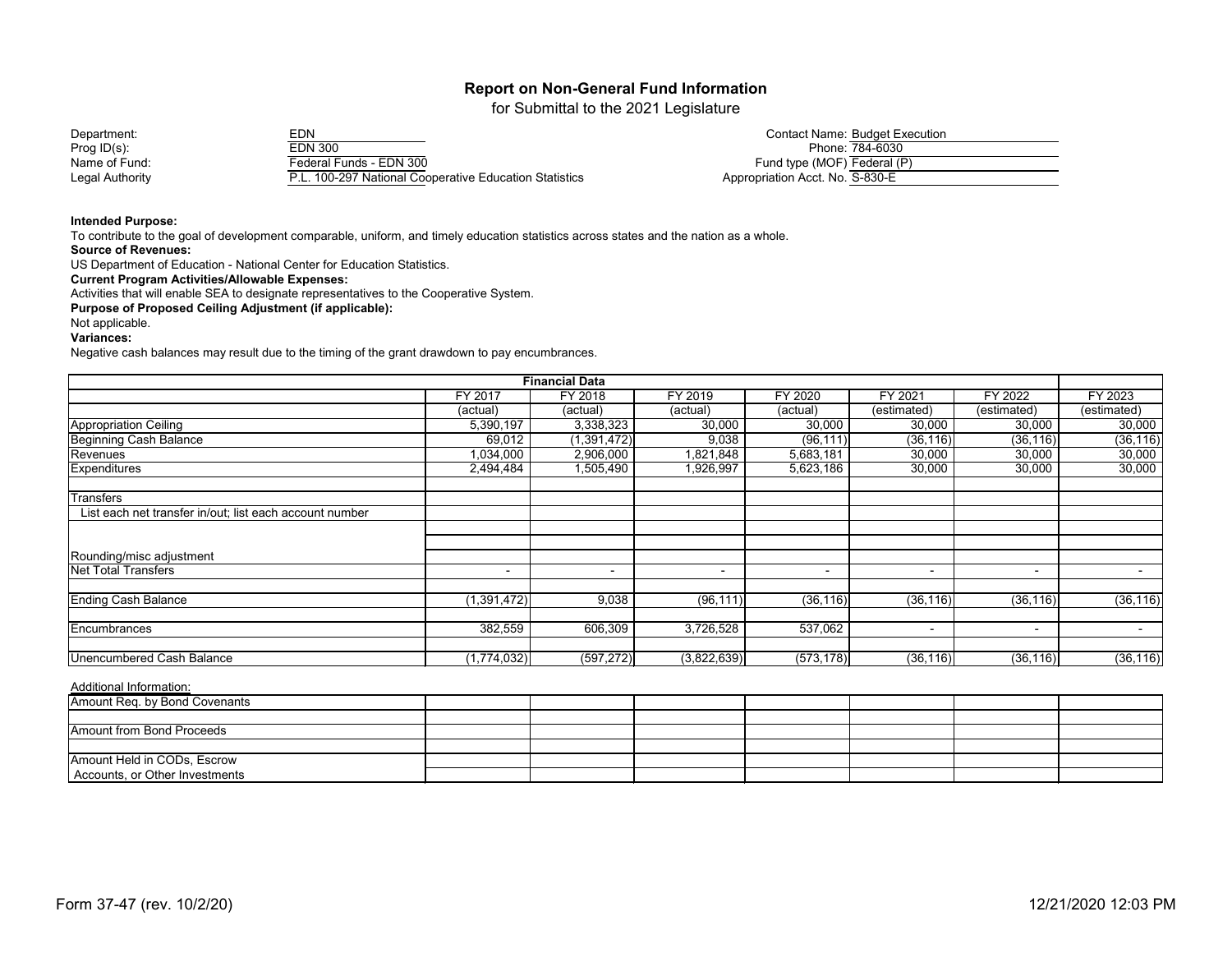for Submittal to the 2021 Legislature

| Department:     |  |
|-----------------|--|
| Prog $ID(s)$ :  |  |
| Name of Fund:   |  |
| Legal Authority |  |

| Department:     | FDN                                                  | <b>Contact Name: Budget Execution</b> |
|-----------------|------------------------------------------------------|---------------------------------------|
| Prog $ID(s)$ :  | EDN 300                                              | Phone: 784-6030                       |
| Name of Fund:   | Federal Funds - EDN 300                              | Fund type (MOF) Federal (P)           |
| Legal Authority | L. 100-297 National Cooperative Education Statistics | Appropriation Acct. No. S-830-E       |

|                                 | <b>Contact Name: Budget Execution</b> |
|---------------------------------|---------------------------------------|
|                                 | Phone: 784-6030                       |
| Fund type (MOF) Federal (P)     |                                       |
| Appropriation Acct. No. S-830-E |                                       |

#### **Intended Purpose:**

To contribute to the goal of development comparable, uniform, and timely education statistics across states and the nation as a whole.

#### **Source of Revenues:**

US Department of Education - National Center for Education Statistics.

## **Current Program Activities/Allowable Expenses:**

Activities that will enable SEA to designate representatives to the Cooperative System.

**Purpose of Proposed Ceiling Adjustment (if applicable):**

#### Not applicable.

#### **Variances:**

Negative cash balances may result due to the timing of the grant drawdown to pay encumbrances.

|                                                         |                          | <b>Financial Data</b> |                          |                          |                          |                |                          |
|---------------------------------------------------------|--------------------------|-----------------------|--------------------------|--------------------------|--------------------------|----------------|--------------------------|
|                                                         | <b>FY 2017</b>           | FY 2018               | FY 2019                  | FY 2020                  | FY 2021                  | FY 2022        | FY 2023                  |
|                                                         | (actual)                 | (actual)              | (actual)                 | (actual)                 | (estimated)              | (estimated)    | (estimated)              |
| <b>Appropriation Ceiling</b>                            | 5,390,197                | 3,338,323             | 30,000                   | 30,000                   | 30,000                   | 30,000         | 30,000                   |
| <b>Beginning Cash Balance</b>                           | 69,012                   | (1,391,472)           | 9,038                    | (96, 111)                | (36, 116)                | (36, 116)      | (36, 116)                |
| Revenues                                                | 1,034,000                | 2,906,000             | 1,821,848                | 5,683,181                | 30,000                   | 30,000         | 30,000                   |
| Expenditures                                            | 2,494,484                | 1,505,490             | 1,926,997                | 5,623,186                | 30,000                   | 30,000         | 30,000                   |
| <b>Transfers</b>                                        |                          |                       |                          |                          |                          |                |                          |
| List each net transfer in/out; list each account number |                          |                       |                          |                          |                          |                |                          |
|                                                         |                          |                       |                          |                          |                          |                |                          |
| Rounding/misc adjustment                                |                          |                       |                          |                          |                          |                |                          |
| <b>Net Total Transfers</b>                              | $\overline{\phantom{a}}$ | $\blacksquare$        | $\overline{\phantom{a}}$ | $\overline{\phantom{a}}$ | $\overline{\phantom{0}}$ | $\blacksquare$ | $\overline{\phantom{a}}$ |
| <b>Ending Cash Balance</b>                              | (1,391,472)              | 9,038                 | (96, 111)                | (36, 116)                | (36, 116)                | (36, 116)      | (36, 116)                |
| Encumbrances                                            | 382,559                  | 606,309               | 3,726,528                | 537,062                  | $\overline{\phantom{0}}$ | $\blacksquare$ | $\sim$                   |
| Unencumbered Cash Balance                               | (1,774,032)              | (597, 272)            | (3,822,639)              | (573, 178)               | (36, 116)                | (36, 116)      | (36, 116)                |

| Amount Req. by Bond Covenants  |  |  |  |  |
|--------------------------------|--|--|--|--|
|                                |  |  |  |  |
| Amount from Bond Proceeds      |  |  |  |  |
|                                |  |  |  |  |
| Amount Held in CODs, Escrow    |  |  |  |  |
| Accounts, or Other Investments |  |  |  |  |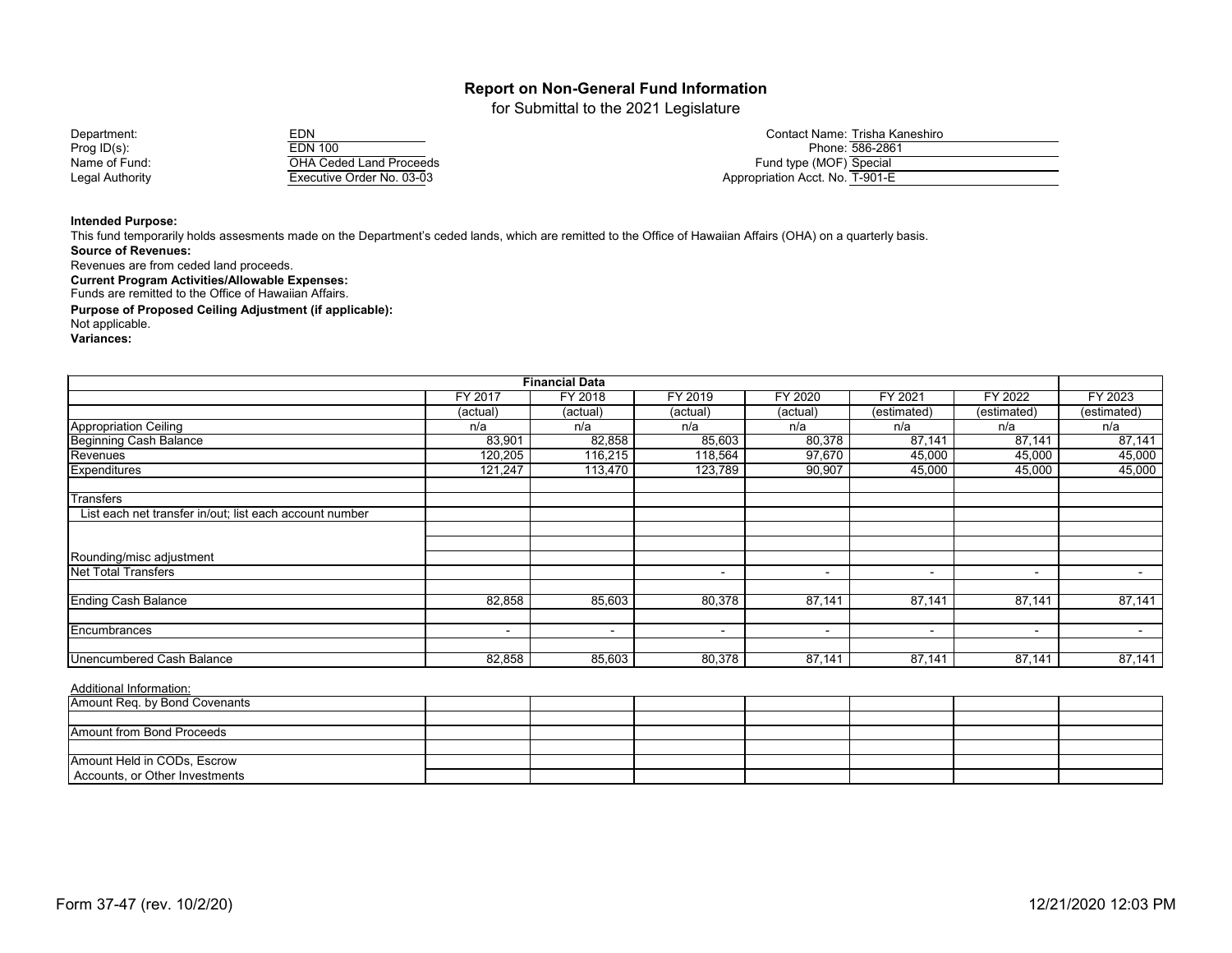for Submittal to the 2021 Legislature

| Department:     | EDN                            | Contact Name: Trisha Kaneshiro  |
|-----------------|--------------------------------|---------------------------------|
| Prog $ID(s)$ :  | EDN 100                        | Phone: 586-2861                 |
| Name of Fund:   | <b>OHA Ceded Land Proceeds</b> | Fund type (MOF) Special         |
| Legal Authority | Executive Order No. 03-03      | Appropriation Acct. No. T-901-E |

|                                 | Contact Name: Trisha Kaneshiro |
|---------------------------------|--------------------------------|
|                                 | Phone: 586-2861                |
| Fund type (MOF) Special         |                                |
| Appropriation Acct. No. T-901-E |                                |

#### **Intended Purpose:**

**Source of Revenues:** This fund temporarily holds assesments made on the Department's ceded lands, which are remitted to the Office of Hawaiian Affairs (OHA) on a quarterly basis.

Revenues are from ceded land proceeds.

**Current Program Activities/Allowable Expenses:**

Funds are remitted to the Office of Hawaiian Affairs.

**Purpose of Proposed Ceiling Adjustment (if applicable):**

Not applicable.

**Variances:**

|                                                         |                | <b>Financial Data</b>    |                          |          |                          |                          |                          |
|---------------------------------------------------------|----------------|--------------------------|--------------------------|----------|--------------------------|--------------------------|--------------------------|
|                                                         | FY 2017        | FY 2018                  | FY 2019                  | FY 2020  | FY 2021                  | FY 2022                  | FY 2023                  |
|                                                         | (actual)       | (actual)                 | (actual)                 | (actual) | (estimated)              | (estimated)              | $\overline{(estimated)}$ |
| <b>Appropriation Ceiling</b>                            | n/a            | n/a                      | n/a                      | n/a      | n/a                      | n/a                      | n/a                      |
| <b>Beginning Cash Balance</b>                           | 83,901         | 82,858                   | 85,603                   | 80,378   | 87,141                   | 87,141                   | 87,141                   |
| Revenues                                                | 120,205        | 116,215                  | 118,564                  | 97,670   | 45,000                   | 45,000                   | 45,000                   |
| <b>Expenditures</b>                                     | 121,247        | 113,470                  | 123,789                  | 90,907   | 45,000                   | 45,000                   | 45,000                   |
| <b>Transfers</b>                                        |                |                          |                          |          |                          |                          |                          |
| List each net transfer in/out; list each account number |                |                          |                          |          |                          |                          |                          |
|                                                         |                |                          |                          |          |                          |                          |                          |
| Rounding/misc adjustment                                |                |                          |                          |          |                          |                          |                          |
| <b>Net Total Transfers</b>                              |                |                          | $\sim$                   | $\sim$   | $\blacksquare$           | $\blacksquare$           | $\sim$                   |
| <b>Ending Cash Balance</b>                              | 82,858         | 85,603                   | 80,378                   | 87,141   | 87,141                   | 87,141                   | 87,141                   |
| Encumbrances                                            | $\blacksquare$ | $\overline{\phantom{0}}$ | $\overline{\phantom{a}}$ | ۰.       | $\overline{\phantom{0}}$ | $\overline{\phantom{a}}$ | $\sim$                   |
| <b>Unencumbered Cash Balance</b>                        | 82,858         | 85,603                   | 80,378                   | 87,141   | 87,141                   | 87,141                   | 87,141                   |

| Amount Req. by Bond Covenants  |  |  |  |  |
|--------------------------------|--|--|--|--|
|                                |  |  |  |  |
| Amount from Bond Proceeds      |  |  |  |  |
|                                |  |  |  |  |
| Amount Held in CODs, Escrow    |  |  |  |  |
| Accounts, or Other Investments |  |  |  |  |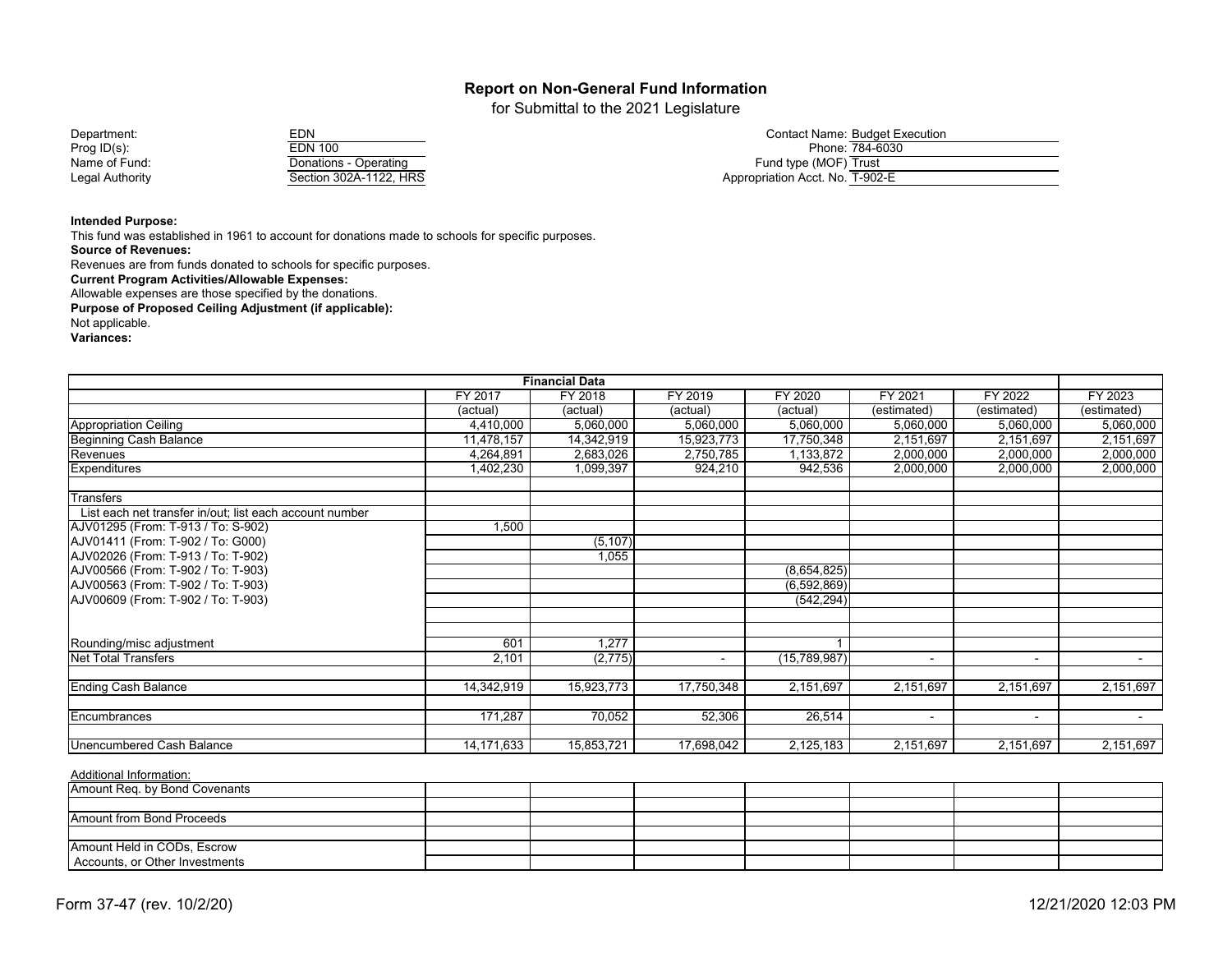for Submittal to the 2021 Legislature

Department: EDN Contact Name: Budget Execution Prog ID(s): EDN 100 Phone: 784-6030 Name of Fund: Donations - Operating Fund type (MOF) Trust Legal Authority **Section 302A-1122, HRS** Appropriation Acct. No. T-902-E

| EDN                    |
|------------------------|
| <b>EDN 100</b>         |
| Donations - Operating  |
| Section 302A-1122, HRS |

|                               | <b>Contact Name: Budget Execution</b> |
|-------------------------------|---------------------------------------|
|                               | Phone: 784-6030                       |
| Fund type (MOF) Trust         |                                       |
| essessiation Agat Nie I OOO F |                                       |

#### **Intended Purpose:**

This fund was established in 1961 to account for donations made to schools for specific purposes. **Source of Revenues:**

Revenues are from funds donated to schools for specific purposes.

**Current Program Activities/Allowable Expenses:**

Allowable expenses are those specified by the donations.

**Purpose of Proposed Ceiling Adjustment (if applicable):**

Not applicable.

**Variances:**

| <b>Financial Data</b>                                   |              |            |                |              |             |                |                 |  |
|---------------------------------------------------------|--------------|------------|----------------|--------------|-------------|----------------|-----------------|--|
|                                                         | FY 2017      | FY 2018    | FY 2019        | FY 2020      | FY 2021     | FY 2022        | FY 2023         |  |
|                                                         | (actual)     | (actual)   | (actual)       | (actual)     | (estimated) | (estimated)    | (estimated)     |  |
| Appropriation Ceiling                                   | 4,410,000    | 5,060,000  | 5,060,000      | 5,060,000    | 5,060,000   | 5,060,000      | 5,060,000       |  |
| Beginning Cash Balance                                  | 11,478,157   | 14,342,919 | 15,923,773     | 17,750,348   | 2,151,697   | 2,151,697      | 2,151,697       |  |
| Revenues                                                | 4,264,891    | 2,683,026  | 2,750,785      | 1,133,872    | 2,000,000   | 2,000,000      | 2,000,000       |  |
| <b>Expenditures</b>                                     | 1,402,230    | 1,099,397  | 924,210        | 942,536      | 2,000,000   | 2,000,000      | 2,000,000       |  |
| <b>Transfers</b>                                        |              |            |                |              |             |                |                 |  |
| List each net transfer in/out; list each account number |              |            |                |              |             |                |                 |  |
| AJV01295 (From: T-913 / To: S-902)                      | 1,500        |            |                |              |             |                |                 |  |
| AJV01411 (From: T-902 / To: G000)                       |              | (5, 107)   |                |              |             |                |                 |  |
| AJV02026 (From: T-913 / To: T-902)                      |              | 1,055      |                |              |             |                |                 |  |
| AJV00566 (From: T-902 / To: T-903)                      |              |            |                | (8,654,825)  |             |                |                 |  |
| AJV00563 (From: T-902 / To: T-903)                      |              |            |                | (6,592,869)  |             |                |                 |  |
| AJV00609 (From: T-902 / To: T-903)                      |              |            |                | (542, 294)   |             |                |                 |  |
|                                                         |              |            |                |              |             |                |                 |  |
| Rounding/misc adjustment                                | 601          | 1,277      |                |              |             |                |                 |  |
| Net Total Transfers                                     | 2,101        | (2,775)    | $\blacksquare$ | (15,789,987) | $\sim$      | $\blacksquare$ | $\sim$ 10 $\pm$ |  |
| <b>Ending Cash Balance</b>                              | 14,342,919   | 15,923,773 | 17,750,348     | 2,151,697    | 2,151,697   | 2,151,697      | 2,151,697       |  |
| Encumbrances                                            | 171,287      | 70,052     | 52,306         | 26,514       | $\sim$      | $\sim$         | $\sim$          |  |
| Unencumbered Cash Balance                               | 14, 171, 633 | 15,853,721 | 17,698,042     | 2,125,183    | 2,151,697   | 2,151,697      | 2,151,697       |  |

| Amount Req. by Bond Covenants  |  |  |  |  |
|--------------------------------|--|--|--|--|
|                                |  |  |  |  |
| Amount from Bond Proceeds      |  |  |  |  |
|                                |  |  |  |  |
| Amount Held in CODs, Escrow    |  |  |  |  |
| Accounts, or Other Investments |  |  |  |  |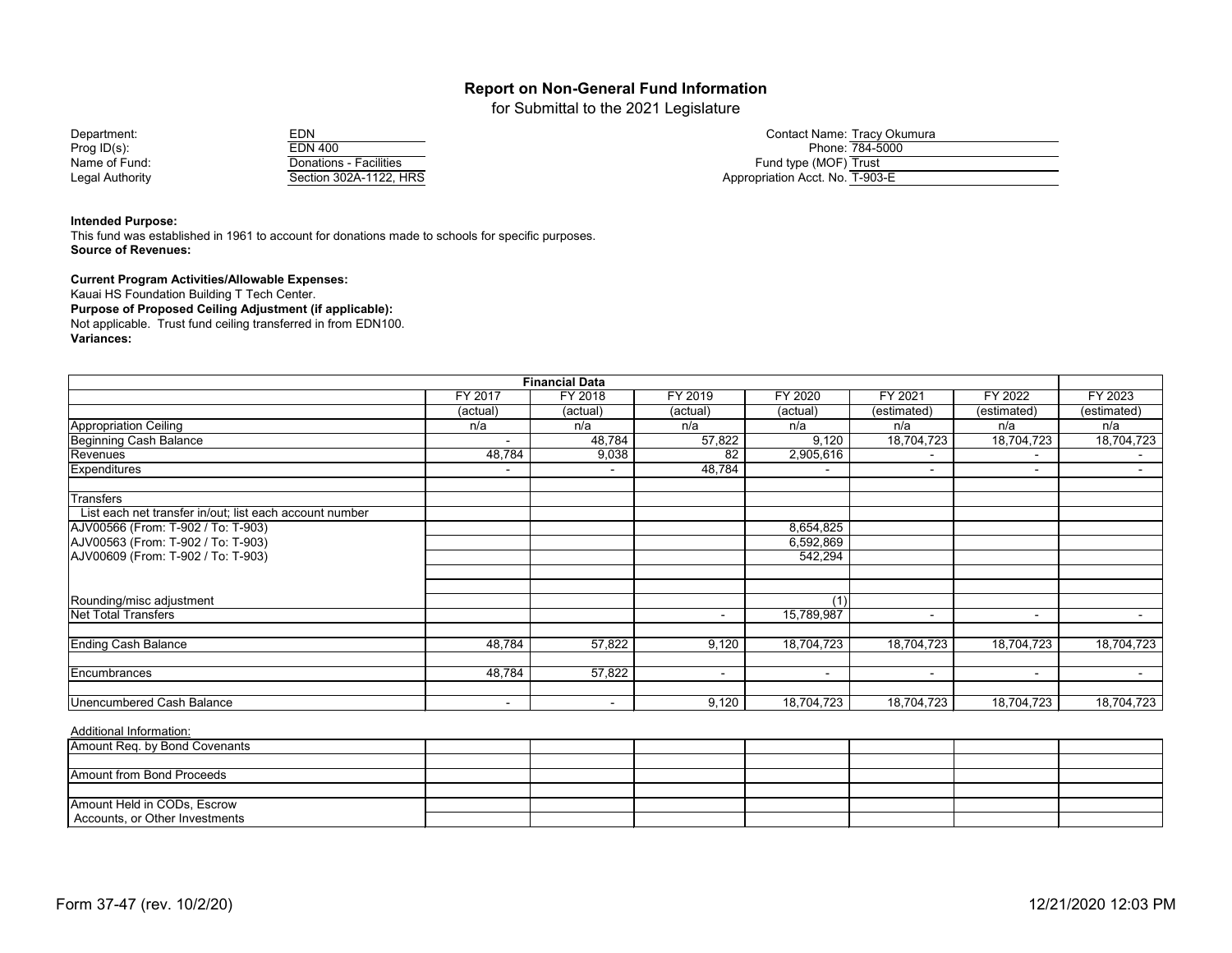for Submittal to the 2021 Legislature

| EDN                    |
|------------------------|
| <b>EDN 400</b>         |
| Donations - Facilities |
| Section 302A-1122, HRS |

| Department:     | EDN                    | Contact Name: Tracy Okumura     |
|-----------------|------------------------|---------------------------------|
| Prog ID(s):     | EDN 400                | Phone: 784-5000                 |
| Name of Fund:   | Donations - Facilities | Fund type (MOF) Trust           |
| Legal Authority | Section 302A-1122, HRS | Appropriation Acct. No. T-903-E |

#### **Intended Purpose:**

This fund was established in 1961 to account for donations made to schools for specific purposes. **Source of Revenues:**

#### **Current Program Activities/Allowable Expenses:**

Kauai HS Foundation Building T Tech Center. **Purpose of Proposed Ceiling Adjustment (if applicable):** Not applicable. Trust fund ceiling transferred in from EDN100. **Variances:**

| <b>Financial Data</b>                                   |          |                |                          |            |                |                |             |  |
|---------------------------------------------------------|----------|----------------|--------------------------|------------|----------------|----------------|-------------|--|
|                                                         | FY 2017  | <b>FY 2018</b> | FY 2019                  | FY 2020    | FY 2021        | FY 2022        | FY 2023     |  |
|                                                         | (actual) | (actual)       | (actual)                 | (actual)   | (estimated)    | (estimated)    | (estimated) |  |
| Appropriation Ceiling                                   | n/a      | n/a            | n/a                      | n/a        | n/a            | n/a            | n/a         |  |
| <b>Beginning Cash Balance</b>                           |          | 48,784         | 57,822                   | 9,120      | 18,704,723     | 18,704,723     | 18,704,723  |  |
| Revenues                                                | 48,784   | 9,038          | 82                       | 2,905,616  |                | $\blacksquare$ |             |  |
| <b>Expenditures</b>                                     | $\sim$   | $\blacksquare$ | 48,784                   | - 1        | $\blacksquare$ | $\sim$         | $\sim$      |  |
| <b>Transfers</b>                                        |          |                |                          |            |                |                |             |  |
| List each net transfer in/out; list each account number |          |                |                          |            |                |                |             |  |
| AJV00566 (From: T-902 / To: T-903)                      |          |                |                          | 8,654,825  |                |                |             |  |
| AJV00563 (From: T-902 / To: T-903)                      |          |                |                          | 6,592,869  |                |                |             |  |
| AJV00609 (From: T-902 / To: T-903)                      |          |                |                          | 542,294    |                |                |             |  |
|                                                         |          |                |                          |            |                |                |             |  |
| Rounding/misc adjustment                                |          |                |                          | (1)        |                |                |             |  |
| <b>Net Total Transfers</b>                              |          |                | ٠                        | 15,789,987 | $\blacksquare$ | $\sim$         | $\sim$      |  |
| <b>Ending Cash Balance</b>                              | 48,784   | 57,822         | 9,120                    | 18,704,723 | 18,704,723     | 18,704,723     | 18,704,723  |  |
|                                                         |          |                |                          |            |                |                |             |  |
| Encumbrances                                            | 48,784   | 57,822         | $\overline{\phantom{a}}$ | $\sim$     | $\sim$         | $\sim$         | $\sim$      |  |
| Unencumbered Cash Balance                               | $\sim$   | $\blacksquare$ | 9,120                    | 18,704,723 | 18,704,723     | 18,704,723     | 18,704,723  |  |

| Amount Req. by Bond Covenants    |  |  |  |  |
|----------------------------------|--|--|--|--|
|                                  |  |  |  |  |
| <b>Amount from Bond Proceeds</b> |  |  |  |  |
|                                  |  |  |  |  |
| Amount Held in CODs, Escrow      |  |  |  |  |
| Accounts, or Other Investments   |  |  |  |  |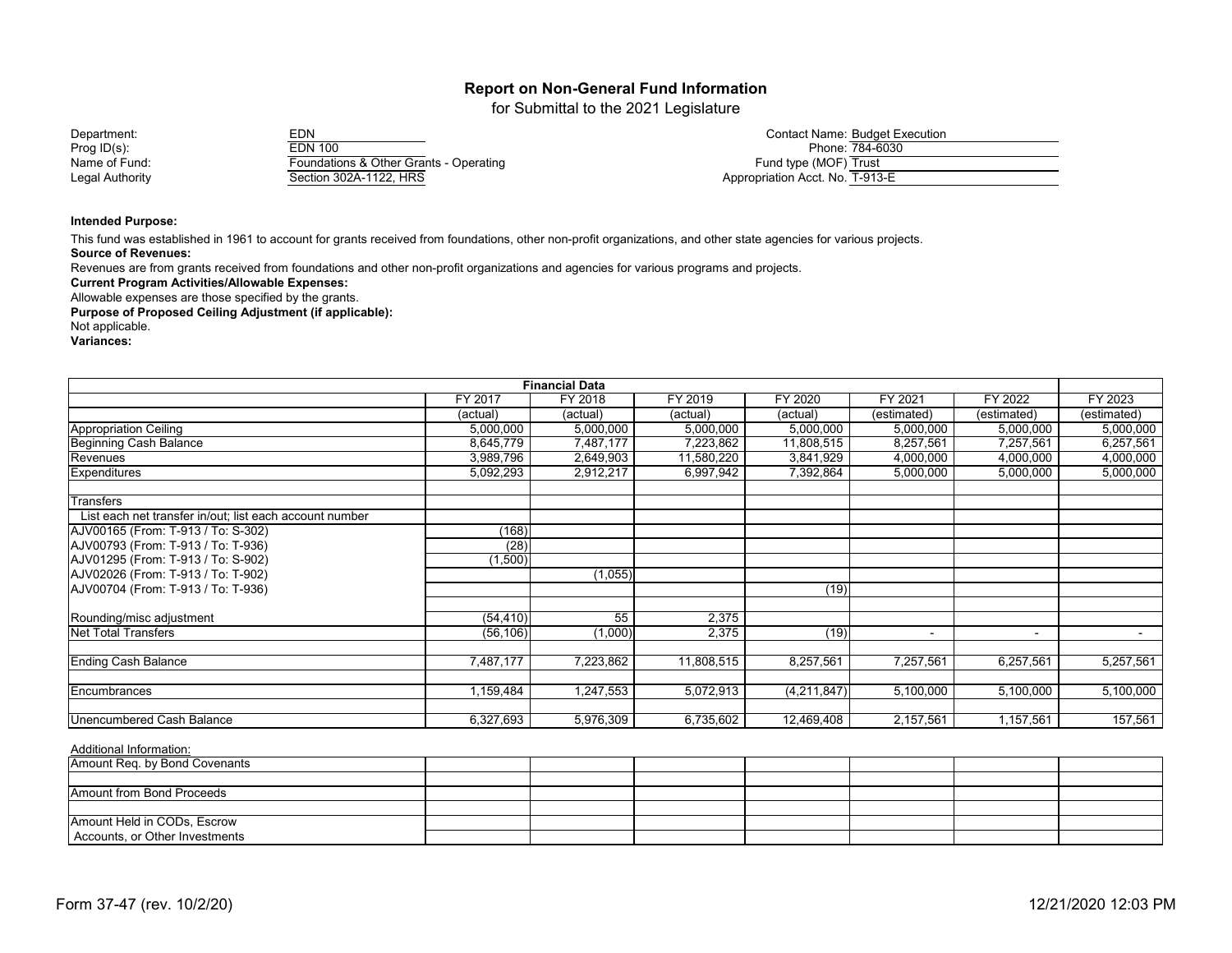for Submittal to the 2021 Legislature

| Department:     | EDN                                    | <b>Contact Name: Budget Execution</b> |
|-----------------|----------------------------------------|---------------------------------------|
| Prog $ID(s)$ :  | EDN 100                                | Phone: 784-6030                       |
| Name of Fund:   | Foundations & Other Grants - Operating | Fund type (MOF) Trust                 |
| Legal Authority | Section 302A-1122, HRS                 | Appropriation Acct. No. T-913-E       |

#### **Intended Purpose:**

This fund was established in 1961 to account for grants received from foundations, other non-profit organizations, and other state agencies for various projects.

**Source of Revenues:**

Revenues are from grants received from foundations and other non-profit organizations and agencies for various programs and projects.

**Current Program Activities/Allowable Expenses:**

Allowable expenses are those specified by the grants.

**Purpose of Proposed Ceiling Adjustment (if applicable):**

Not applicable.

**Variances:**

| <b>Financial Data</b>                                   |           |           |            |             |             |                |             |
|---------------------------------------------------------|-----------|-----------|------------|-------------|-------------|----------------|-------------|
|                                                         | FY 2017   | FY 2018   | FY 2019    | FY 2020     | FY 2021     | FY 2022        | FY 2023     |
|                                                         | (actual)  | (actual)  | (actual)   | (actual)    | (estimated) | (estimated)    | (estimated) |
| <b>Appropriation Ceiling</b>                            | 5,000,000 | 5,000,000 | 5,000,000  | 5,000,000   | 5,000,000   | 5,000,000      | 5,000,000   |
| <b>Beginning Cash Balance</b>                           | 8,645,779 | 7,487,177 | 7,223,862  | 11,808,515  | 8,257,561   | 7,257,561      | 6,257,561   |
| Revenues                                                | 3,989,796 | 2,649,903 | 11,580,220 | 3,841,929   | 4,000,000   | 4,000,000      | 4,000,000   |
| <b>Expenditures</b>                                     | 5,092,293 | 2,912,217 | 6,997,942  | 7,392,864   | 5,000,000   | 5,000,000      | 5,000,000   |
| <b>Transfers</b>                                        |           |           |            |             |             |                |             |
| List each net transfer in/out; list each account number |           |           |            |             |             |                |             |
| AJV00165 (From: T-913 / To: S-302)                      | (168)     |           |            |             |             |                |             |
| AJV00793 (From: T-913 / To: T-936)                      | (28)      |           |            |             |             |                |             |
| AJV01295 (From: T-913 / To: S-902)                      | (1,500)   |           |            |             |             |                |             |
| AJV02026 (From: T-913 / To: T-902)                      |           | (1,055)   |            |             |             |                |             |
| AJV00704 (From: T-913 / To: T-936)                      |           |           |            | (19)        |             |                |             |
| Rounding/misc adjustment                                | (54, 410) | 55        | 2,375      |             |             |                |             |
| <b>Net Total Transfers</b>                              | (56, 106) | (1,000)   | 2,375      | (19)        |             | $\blacksquare$ | $\sim$      |
| <b>Ending Cash Balance</b>                              | 7,487,177 | 7,223,862 | 11,808,515 | 8,257,561   | 7,257,561   | 6,257,561      | 5,257,561   |
| Encumbrances                                            | 1,159,484 | 1,247,553 | 5,072,913  | (4,211,847) | 5,100,000   | 5,100,000      | 5,100,000   |
|                                                         |           |           |            |             |             |                |             |
| <b>Unencumbered Cash Balance</b>                        | 6,327,693 | 5,976,309 | 6,735,602  | 12,469,408  | 2,157,561   | 1,157,561      | 157,561     |

| Amount Req. by Bond Covenants    |  |  |  |  |
|----------------------------------|--|--|--|--|
|                                  |  |  |  |  |
| <b>Amount from Bond Proceeds</b> |  |  |  |  |
|                                  |  |  |  |  |
| Amount Held in CODs, Escrow      |  |  |  |  |
| Accounts, or Other Investments   |  |  |  |  |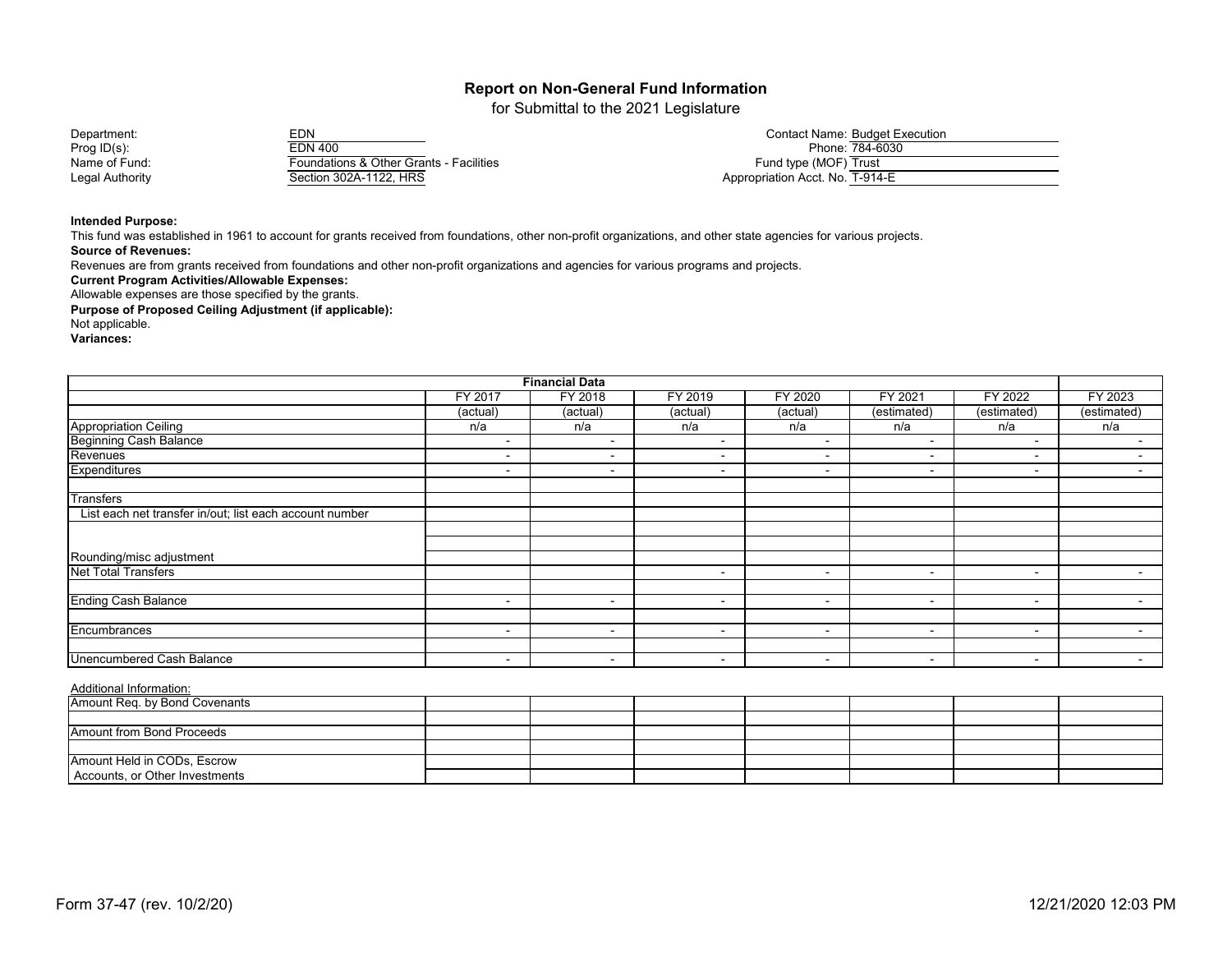for Submittal to the 2021 Legislature

Prog ID(s): EDN 400 Phone: 784-6030 Name of Fund: Foundations & Other Grants - Facilities<br>Legal Authority Fund the Section 302A-1122, HRS Section 302A-1122, HRS

| Department:     | EDN                                     | Contact Name: Budget Execution  |
|-----------------|-----------------------------------------|---------------------------------|
| Prog $ID(s)$ :  | EDN 400                                 | Phone: 784-6030                 |
| Name of Fund:   | Foundations & Other Grants - Facilities | Fund type (MOF) Trust           |
| Legal Authority | Section 302A-1122, HRS                  | Appropriation Acct. No. T-914-E |

#### **Intended Purpose:**

**Source of Revenues:** This fund was established in 1961 to account for grants received from foundations, other non-profit organizations, and other state agencies for various projects.

Revenues are from grants received from foundations and other non-profit organizations and agencies for various programs and projects.

**Current Program Activities/Allowable Expenses:**

Allowable expenses are those specified by the grants.

**Purpose of Proposed Ceiling Adjustment (if applicable):**

Not applicable.

**Variances:**

|                                                                       |                | <b>Financial Data</b>    |                          |                |                          |                          |                |
|-----------------------------------------------------------------------|----------------|--------------------------|--------------------------|----------------|--------------------------|--------------------------|----------------|
| FY 2019<br>FY 2020<br>FY 2017<br>FY 2021<br><b>FY 2022</b><br>FY 2018 |                |                          |                          |                |                          |                          |                |
|                                                                       | (actual)       | (actual)                 | (actual)                 | (actual)       | (estimated)              | (estimated)              | (estimated)    |
| <b>Appropriation Ceiling</b>                                          | n/a            | n/a                      | n/a                      | n/a            | n/a                      | n/a                      | n/a            |
| <b>Beginning Cash Balance</b>                                         |                | $\overline{\phantom{0}}$ | ۰                        | $\sim$         | $\blacksquare$           | $\overline{\phantom{a}}$ | $\blacksquare$ |
| Revenues                                                              | $\blacksquare$ | $\overline{\phantom{0}}$ | -                        |                | $\blacksquare$           | $\sim$                   | ٠              |
| Expenditures                                                          | $\blacksquare$ | $\overline{\phantom{0}}$ | $\overline{\phantom{0}}$ | $\blacksquare$ | $\overline{\phantom{a}}$ | $\overline{\phantom{a}}$ | $\sim$         |
| <b>Transfers</b>                                                      |                |                          |                          |                |                          |                          |                |
| List each net transfer in/out; list each account number               |                |                          |                          |                |                          |                          |                |
|                                                                       |                |                          |                          |                |                          |                          |                |
|                                                                       |                |                          |                          |                |                          |                          |                |
| Rounding/misc adjustment                                              |                |                          |                          |                |                          |                          |                |
| <b>Net Total Transfers</b>                                            |                |                          | $\sim$                   | $\sim$         | $\,$ $\,$                | $\sim$                   | $\sim$         |
|                                                                       |                |                          |                          |                |                          |                          |                |
| <b>Ending Cash Balance</b>                                            | $\blacksquare$ | $\overline{\phantom{0}}$ | ۰                        | $\sim$         | $\blacksquare$           | $\sim$                   | ٠              |
|                                                                       |                |                          |                          |                |                          |                          |                |
| Encumbrances                                                          | $\blacksquare$ | $\overline{\phantom{0}}$ | $\blacksquare$           |                | $\overline{\phantom{0}}$ | $\overline{\phantom{a}}$ | $\sim$         |
|                                                                       |                |                          |                          |                |                          |                          |                |
| <b>Unencumbered Cash Balance</b>                                      | $\blacksquare$ | $\sim$                   | $\sim$                   | $\sim$         | $\blacksquare$           | $\sim$                   | $\sim$         |

| Amount Req. by Bond Covenants  |  |  |  |  |
|--------------------------------|--|--|--|--|
|                                |  |  |  |  |
| Amount from Bond Proceeds      |  |  |  |  |
|                                |  |  |  |  |
| Amount Held in CODs, Escrow    |  |  |  |  |
| Accounts, or Other Investments |  |  |  |  |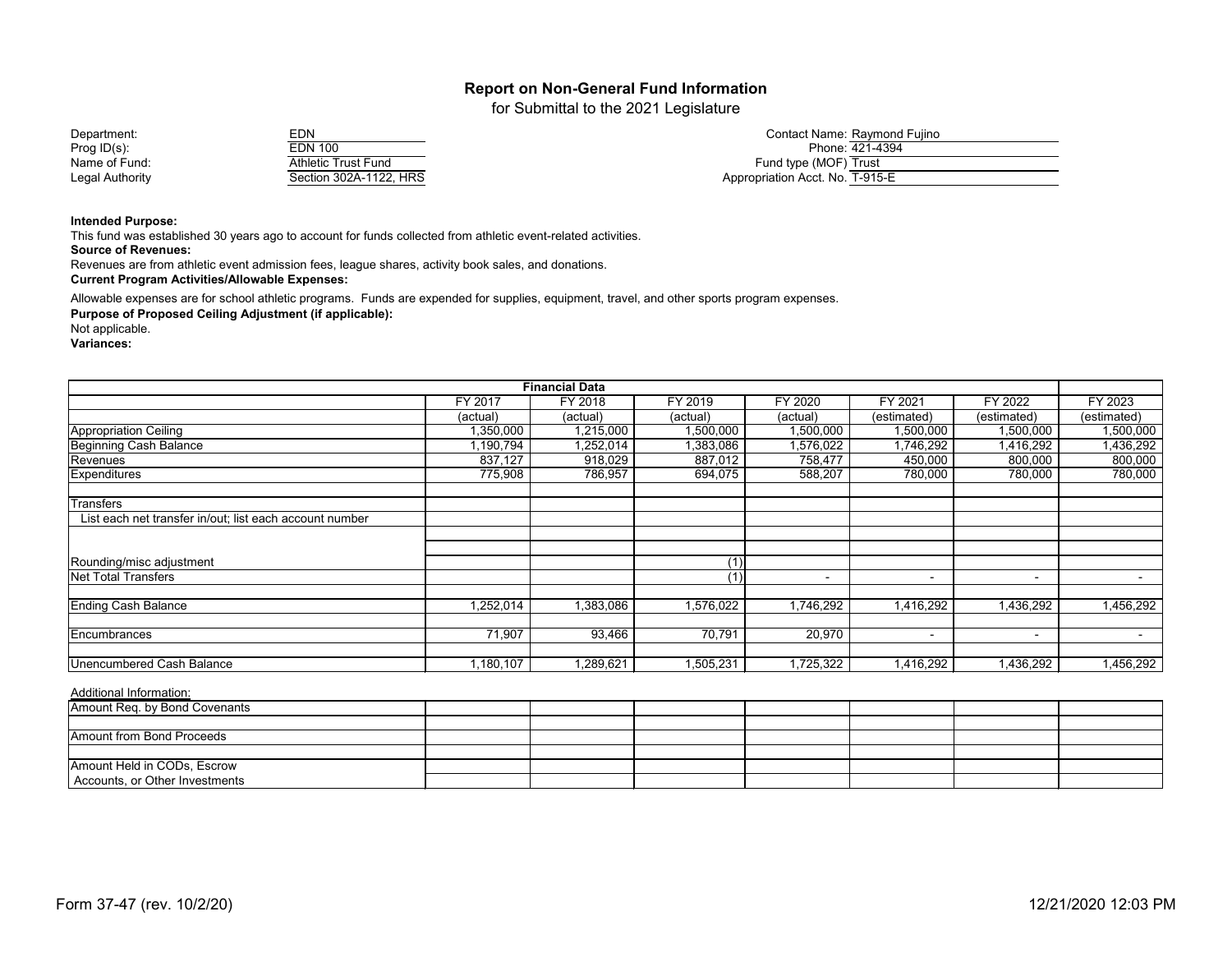for Submittal to the 2021 Legislature

| EDN                        |
|----------------------------|
| <b>EDN 100</b>             |
| <b>Athletic Trust Fund</b> |
| Section 302A-1122, HRS     |

| Department:     | EDN                    | Contact Name: Raymond Fujino    |
|-----------------|------------------------|---------------------------------|
| Prog $ID(s)$ :  | EDN 100                | Phone: 421-4394                 |
| Name of Fund:   | Athletic Trust Fund    | Fund type (MOF) Trust           |
| Legal Authority | Section 302A-1122, HRS | Appropriation Acct. No. T-915-E |

#### **Intended Purpose:**

This fund was established 30 years ago to account for funds collected from athletic event-related activities.

**Source of Revenues:**

Revenues are from athletic event admission fees, league shares, activity book sales, and donations.

**Current Program Activities/Allowable Expenses:**

Allowable expenses are for school athletic programs. Funds are expended for supplies, equipment, travel, and other sports program expenses.

**Purpose of Proposed Ceiling Adjustment (if applicable):**

Not applicable. **Variances:**

| <b>Financial Data</b>                                   |           |           |           |           |                          |                          |             |
|---------------------------------------------------------|-----------|-----------|-----------|-----------|--------------------------|--------------------------|-------------|
|                                                         | FY 2017   | FY 2018   | FY 2019   | FY 2020   | FY 2021                  | FY 2022                  | FY 2023     |
|                                                         | (actual)  | (actual)  | (actual)  | (actual)  | (estimated)              | (estimated)              | (estimated) |
| Appropriation Ceiling                                   | 1,350,000 | 1,215,000 | 1,500,000 | 1,500,000 | 1,500,000                | 1,500,000                | 1,500,000   |
| Beginning Cash Balance                                  | 1,190,794 | 1,252,014 | 1,383,086 | 1,576,022 | 1,746,292                | 1,416,292                | 1,436,292   |
| Revenues                                                | 837,127   | 918,029   | 887,012   | 758,477   | 450,000                  | 800,000                  | 800,000     |
| Expenditures                                            | 775,908   | 786,957   | 694,075   | 588,207   | 780,000                  | 780,000                  | 780,000     |
| Transfers                                               |           |           |           |           |                          |                          |             |
| List each net transfer in/out; list each account number |           |           |           |           |                          |                          |             |
|                                                         |           |           |           |           |                          |                          |             |
| Rounding/misc adjustment                                |           |           |           |           |                          |                          |             |
| <b>Net Total Transfers</b>                              |           |           | (1)       |           |                          | $\overline{\phantom{a}}$ | $\sim$      |
| <b>Ending Cash Balance</b>                              | 1,252,014 | 1,383,086 | 1,576,022 | 1,746,292 | 1,416,292                | 1,436,292                | 1,456,292   |
| Encumbrances                                            | 71,907    | 93,466    | 70,791    | 20,970    | $\overline{\phantom{0}}$ | $\,$ $\,$                |             |
| Unencumbered Cash Balance                               | 1,180,107 | 1,289,621 | 1,505,231 | 1,725,322 | 1,416,292                | 1,436,292                | 1,456,292   |

| Amount Req. by Bond Covenants  |  |  |  |  |
|--------------------------------|--|--|--|--|
|                                |  |  |  |  |
| Amount from Bond Proceeds      |  |  |  |  |
|                                |  |  |  |  |
| Amount Held in CODs, Escrow    |  |  |  |  |
| Accounts, or Other Investments |  |  |  |  |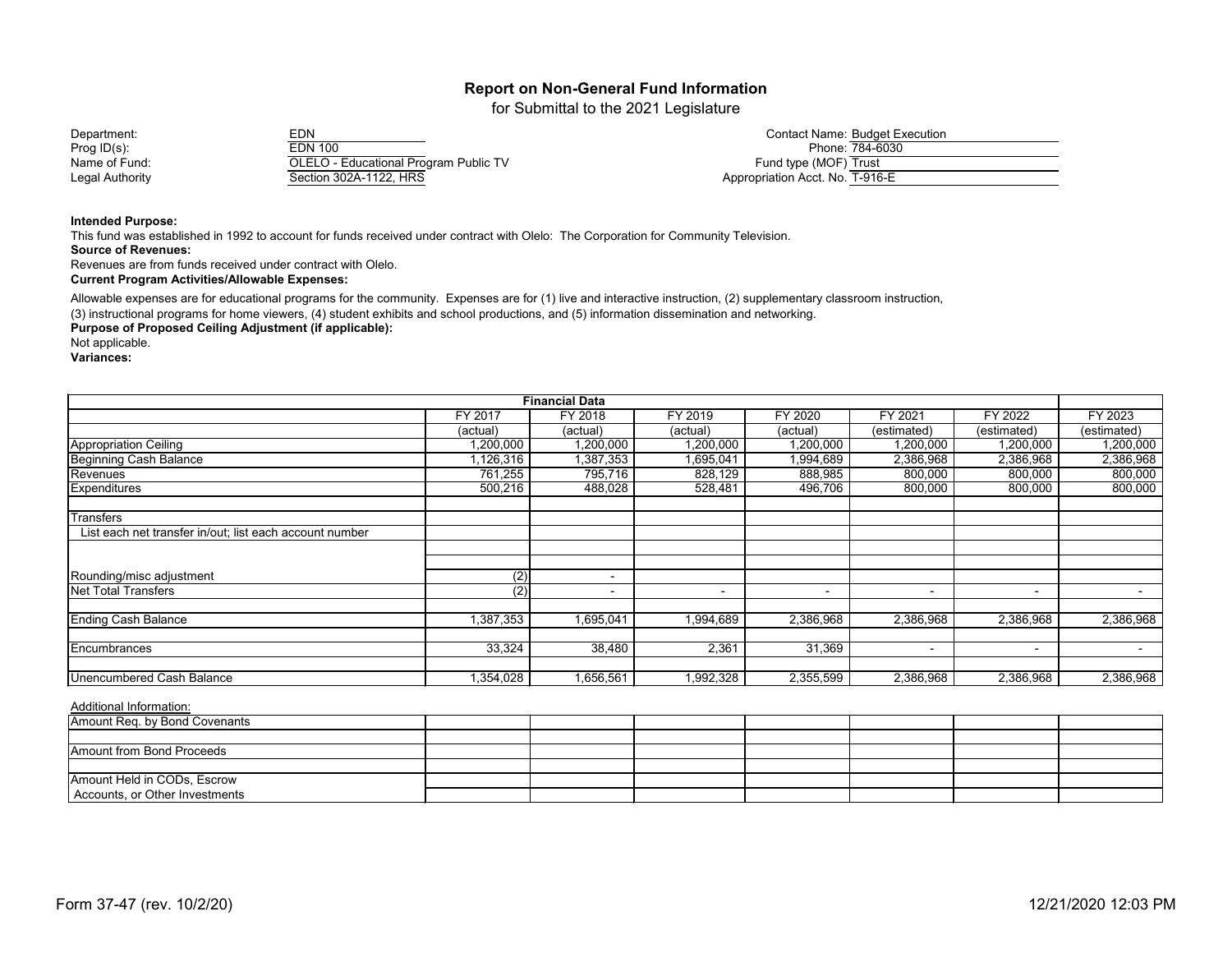for Submittal to the 2021 Legislature

| Department:     | EDN                                          | Contact Name: Budget Execution. |
|-----------------|----------------------------------------------|---------------------------------|
| Prog ID(s):     | EDN 100                                      | Phone: 784-6030                 |
| Name of Fund:   | <b>OLELO - Educational Program Public TV</b> | Fund type (MOF) Trust           |
| Legal Authority | Section 302A-1122, HRS                       | Appropriation Acct. No. T-916-E |

#### **Intended Purpose:**

This fund was established in 1992 to account for funds received under contract with Olelo: The Corporation for Community Television. **Source of Revenues:**

Revenues are from funds received under contract with Olelo.

**Current Program Activities/Allowable Expenses:**

Allowable expenses are for educational programs for the community. Expenses are for (1) live and interactive instruction, (2) supplementary classroom instruction,

(3) instructional programs for home viewers, (4) student exhibits and school productions, and (5) information dissemination and networking.

**Purpose of Proposed Ceiling Adjustment (if applicable):**

Not applicable.

**Variances:**

| <b>Financial Data</b>                                   |                  |                          |           |           |                          |                |                          |
|---------------------------------------------------------|------------------|--------------------------|-----------|-----------|--------------------------|----------------|--------------------------|
|                                                         | <b>FY 2017</b>   | FY 2018                  | FY 2019   | FY 2020   | FY 2021                  | FY 2022        | FY 2023                  |
|                                                         | (actual)         | (actual)                 | (actual)  | (actual)  | (estimated)              | (estimated)    | (estimated)              |
| <b>Appropriation Ceiling</b>                            | 1,200,000        | 1,200,000                | 1,200,000 | 1,200,000 | 1,200,000                | 1,200,000      | 1,200,000                |
| <b>Beginning Cash Balance</b>                           | ,126,316         | 1,387,353                | ,695,041  | 1,994,689 | 2,386,968                | 2,386,968      | 2,386,968                |
| Revenues                                                | 761,255          | 795,716                  | 828,129   | 888,985   | 800,000                  | 800,000        | 800,000                  |
| <b>Expenditures</b>                                     | 500,216          | 488,028                  | 528,481   | 496,706   | 800,000                  | 800,000        | 800,000                  |
| <b>Transfers</b>                                        |                  |                          |           |           |                          |                |                          |
| List each net transfer in/out; list each account number |                  |                          |           |           |                          |                |                          |
|                                                         |                  |                          |           |           |                          |                |                          |
|                                                         |                  |                          |           |           |                          |                |                          |
| Rounding/misc adjustment                                | $\overline{(2)}$ | $\overline{\phantom{0}}$ |           |           |                          |                |                          |
| <b>Net Total Transfers</b>                              | (2)              | $\blacksquare$           | ٠         |           | $\overline{\phantom{0}}$ | $\blacksquare$ |                          |
| <b>Ending Cash Balance</b>                              | 387,353          | 1,695,041                | 994,689   | 2,386,968 | 2,386,968                | 2,386,968      | 2,386,968                |
| <b>Encumbrances</b>                                     |                  |                          |           |           |                          |                |                          |
|                                                         | 33,324           | 38,480                   | 2,361     | 31,369    | $\overline{\phantom{0}}$ | $\sim$         | $\overline{\phantom{0}}$ |
| <b>Unencumbered Cash Balance</b>                        | 1,354,028        | 1,656,561                | 1,992,328 | 2,355,599 | 2,386,968                | 2,386,968      | 2,386,968                |

| Amount Req. by Bond Covenants  |  |  |  |  |
|--------------------------------|--|--|--|--|
|                                |  |  |  |  |
| Amount from Bond Proceeds      |  |  |  |  |
|                                |  |  |  |  |
| Amount Held in CODs, Escrow    |  |  |  |  |
| Accounts, or Other Investments |  |  |  |  |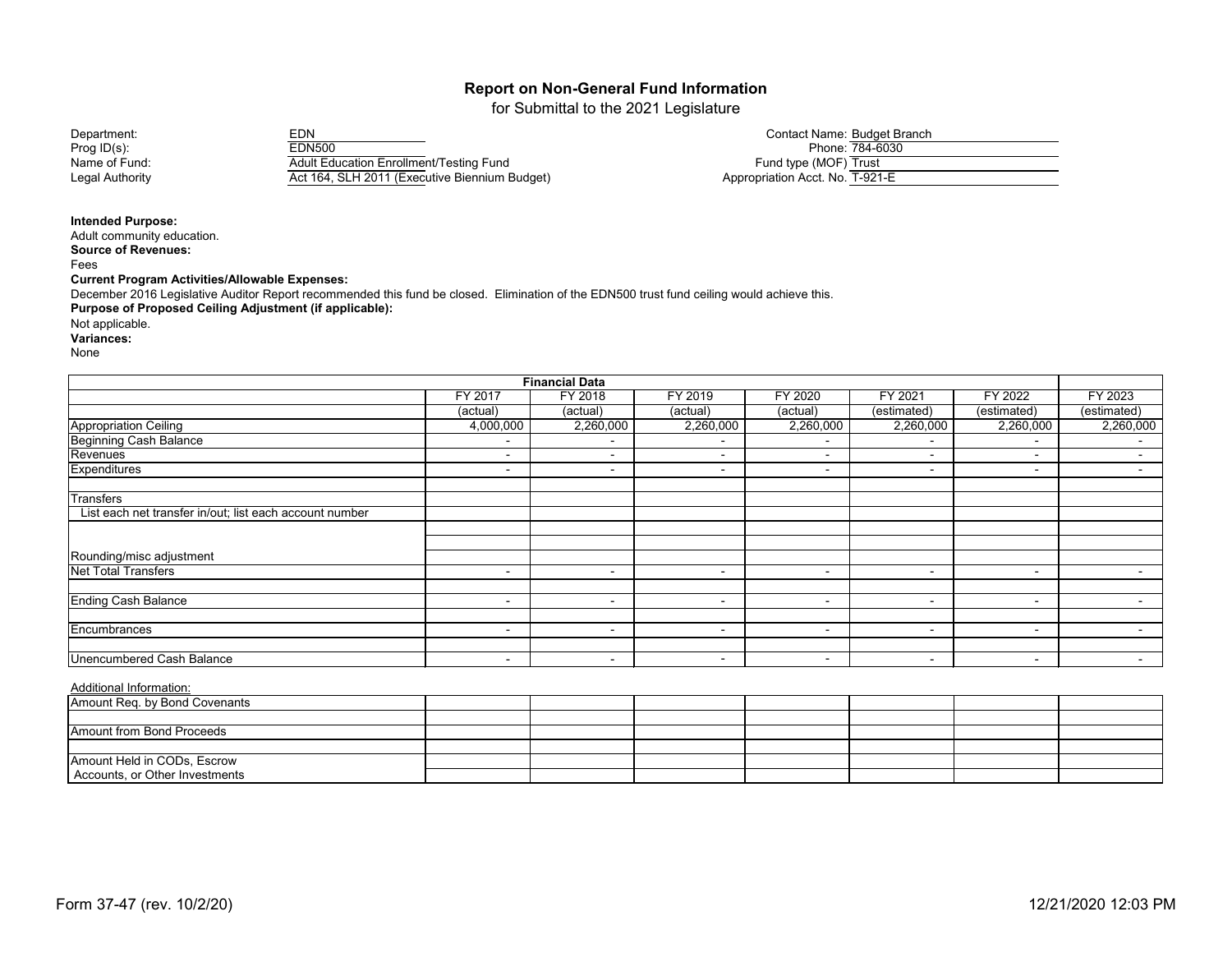for Submittal to the 2021 Legislature

Prog ID(s): EDN500 Phone: 784-6030 Name of Fund: Adult Education Enrollment/Testing Fund Fund type (MOF) Trust Registed Act 164, SLH 2011 (Executive Biennium Budget)

| Department:     | EDN                                            | Contact Name: Budget Branch     |
|-----------------|------------------------------------------------|---------------------------------|
| Prog $ID(s)$ :  | EDN500                                         | Phone: 784-6030                 |
| Name of Fund:   | <b>Adult Education Enrollment/Testing Fund</b> | Fund type (MOF) Trust           |
| Legal Authority | Act 164, SLH 2011 (Executive Biennium Budget)  | Appropriation Acct. No. T-921-E |

#### **Intended Purpose:**

Adult community education. **Source of Revenues:** Fees **Current Program Activities/Allowable Expenses: Purpose of Proposed Ceiling Adjustment (if applicable):** Not applicable. December 2016 Legislative Auditor Report recommended this fund be closed. Elimination of the EDN500 trust fund ceiling would achieve this.

**Variances:**

None

| <b>Financial Data</b>                                          |                          |                          |                          |                          |                          |                          |                          |  |
|----------------------------------------------------------------|--------------------------|--------------------------|--------------------------|--------------------------|--------------------------|--------------------------|--------------------------|--|
| FY 2018<br>FY 2019<br>FY 2020<br>FY 2021<br>FY 2022<br>FY 2017 |                          |                          |                          |                          |                          |                          |                          |  |
|                                                                | (actual)                 | (actual)                 | (actual)                 | (actual)                 | (estimated)              | (estimated)              | (estimated)              |  |
| <b>Appropriation Ceiling</b>                                   | 4,000,000                | 2,260,000                | 2,260,000                | 2,260,000                | 2,260,000                | 2,260,000                | 2,260,000                |  |
| <b>Beginning Cash Balance</b>                                  | $\blacksquare$           | $\blacksquare$           |                          |                          | $\overline{\phantom{a}}$ | $\overline{\phantom{0}}$ | $\overline{\phantom{a}}$ |  |
| Revenues                                                       | $\blacksquare$           | $\overline{\phantom{0}}$ |                          | ٠                        | $\overline{\phantom{a}}$ | $\overline{\phantom{a}}$ | $\sim$                   |  |
| <b>Expenditures</b>                                            | $\blacksquare$           | $\overline{\phantom{0}}$ | $\sim$                   |                          | $\sim$                   | $\overline{\phantom{a}}$ | $\sim$                   |  |
| <b>Transfers</b>                                               |                          |                          |                          |                          |                          |                          |                          |  |
| List each net transfer in/out; list each account number        |                          |                          |                          |                          |                          |                          |                          |  |
|                                                                |                          |                          |                          |                          |                          |                          |                          |  |
|                                                                |                          |                          |                          |                          |                          |                          |                          |  |
| Rounding/misc adjustment                                       |                          |                          |                          |                          |                          |                          |                          |  |
| <b>Net Total Transfers</b>                                     | $\blacksquare$           | $\overline{\phantom{a}}$ | $\overline{\phantom{0}}$ | $\sim$                   | $\overline{\phantom{a}}$ | $\blacksquare$           | $\sim$                   |  |
|                                                                |                          |                          |                          |                          |                          |                          |                          |  |
| <b>Ending Cash Balance</b>                                     | $\blacksquare$           | $\blacksquare$           | $\overline{\phantom{0}}$ | $\overline{\phantom{a}}$ | $\overline{\phantom{0}}$ | $\overline{\phantom{a}}$ | $\sim$                   |  |
|                                                                |                          |                          |                          |                          |                          |                          |                          |  |
| Encumbrances                                                   | $\blacksquare$           | $\overline{\phantom{a}}$ | $\sim$                   | $\sim$                   | $\sim$                   | $\overline{\phantom{a}}$ | $\sim$                   |  |
|                                                                |                          |                          |                          |                          |                          |                          |                          |  |
| <b>Unencumbered Cash Balance</b>                               | $\overline{\phantom{0}}$ | $\sim$                   | $\sim$                   | $\,$                     | $\overline{\phantom{0}}$ | $\blacksquare$           | $\sim$                   |  |

| Amount Req. by Bond Covenants    |  |  |  |  |
|----------------------------------|--|--|--|--|
|                                  |  |  |  |  |
| <b>Amount from Bond Proceeds</b> |  |  |  |  |
|                                  |  |  |  |  |
| Amount Held in CODs, Escrow      |  |  |  |  |
| Accounts, or Other Investments   |  |  |  |  |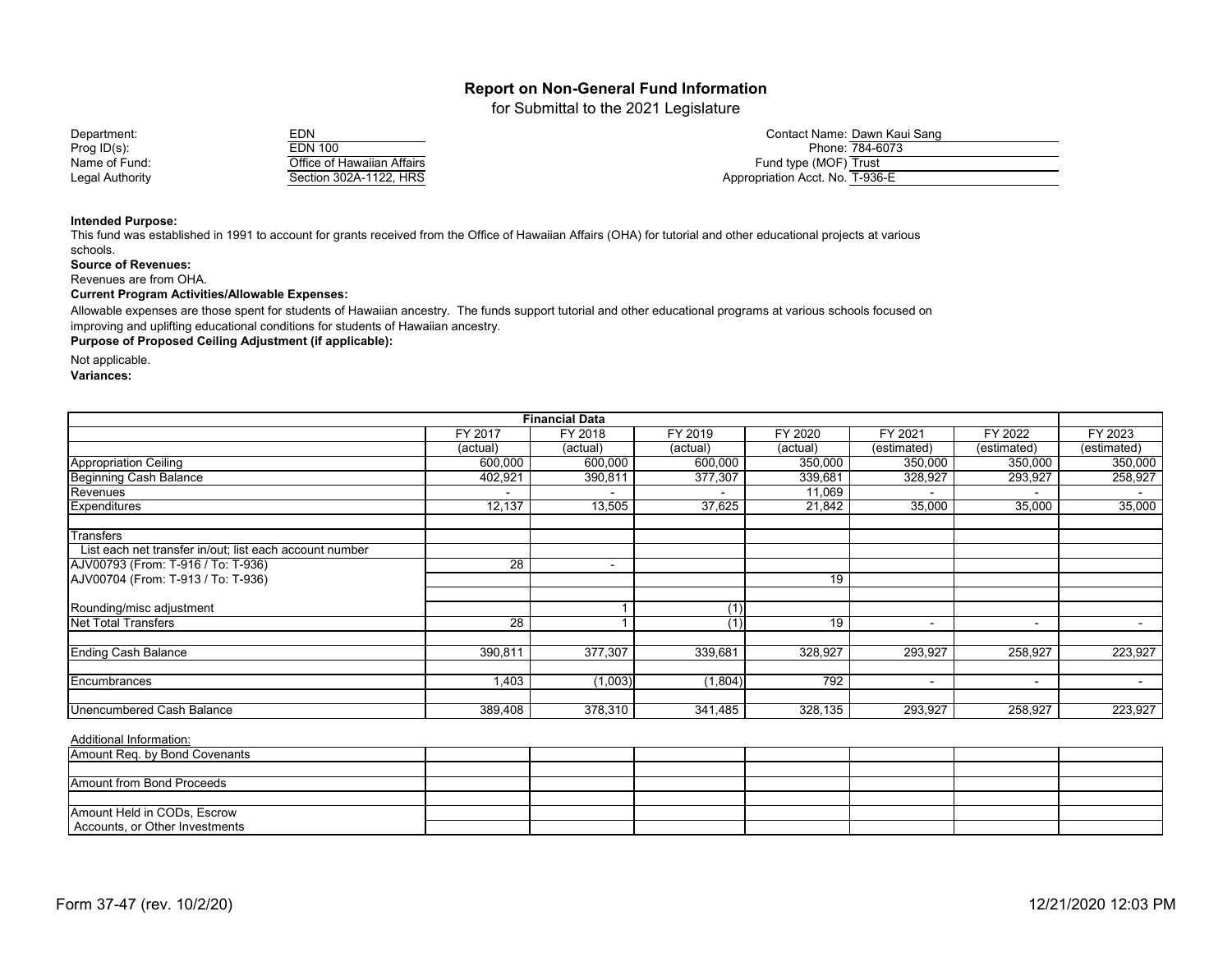for Submittal to the 2021 Legislature

| Department:     | EDN.                       | Contact Name: Dawn Ka           |
|-----------------|----------------------------|---------------------------------|
| Prog ID(s):     | EDN 100                    | Phone: 784-6073                 |
| Name of Fund:   | Office of Hawaiian Affairs | Fund type (MOF) Trust           |
| Legal Authority | Section 302A-1122, HRS     | Appropriation Acct. No. T-936-E |

| ⊏Ы₩                        |
|----------------------------|
| <b>EDN 100</b>             |
| Office of Hawaiian Affairs |
| Section 302A-1122, HRS     |

| Department:     | EDN                        | Contact Name: Dawn Kaui Sang    |
|-----------------|----------------------------|---------------------------------|
| Prog ID(s):     | EDN 100                    | Phone: 784-6073                 |
| Name of Fund:   | Office of Hawaiian Affairs | Fund type (MOF) Trust           |
| Legal Authority | Section 302A-1122, HRS     | Appropriation Acct. No. T-936-E |

#### **Intended Purpose:**

This fund was established in 1991 to account for grants received from the Office of Hawaiian Affairs (OHA) for tutorial and other educational projects at various schools.

**Source of Revenues:**

Revenues are from OHA.

#### **Current Program Activities/Allowable Expenses:**

Allowable expenses are those spent for students of Hawaiian ancestry. The funds support tutorial and other educational programs at various schools focused on improving and uplifting educational conditions for students of Hawaiian ancestry.

**Purpose of Proposed Ceiling Adjustment (if applicable):** 

Not applicable.

**Variances:**

| <b>Financial Data</b>                                   |          |                          |          |          |                |                |             |
|---------------------------------------------------------|----------|--------------------------|----------|----------|----------------|----------------|-------------|
|                                                         | FY 2017  | FY 2018                  | FY 2019  | FY 2020  | FY 2021        | FY 2022        | FY 2023     |
|                                                         | (actual) | (actual)                 | (actual) | (actual) | (estimated)    | (estimated)    | (estimated) |
| Appropriation Ceiling                                   | 600,000  | 600,000                  | 600,000  | 350,000  | 350,000        | 350,000        | 350,000     |
| <b>Beginning Cash Balance</b>                           | 402,921  | 390,811                  | 377,307  | 339,681  | 328,927        | 293,927        | 258,927     |
| Revenues                                                |          |                          |          | 11,069   |                | $\overline{a}$ |             |
| Expenditures                                            | 12,137   | 13,505                   | 37,625   | 21,842   | 35,000         | 35,000         | 35,000      |
| <b>Transfers</b>                                        |          |                          |          |          |                |                |             |
| List each net transfer in/out; list each account number |          |                          |          |          |                |                |             |
| AJV00793 (From: T-916 / To: T-936)                      | 28       | $\overline{\phantom{a}}$ |          |          |                |                |             |
| AJV00704 (From: T-913 / To: T-936)                      |          |                          |          | 19       |                |                |             |
|                                                         |          |                          |          |          |                |                |             |
| Rounding/misc adjustment                                |          |                          | (1)      |          |                |                |             |
| <b>Net Total Transfers</b>                              | 28       |                          | (1       | 19       | $\blacksquare$ | $\blacksquare$ | $\sim$      |
| <b>Ending Cash Balance</b>                              | 390,811  | 377,307                  | 339,681  | 328,927  | 293,927        | 258,927        | 223,927     |
|                                                         |          |                          |          |          |                |                |             |
| Encumbrances                                            | 1,403    | (1,003)                  | (1, 804) | 792      | $\sim$         | $\blacksquare$ | $\sim$      |
| Unencumbered Cash Balance                               | 389,408  | 378,310                  | 341,485  | 328,135  | 293,927        | 258,927        | 223,927     |
|                                                         |          |                          |          |          |                |                |             |

| Amount Req. by Bond Covenants  |  |  |  |  |
|--------------------------------|--|--|--|--|
|                                |  |  |  |  |
| Amount from Bond Proceeds      |  |  |  |  |
|                                |  |  |  |  |
| Amount Held in CODs, Escrow    |  |  |  |  |
| Accounts, or Other Investments |  |  |  |  |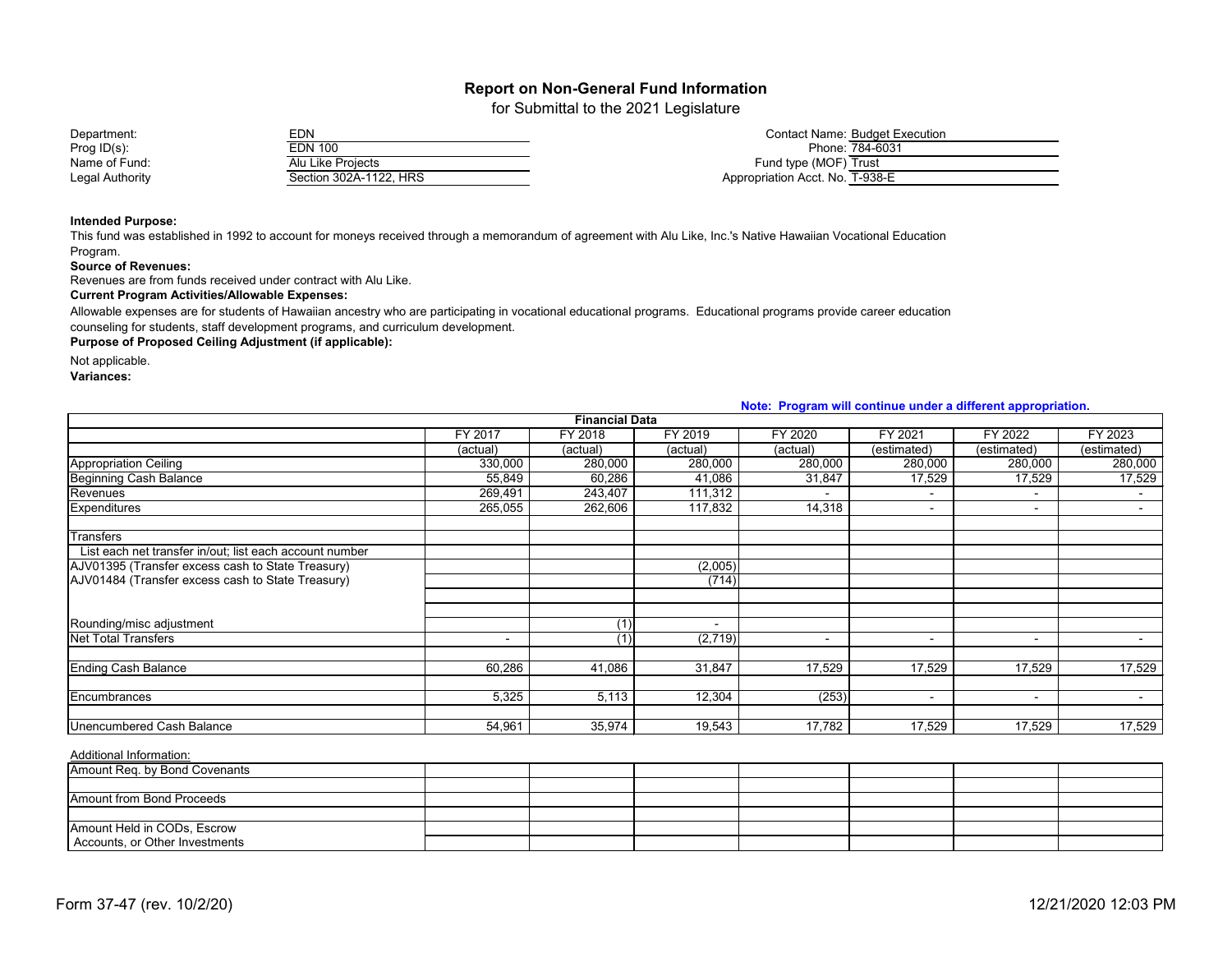for Submittal to the 2021 Legislature

| Department:     | <b>EDN</b>             | Contact Name: Budget Execution. |
|-----------------|------------------------|---------------------------------|
| Prog $ID(s)$ :  | EDN 100                | Phone: 784-6031                 |
| Name of Fund:   | Alu Like Projects      | Fund type (MOF) Trust           |
| Legal Authority | Section 302A-1122, HRS | Appropriation Acct. No. T-938-E |

#### **Intended Purpose:**

This fund was established in 1992 to account for moneys received through a memorandum of agreement with Alu Like, Inc.'s Native Hawaiian Vocational Education Program.

#### **Source of Revenues:**

Revenues are from funds received under contract with Alu Like.

#### **Current Program Activities/Allowable Expenses:**

Allowable expenses are for students of Hawaiian ancestry who are participating in vocational educational programs. Educational programs provide career education counseling for students, staff development programs, and curriculum development.

**Purpose of Proposed Ceiling Adjustment (if applicable):**

Not applicable.

**Variances:**

|                                                         | <b>NOTE.</b> Frogram will continue under a university appropriation. |                       |                |                          |                |                          |             |  |  |
|---------------------------------------------------------|----------------------------------------------------------------------|-----------------------|----------------|--------------------------|----------------|--------------------------|-------------|--|--|
|                                                         |                                                                      | <b>Financial Data</b> |                |                          |                |                          |             |  |  |
|                                                         | FY 2017                                                              | FY 2018               | FY 2019        | FY 2020                  | FY 2021        | FY 2022                  | FY 2023     |  |  |
|                                                         | (actual)                                                             | (actual)              | (actual)       | (actual)                 | (estimated)    | (estimated)              | (estimated) |  |  |
| Appropriation Ceiling                                   | 330,000                                                              | 280,000               | 280,000        | 280,000                  | 280,000        | 280,000                  | 280,000     |  |  |
| Beginning Cash Balance                                  | 55,849                                                               | 60,286                | 41,086         | 31,847                   | 17,529         | 17,529                   | 17,529      |  |  |
| Revenues                                                | 269,491                                                              | 243,407               | 111,312        |                          | $\blacksquare$ |                          |             |  |  |
| <b>Expenditures</b>                                     | 265,055                                                              | 262,606               | 117,832        | 14,318                   | $\sim$         | $\sim$                   | $\sim$      |  |  |
| <b>Transfers</b>                                        |                                                                      |                       |                |                          |                |                          |             |  |  |
| List each net transfer in/out; list each account number |                                                                      |                       |                |                          |                |                          |             |  |  |
| AJV01395 (Transfer excess cash to State Treasury)       |                                                                      |                       | (2,005)        |                          |                |                          |             |  |  |
| AJV01484 (Transfer excess cash to State Treasury)       |                                                                      |                       | (714)          |                          |                |                          |             |  |  |
|                                                         |                                                                      |                       |                |                          |                |                          |             |  |  |
| Rounding/misc adjustment                                |                                                                      |                       | $\blacksquare$ |                          |                |                          |             |  |  |
| <b>Net Total Transfers</b>                              |                                                                      | (1)                   | (2,719)        |                          |                |                          |             |  |  |
|                                                         |                                                                      |                       |                | $\overline{\phantom{a}}$ | $\,$           | $\overline{\phantom{a}}$ |             |  |  |
| <b>Ending Cash Balance</b>                              | 60,286                                                               | 41,086                | 31,847         | 17,529                   | 17,529         | 17,529                   | 17,529      |  |  |
| <b>Encumbrances</b>                                     | 5,325                                                                | 5,113                 | 12,304         | (253)                    | $\sim$         | $\sim$                   |             |  |  |
|                                                         |                                                                      |                       |                |                          |                |                          |             |  |  |
| <b>Unencumbered Cash Balance</b>                        | 54,961                                                               | 35,974                | 19,543         | 17,782                   | 17,529         | 17,529                   | 17,529      |  |  |

#### Additional Information:

| Amount Req. by Bond Covenants    |  |  |  |  |
|----------------------------------|--|--|--|--|
|                                  |  |  |  |  |
| <b>Amount from Bond Proceeds</b> |  |  |  |  |
|                                  |  |  |  |  |
| Amount Held in CODs, Escrow      |  |  |  |  |
| Accounts, or Other Investments   |  |  |  |  |

#### **Note: Program will continue under a different appropriation.**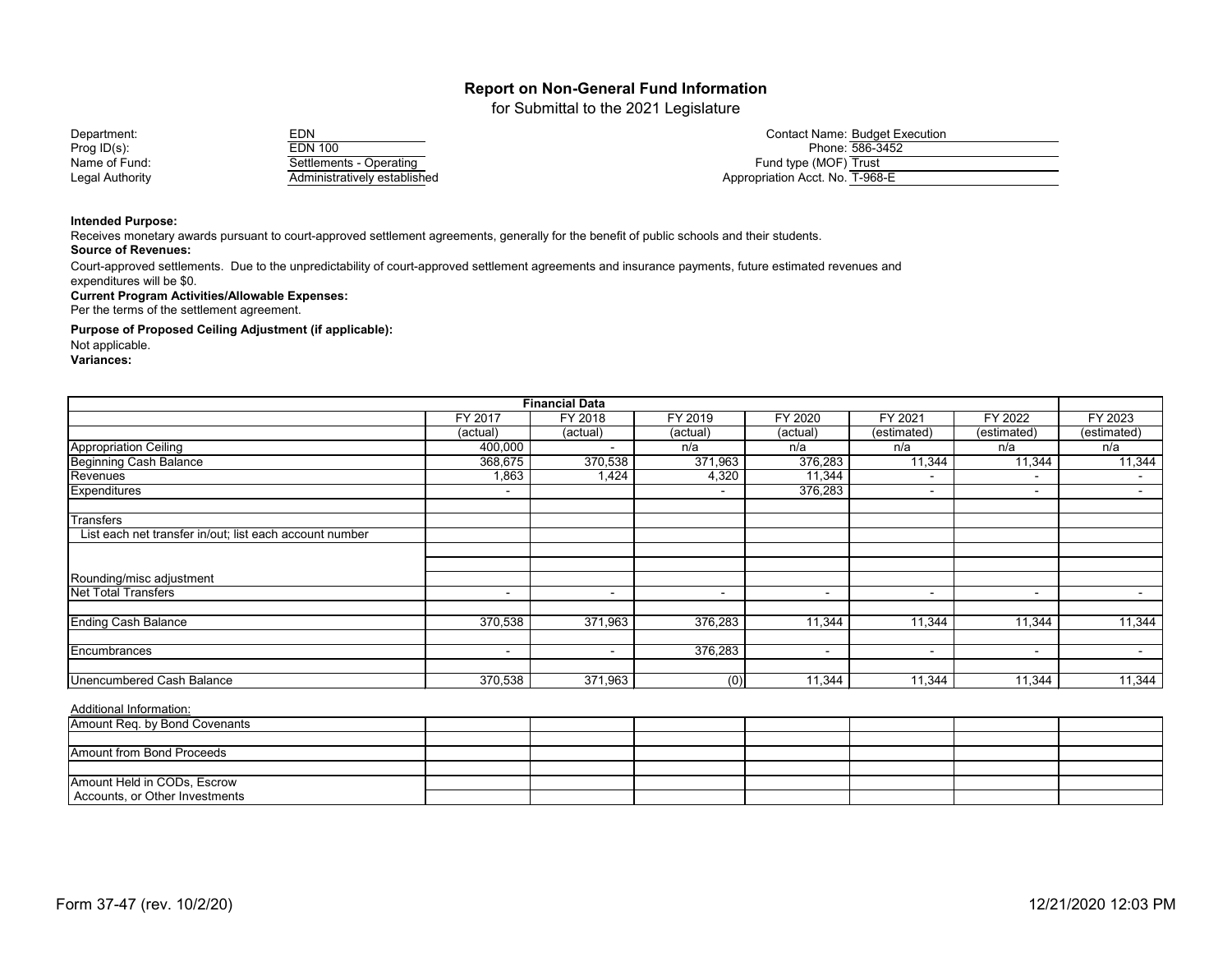for Submittal to the 2021 Legislature

| Department:     | EDN                          | Contact Name: Budget Execution  |
|-----------------|------------------------------|---------------------------------|
| Prog $ID(s)$ :  | EDN 100                      | Phone: 586-3452                 |
| Name of Fund:   | Operating                    | Fund type (MOF) Trust           |
| Legal Authority | Administratively established | Appropriation Acct. No. T-968-E |

#### **Intended Purpose:**

Receives monetary awards pursuant to court-approved settlement agreements, generally for the benefit of public schools and their students. **Source of Revenues:**

Court-approved settlements. Due to the unpredictability of court-approved settlement agreements and insurance payments, future estimated revenues and expenditures will be \$0.

#### **Current Program Activities/Allowable Expenses:**

Per the terms of the settlement agreement.

**Purpose of Proposed Ceiling Adjustment (if applicable):**

Not applicable.

**Variances:**

| <b>Financial Data</b>                                   |                          |                    |                  |                          |                          |                          |             |
|---------------------------------------------------------|--------------------------|--------------------|------------------|--------------------------|--------------------------|--------------------------|-------------|
|                                                         | <b>FY 2017</b>           | FY 2018            | FY 2019          | FY 2020                  | FY 2021                  | FY 2022                  | FY 2023     |
|                                                         | (actual)                 | (actual)           | (actual)         | (actual)                 | (estimated)              | (estimated)              | (estimated) |
| <b>Appropriation Ceiling</b>                            | 400,000                  |                    | n/a              | n/a                      | n/a                      | n/a                      | n/a         |
| <b>Beginning Cash Balance</b>                           | 368,675                  | 370,538            | 371,963          | 376,283                  | 11,344                   | 11,344                   | 11,344      |
| Revenues                                                | 1,863                    | $1,4\overline{24}$ | 4,320            | 11,344                   | $\overline{\phantom{a}}$ | $\overline{\phantom{a}}$ | $\sim$      |
| <b>Expenditures</b>                                     | $\overline{\phantom{0}}$ |                    |                  | 376,283                  | $\overline{\phantom{a}}$ | $\blacksquare$           |             |
| <b>Transfers</b>                                        |                          |                    |                  |                          |                          |                          |             |
| List each net transfer in/out; list each account number |                          |                    |                  |                          |                          |                          |             |
|                                                         |                          |                    |                  |                          |                          |                          |             |
| Rounding/misc adjustment                                |                          |                    |                  |                          |                          |                          |             |
| <b>Net Total Transfers</b>                              | $\overline{\phantom{0}}$ | $\,$ $\,$          | ٠                | $\overline{\phantom{a}}$ | $\overline{\phantom{a}}$ | $\blacksquare$           |             |
| <b>Ending Cash Balance</b>                              | 370,538                  | 371,963            | 376,283          | 11,344                   | 11,344                   | 11,344                   | 11,344      |
|                                                         |                          |                    |                  |                          |                          |                          |             |
| Encumbrances                                            | $\sim$                   | $\,$ $\,$          | 376,283          | $\sim$                   | $\overline{\phantom{a}}$ | $\sim$                   | $\sim$      |
| <b>Unencumbered Cash Balance</b>                        |                          | 371,963            |                  |                          |                          |                          |             |
|                                                         | 370,538                  |                    | $\overline{(0)}$ | 11,344                   | 11,344                   | 11,344                   | 11,344      |

| Amount Req. by Bond Covenants    |  |  |  |  |
|----------------------------------|--|--|--|--|
|                                  |  |  |  |  |
| <b>Amount from Bond Proceeds</b> |  |  |  |  |
|                                  |  |  |  |  |
| Amount Held in CODs, Escrow      |  |  |  |  |
| Accounts, or Other Investments   |  |  |  |  |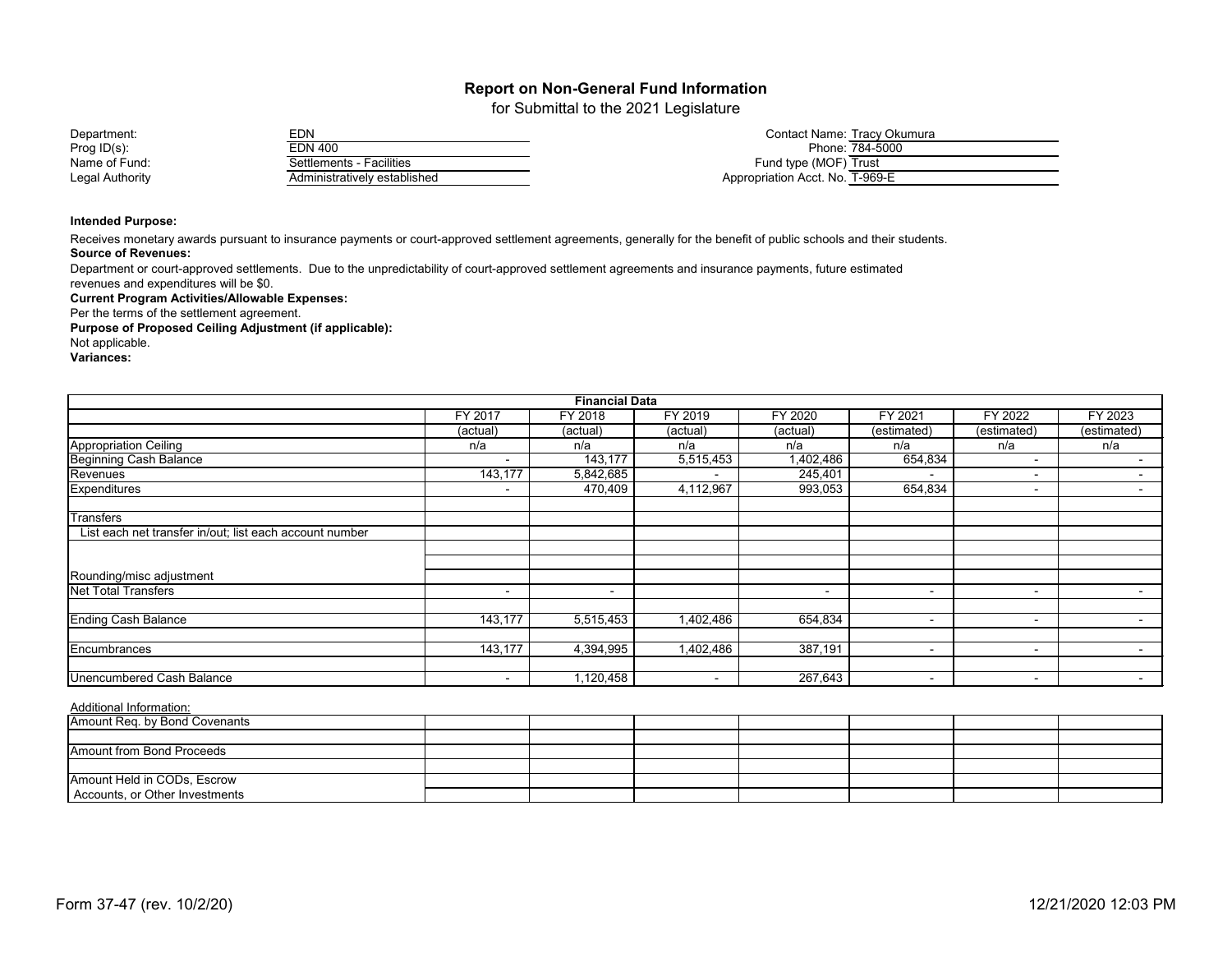for Submittal to the 2021 Legislature

| Department:     | <b>EDN</b>                   | Contact Name: Tracy Okumura     |
|-----------------|------------------------------|---------------------------------|
| Prog $ID(s)$ :  | EDN 400                      | Phone: 784-5000                 |
| Name of Fund:   | Settlements - Facilities     | Fund type (MOF) Trust           |
| Legal Authority | Administratively established | Appropriation Acct. No. T-969-E |

#### **Intended Purpose:**

**Source of Revenues:** Receives monetary awards pursuant to insurance payments or court-approved settlement agreements, generally for the benefit of public schools and their students.

Department or court-approved settlements. Due to the unpredictability of court-approved settlement agreements and insurance payments, future estimated

revenues and expenditures will be \$0.

**Current Program Activities/Allowable Expenses:** Per the terms of the settlement agreement.

**Purpose of Proposed Ceiling Adjustment (if applicable):**

Not applicable.

**Variances:**

| <b>Financial Data</b>                                   |                          |                          |           |           |             |                          |                          |  |
|---------------------------------------------------------|--------------------------|--------------------------|-----------|-----------|-------------|--------------------------|--------------------------|--|
|                                                         | FY 2017                  | FY 2018                  | FY 2019   | FY 2020   | FY 2021     | FY 2022                  | FY 2023                  |  |
|                                                         | (actual)                 | (actual)                 | (actual)  | (actual)  | (estimated) | (estimated)              | (estimated)              |  |
| <b>Appropriation Ceiling</b>                            | n/a                      | n/a                      | n/a       | n/a       | n/a         | n/a                      | n/a                      |  |
| Beginning Cash Balance                                  |                          | 143,177                  | 5,515,453 | 1,402,486 | 654,834     | $\overline{\phantom{0}}$ |                          |  |
|                                                         | 143,177                  | 5,842,685                |           | 245,401   |             | $\overline{\phantom{0}}$ |                          |  |
| <b>Expenditures</b>                                     | $\blacksquare$           | 470,409                  | 4,112,967 | 993,053   | 654,834     | $\sim$                   |                          |  |
| <b>Transfers</b>                                        |                          |                          |           |           |             |                          |                          |  |
| List each net transfer in/out; list each account number |                          |                          |           |           |             |                          |                          |  |
|                                                         |                          |                          |           |           |             |                          |                          |  |
|                                                         |                          |                          |           |           |             |                          |                          |  |
| Rounding/misc adjustment                                |                          |                          |           |           |             |                          |                          |  |
| <b>Net Total Transfers</b>                              | $\overline{\phantom{a}}$ | $\overline{\phantom{0}}$ |           | $\sim$    | $\,$ $\,$   | $\sim$                   | $\blacksquare$           |  |
| <b>Ending Cash Balance</b>                              | 143,177                  | 5,515,453                | 1,402,486 | 654,834   |             | $\overline{\phantom{0}}$ | $\overline{\phantom{a}}$ |  |
|                                                         |                          |                          |           |           |             |                          |                          |  |
| Encumbrances                                            | 143,177                  | 4,394,995                | 1,402,486 | 387,191   |             | $\overline{\phantom{0}}$ |                          |  |
| <b>Unencumbered Cash Balance</b>                        |                          | ,120,458                 |           | 267,643   | $\,$ $\,$   | $\overline{\phantom{a}}$ | $\sim$                   |  |

| Amount Req. by Bond Covenants  |  |  |  |  |
|--------------------------------|--|--|--|--|
|                                |  |  |  |  |
| Amount from Bond Proceeds      |  |  |  |  |
|                                |  |  |  |  |
| Amount Held in CODs, Escrow    |  |  |  |  |
| Accounts, or Other Investments |  |  |  |  |